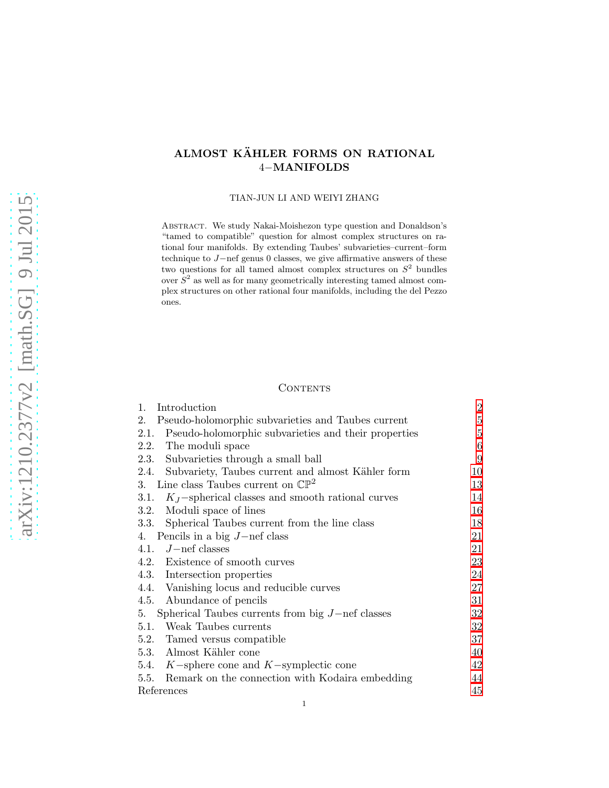# ALMOST KÄHLER FORMS ON RATIONAL 4−MANIFOLDS

TIAN-JUN LI AND WEIYI ZHANG

ABSTRACT. We study Nakai-Moishezon type question and Donaldson's "tamed to compatible" question for almost complex structures on rational four manifolds. By extending Taubes' subvarieties–current–form technique to J−nef genus 0 classes, we give affirmative answers of these two questions for all tamed almost complex structures on  $S^2$  bundles over  $S<sup>2</sup>$  as well as for many geometrically interesting tamed almost complex structures on other rational four manifolds, including the del Pezzo ones.

# **CONTENTS**

| 1.<br>Introduction                                           | $\overline{2}$ |
|--------------------------------------------------------------|----------------|
| Pseudo-holomorphic subvarieties and Taubes current<br>2.     | 5              |
| Pseudo-holomorphic subvarieties and their properties<br>2.1. | 5              |
| 2.2. The moduli space                                        | 6              |
| 2.3. Subvarieties through a small ball                       | 9              |
| 2.4. Subvariety, Taubes current and almost Kähler form       | 10             |
| Line class Taubes current on $\mathbb{CP}^2$<br>3.           | 13             |
| $K_J$ -spherical classes and smooth rational curves<br>3.1.  | 14             |
| Moduli space of lines<br>3.2.                                | 16             |
| Spherical Taubes current from the line class<br>3.3.         | 18             |
| Pencils in a big $J$ -nef class<br>4.                        | 21             |
| 4.1. $J$ – nef classes                                       | 21             |
| 4.2. Existence of smooth curves                              | 23             |
| 4.3. Intersection properties                                 | 24             |
| 4.4. Vanishing locus and reducible curves                    | 27             |
| 4.5.<br>Abundance of pencils                                 | 31             |
| Spherical Taubes currents from big $J$ -nef classes<br>5.    | 32             |
| Weak Taubes currents<br>5.1.                                 | 32             |
| 5.2. Tamed versus compatible                                 | 37             |
| 5.3. Almost Kähler cone                                      | 40             |
| 5.4. $K$ -sphere cone and $K$ -symplectic cone               | 42             |
| 5.5.<br>Remark on the connection with Kodaira embedding      | 44             |
| References                                                   | 45             |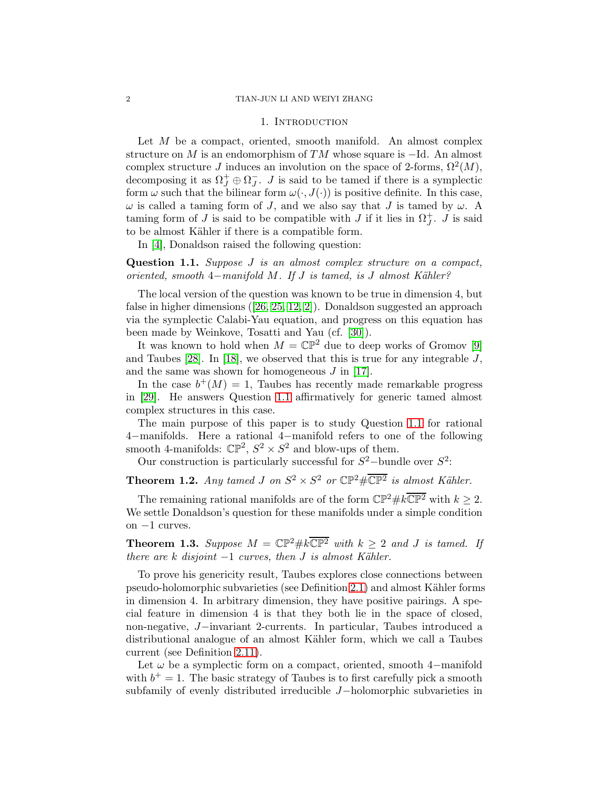#### 1. INTRODUCTION

<span id="page-1-0"></span>Let  $M$  be a compact, oriented, smooth manifold. An almost complex structure on M is an endomorphism of  $TM$  whose square is  $-Id$ . An almost complex structure J induces an involution on the space of 2-forms,  $\Omega^2(M)$ , decomposing it as  $\Omega_J^+ \oplus \Omega_J^-$ . *J* is said to be tamed if there is a symplectic form  $\omega$  such that the bilinear form  $\omega(\cdot, J(\cdot))$  is positive definite. In this case,  $\omega$  is called a taming form of J, and we also say that J is tamed by  $\omega$ . A taming form of J is said to be compatible with J if it lies in  $\Omega_J^+$ . J is said to be almost Kähler if there is a compatible form.

In [\[4\]](#page-44-1), Donaldson raised the following question:

<span id="page-1-1"></span>Question 1.1. Suppose J is an almost complex structure on a compact, oriented, smooth 4−manifold M. If J is tamed, is J almost Kähler?

The local version of the question was known to be true in dimension 4, but false in higher dimensions([\[26,](#page-45-0) [25,](#page-45-1) [12,](#page-44-2) [2\]](#page-44-3)). Donaldson suggested an approach via the symplectic Calabi-Yau equation, and progress on this equation has been made by Weinkove, Tosatti and Yau (cf. [\[30\]](#page-45-2)).

It was known to hold when  $M = \mathbb{CP}^2$  due to deep works of Gromov [\[9\]](#page-44-4) and Taubes  $[28]$ . In  $[18]$ , we observed that this is true for any integrable J, and the same was shown for homogeneous  $J$  in [\[17\]](#page-45-5).

In the case  $b^+(M) = 1$ , Taubes has recently made remarkable progress in [\[29\]](#page-45-6). He answers Question [1.1](#page-1-1) affirmatively for generic tamed almost complex structures in this case.

The main purpose of this paper is to study Question [1.1](#page-1-1) for rational 4−manifolds. Here a rational 4−manifold refers to one of the following smooth 4-manifolds:  $\mathbb{CP}^2$ ,  $S^2 \times S^2$  and blow-ups of them.

Our construction is particularly successful for  $S^2$ -bundle over  $S^2$ :

<span id="page-1-2"></span>**Theorem 1.2.** Any tamed J on  $S^2 \times S^2$  or  $\mathbb{CP}^2 \# \overline{\mathbb{CP}^2}$  is almost Kähler.

The remaining rational manifolds are of the form  $\mathbb{CP}^2 \# k \overline{\mathbb{CP}^2}$  with  $k \geq 2$ . We settle Donaldson's question for these manifolds under a simple condition on −1 curves.

<span id="page-1-3"></span>**Theorem 1.3.** Suppose  $M = \mathbb{CP}^2 \# k \overline{\mathbb{CP}^2}$  with  $k \geq 2$  and J is tamed. If there are k disjoint  $-1$  curves, then  $J$  is almost Kähler.

To prove his genericity result, Taubes explores close connections between pseudo-holomorphic subvarieties (see Definition [2.1\)](#page-4-2) and almost K¨ahler forms in dimension 4. In arbitrary dimension, they have positive pairings. A special feature in dimension 4 is that they both lie in the space of closed, non-negative, J−invariant 2-currents. In particular, Taubes introduced a distributional analogue of an almost Kähler form, which we call a Taubes current (see Definition [2.11\)](#page-10-0).

Let  $\omega$  be a symplectic form on a compact, oriented, smooth 4–manifold with  $b^+=1$ . The basic strategy of Taubes is to first carefully pick a smooth subfamily of evenly distributed irreducible J−holomorphic subvarieties in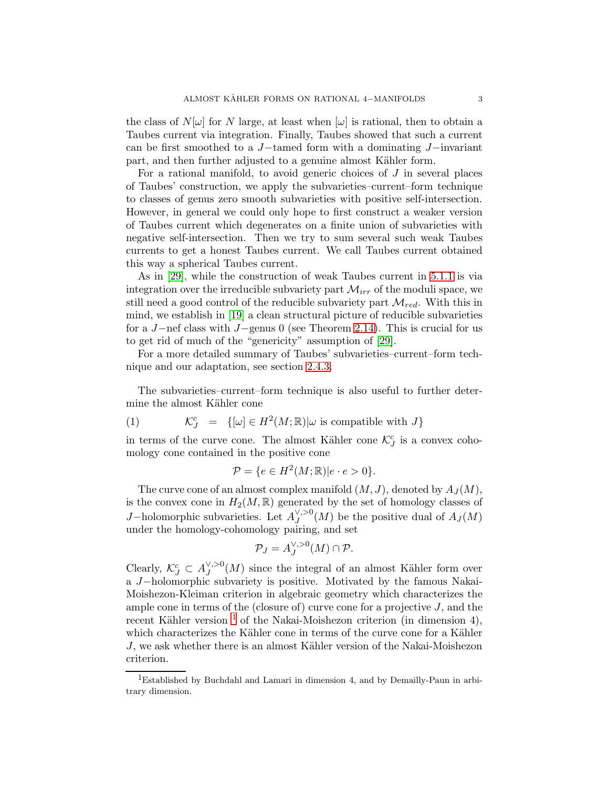the class of  $N[\omega]$  for N large, at least when  $[\omega]$  is rational, then to obtain a Taubes current via integration. Finally, Taubes showed that such a current can be first smoothed to a J−tamed form with a dominating J−invariant part, and then further adjusted to a genuine almost Kähler form.

For a rational manifold, to avoid generic choices of  $J$  in several places of Taubes' construction, we apply the subvarieties–current–form technique to classes of genus zero smooth subvarieties with positive self-intersection. However, in general we could only hope to first construct a weaker version of Taubes current which degenerates on a finite union of subvarieties with negative self-intersection. Then we try to sum several such weak Taubes currents to get a honest Taubes current. We call Taubes current obtained this way a spherical Taubes current.

As in [\[29\]](#page-45-6), while the construction of weak Taubes current in [5.1.1](#page-31-2) is via integration over the irreducible subvariety part  $\mathcal{M}_{irr}$  of the moduli space, we still need a good control of the reducible subvariety part  $\mathcal{M}_{red}$ . With this in mind, we establish in [\[19\]](#page-45-7) a clean structural picture of reducible subvarieties for a J−nef class with J−genus 0 (see Theorem [2.14\)](#page-12-1). This is crucial for us to get rid of much of the "genericity" assumption of [\[29\]](#page-45-6).

For a more detailed summary of Taubes' subvarieties–current–form technique and our adaptation, see section [2.4.3.](#page-11-0)

The subvarieties–current–form technique is also useful to further determine the almost Kähler cone

(1) 
$$
\mathcal{K}_J^c = \{ [\omega] \in H^2(M; \mathbb{R}) | \omega \text{ is compatible with } J \}
$$

in terms of the curve cone. The almost Kähler cone  $\mathcal{K}_{J}^{c}$  is a convex cohomology cone contained in the positive cone

$$
\mathcal{P} = \{ e \in H^2(M; \mathbb{R}) | e \cdot e > 0 \}.
$$

The curve cone of an almost complex manifold  $(M, J)$ , denoted by  $A_J(M)$ , is the convex cone in  $H_2(M, \mathbb{R})$  generated by the set of homology classes of J–holomorphic subvarieties. Let  $A_J^{\vee,>0}(M)$  be the positive dual of  $A_J(M)$ under the homology-cohomology pairing, and set

$$
\mathcal{P}_J = A_J^{\vee,>0}(M) \cap \mathcal{P}.
$$

Clearly,  $\mathcal{K}_{J}^{c} \subset A_{J}^{\vee, >0}(M)$  since the integral of an almost Kähler form over a J−holomorphic subvariety is positive. Motivated by the famous Nakai-Moishezon-Kleiman criterion in algebraic geometry which characterizes the ample cone in terms of the (closure of) curve cone for a projective  $J$ , and the recent Kähler version<sup>[1](#page-2-0)</sup> of the Nakai-Moishezon criterion (in dimension 4), which characterizes the Kähler cone in terms of the curve cone for a Kähler  $J$ , we ask whether there is an almost Kähler version of the Nakai-Moishezon criterion.

<span id="page-2-0"></span><sup>1</sup>Established by Buchdahl and Lamari in dimension 4, and by Demailly-Paun in arbitrary dimension.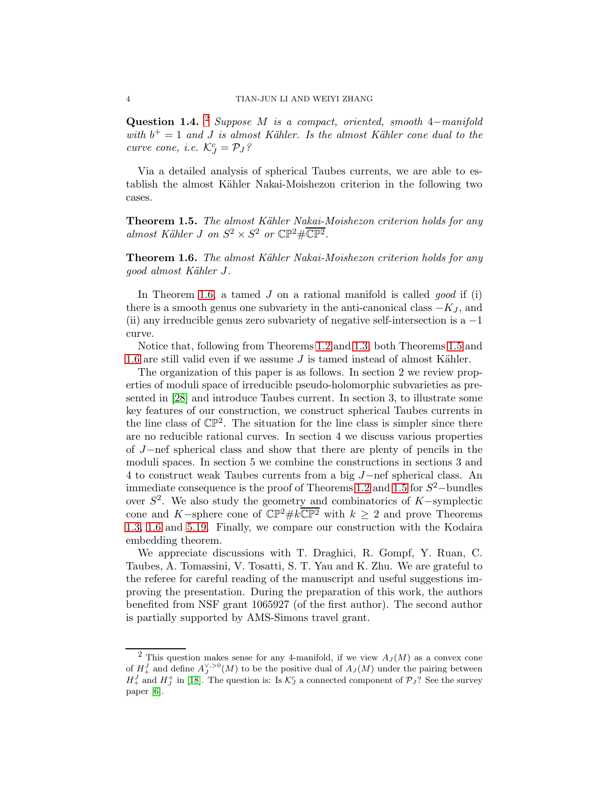<span id="page-3-3"></span>Question 1.4. <sup>[2](#page-3-0)</sup> Suppose M is a compact, oriented, smooth 4–manifold with  $b^+=1$  and J is almost Kähler. Is the almost Kähler cone dual to the curve cone, i.e.  $\mathcal{K}_J^c = \mathcal{P}_J$ ?

Via a detailed analysis of spherical Taubes currents, we are able to establish the almost Kähler Nakai-Moishezon criterion in the following two cases.

<span id="page-3-2"></span>Theorem 1.5. The almost Kähler Nakai-Moishezon criterion holds for any almost Kähler J on  $S^2 \times S^2$  or  $\mathbb{CP}^2 \# \overline{\mathbb{CP}^2}$ .

<span id="page-3-1"></span>**Theorem 1.6.** The almost Kähler Nakai-Moishezon criterion holds for any good almost Kähler J.

In Theorem [1.6,](#page-3-1) a tamed  $J$  on a rational manifold is called *good* if (i) there is a smooth genus one subvariety in the anti-canonical class  $-K_J$ , and (ii) any irreducible genus zero subvariety of negative self-intersection is  $a - 1$ curve.

Notice that, following from Theorems [1.2](#page-1-2) and [1.3,](#page-1-3) both Theorems [1.5](#page-3-2) and [1.6](#page-3-1) are still valid even if we assume  $J$  is tamed instead of almost Kähler.

The organization of this paper is as follows. In section 2 we review properties of moduli space of irreducible pseudo-holomorphic subvarieties as presented in [\[28\]](#page-45-3) and introduce Taubes current. In section 3, to illustrate some key features of our construction, we construct spherical Taubes currents in the line class of  $\mathbb{CP}^2$ . The situation for the line class is simpler since there are no reducible rational curves. In section 4 we discuss various properties of J−nef spherical class and show that there are plenty of pencils in the moduli spaces. In section 5 we combine the constructions in sections 3 and 4 to construct weak Taubes currents from a big J−nef spherical class. An immediate consequence is the proof of Theorems [1.2](#page-1-2) and [1.5](#page-3-2) for  $S^2$ -bundles over  $S^2$ . We also study the geometry and combinatorics of K-symplectic cone and K-sphere cone of  $\mathbb{CP}^2 \# k\overline{\mathbb{CP}^2}$  with  $k \geq 2$  and prove Theorems [1.3,](#page-1-3) [1.6](#page-3-1) and [5.19.](#page-40-0) Finally, we compare our construction with the Kodaira embedding theorem.

We appreciate discussions with T. Draghici, R. Gompf, Y. Ruan, C. Taubes, A. Tomassini, V. Tosatti, S. T. Yau and K. Zhu. We are grateful to the referee for careful reading of the manuscript and useful suggestions improving the presentation. During the preparation of this work, the authors benefited from NSF grant 1065927 (of the first author). The second author is partially supported by AMS-Simons travel grant.

<span id="page-3-0"></span><sup>&</sup>lt;sup>2</sup> This question makes sense for any 4-manifold, if we view  $A_J(M)$  as a convex cone of  $H_+^J$  and define  $A_J^{\vee,>0}(M)$  to be the positive dual of  $A_J(M)$  under the pairing between  $H_+^J$  and  $H_J^+$  in [\[18\]](#page-45-4). The question is: Is  $\mathcal{K}_J^c$  a connected component of  $\mathcal{P}_J$ ? See the survey paper [\[6\]](#page-44-5).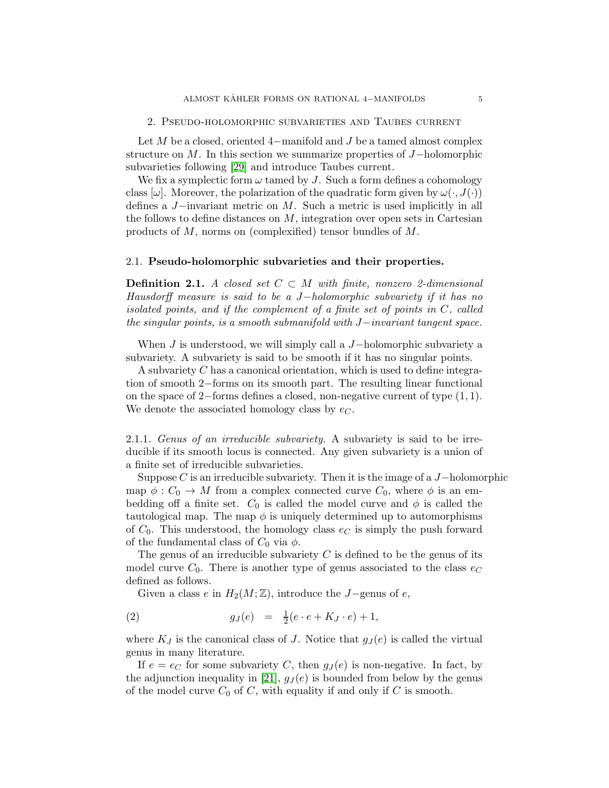<span id="page-4-0"></span>Let M be a closed, oriented 4-manifold and J be a tamed almost complex structure on M. In this section we summarize properties of J−holomorphic subvarieties following [\[29\]](#page-45-6) and introduce Taubes current.

We fix a symplectic form  $\omega$  tamed by J. Such a form defines a cohomology class  $[\omega]$ . Moreover, the polarization of the quadratic form given by  $\omega(\cdot, J(\cdot))$ defines a J−invariant metric on M. Such a metric is used implicitly in all the follows to define distances on  $M$ , integration over open sets in Cartesian products of M, norms on (complexified) tensor bundles of M.

#### <span id="page-4-1"></span>2.1. Pseudo-holomorphic subvarieties and their properties.

<span id="page-4-2"></span>**Definition 2.1.** A closed set  $C \subset M$  with finite, nonzero 2-dimensional Hausdorff measure is said to be a J−holomorphic subvariety if it has no isolated points, and if the complement of a finite set of points in C, called the singular points, is a smooth submanifold with J−invariant tangent space.

When  $J$  is understood, we will simply call a  $J$ -holomorphic subvariety a subvariety. A subvariety is said to be smooth if it has no singular points.

A subvariety C has a canonical orientation, which is used to define integration of smooth 2−forms on its smooth part. The resulting linear functional on the space of 2−forms defines a closed, non-negative current of type (1, 1). We denote the associated homology class by  $e_C$ .

2.1.1. Genus of an irreducible subvariety. A subvariety is said to be irreducible if its smooth locus is connected. Any given subvariety is a union of a finite set of irreducible subvarieties.

Suppose C is an irreducible subvariety. Then it is the image of a  $J-\text{holomorphic}$ map  $\phi : C_0 \to M$  from a complex connected curve  $C_0$ , where  $\phi$  is an embedding off a finite set.  $C_0$  is called the model curve and  $\phi$  is called the tautological map. The map  $\phi$  is uniquely determined up to automorphisms of  $C_0$ . This understood, the homology class  $e_C$  is simply the push forward of the fundamental class of  $C_0$  via  $\phi$ .

The genus of an irreducible subvariety  $C$  is defined to be the genus of its model curve  $C_0$ . There is another type of genus associated to the class  $e_C$ defined as follows.

Given a class e in  $H_2(M; \mathbb{Z})$ , introduce the J−genus of e,

(2) 
$$
g_J(e) = \frac{1}{2}(e \cdot e + K_J \cdot e) + 1,
$$

where  $K_J$  is the canonical class of J. Notice that  $g_J(e)$  is called the virtual genus in many literature.

If  $e = e_C$  for some subvariety C, then  $g_J(e)$  is non-negative. In fact, by the adjunction inequality in [\[21\]](#page-45-8),  $g_J(e)$  is bounded from below by the genus of the model curve  $C_0$  of C, with equality if and only if C is smooth.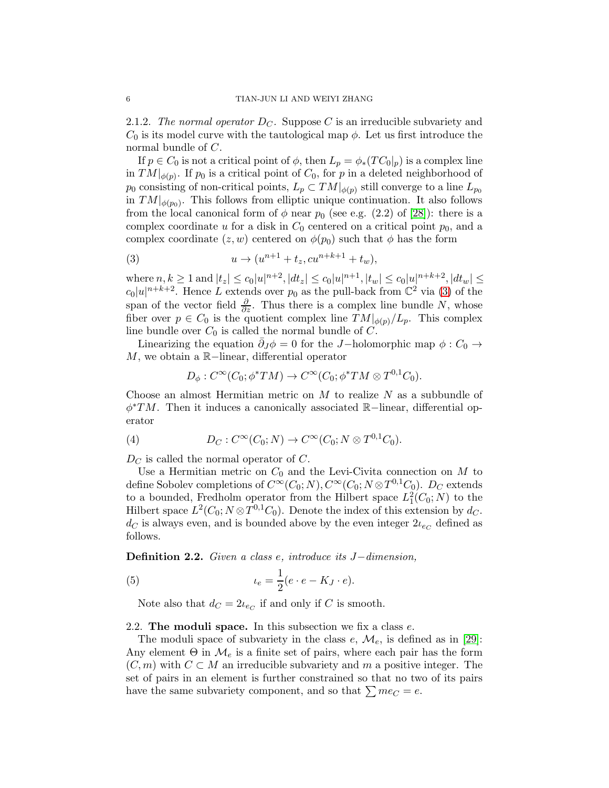2.1.2. The normal operator  $D<sub>C</sub>$ . Suppose C is an irreducible subvariety and  $C_0$  is its model curve with the tautological map  $\phi$ . Let us first introduce the normal bundle of C.

If  $p \in C_0$  is not a critical point of  $\phi$ , then  $L_p = \phi_*(TC_0|_p)$  is a complex line in  $TM|_{\phi(p)}$ . If  $p_0$  is a critical point of  $C_0$ , for p in a deleted neighborhood of  $p_0$  consisting of non-critical points,  $L_p \subset TM|_{\phi(p)}$  still converge to a line  $L_{p_0}$ in  $TM|_{\phi(p_0)}$ . This follows from elliptic unique continuation. It also follows from the local canonical form of  $\phi$  near  $p_0$  (see e.g. (2.2) of [\[28\]](#page-45-3)): there is a complex coordinate u for a disk in  $C_0$  centered on a critical point  $p_0$ , and a complex coordinate  $(z, w)$  centered on  $\phi(p_0)$  such that  $\phi$  has the form

<span id="page-5-1"></span>(3) 
$$
u \to (u^{n+1} + t_z, cu^{n+k+1} + t_w),
$$

where  $n, k \geq 1$  and  $|t_z| \leq c_0 |u|^{n+2}$ ,  $|dt_z| \leq c_0 |u|^{n+1}$ ,  $|t_w| \leq c_0 |u|^{n+k+2}$ ,  $|dt_w| \leq c_0 |t|^{n+k+2}$  $c_0|u|^{n+k+2}$ . Hence L extends over  $p_0$  as the pull-back from  $\mathbb{C}^2$  via [\(3\)](#page-5-1) of the span of the vector field  $\frac{\partial}{\partial z}$ . Thus there is a complex line bundle N, whose fiber over  $p \in C_0$  is the quotient complex line  $TM|_{\phi(p)}/L_p$ . This complex line bundle over  $C_0$  is called the normal bundle of  $C$ .

Linearizing the equation  $\bar{\partial}_J \phi = 0$  for the J-holomorphic map  $\phi : C_0 \rightarrow$ M, we obtain a R−linear, differential operator

$$
D_{\phi}: C^{\infty}(C_0; \phi^*TM) \to C^{\infty}(C_0; \phi^*TM \otimes T^{0,1}C_0).
$$

Choose an almost Hermitian metric on  $M$  to realize  $N$  as a subbundle of φ ∗TM. Then it induces a canonically associated R−linear, differential operator

(4) 
$$
D_C: C^{\infty}(C_0; N) \to C^{\infty}(C_0; N \otimes T^{0,1}C_0).
$$

 $D<sub>C</sub>$  is called the normal operator of C.

Use a Hermitian metric on  $C_0$  and the Levi-Civita connection on  $M$  to define Sobolev completions of  $C^{\infty}(C_0; N)$ ,  $C^{\infty}(C_0; N \otimes T^{0,1}C_0)$ .  $D_C$  extends to a bounded, Fredholm operator from the Hilbert space  $L_1^2(C_0; N)$  to the Hilbert space  $L^2(C_0; N \otimes T^{0,1}C_0)$ . Denote the index of this extension by  $d_C$ .  $d_C$  is always even, and is bounded above by the even integer  $2\iota_{e_C}$  defined as follows.

Definition 2.2. Given a class e, introduce its J−dimension,

(5) 
$$
t_e = \frac{1}{2}(e \cdot e - K_J \cdot e).
$$

<span id="page-5-2"></span>Note also that  $d_C = 2\iota_{e_C}$  if and only if C is smooth.

#### <span id="page-5-0"></span>2.2. The moduli space. In this subsection we fix a class  $e$ .

The moduli space of subvariety in the class  $e, \mathcal{M}_e$ , is defined as in [\[29\]](#page-45-6): Any element  $\Theta$  in  $\mathcal{M}_e$  is a finite set of pairs, where each pair has the form  $(C, m)$  with  $C \subset M$  an irreducible subvariety and m a positive integer. The set of pairs in an element is further constrained so that no two of its pairs have the same subvariety component, and so that  $\sum me_C = e$ .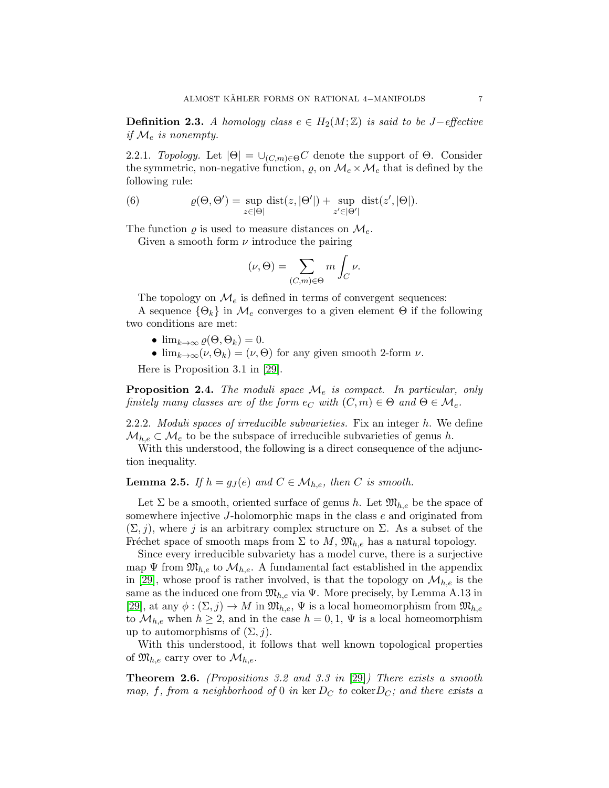**Definition 2.3.** A homology class  $e \in H_2(M;\mathbb{Z})$  is said to be J-effective if  $\mathcal{M}_e$  is nonempty.

2.2.1. Topology. Let  $|\Theta| = \bigcup_{(C,m)\in\Theta} C$  denote the support of  $\Theta$ . Consider the symmetric, non-negative function,  $\rho$ , on  $\mathcal{M}_e \times \mathcal{M}_e$  that is defined by the following rule:

(6) 
$$
\varrho(\Theta, \Theta') = \sup_{z \in |\Theta|} \text{dist}(z, |\Theta'|) + \sup_{z' \in |\Theta'|} \text{dist}(z', |\Theta|).
$$

The function  $\rho$  is used to measure distances on  $\mathcal{M}_{e}$ .

Given a smooth form  $\nu$  introduce the pairing

$$
(\nu,\Theta) = \sum_{(C,m)\in\Theta} m \int_C \nu.
$$

The topology on  $\mathcal{M}_e$  is defined in terms of convergent sequences:

A sequence  $\{\Theta_k\}$  in  $\mathcal{M}_e$  converges to a given element  $\Theta$  if the following two conditions are met:

- $\lim_{k\to\infty}\rho(\Theta,\Theta_k)=0.$
- $\lim_{k\to\infty} (\nu, \Theta_k) = (\nu, \Theta)$  for any given smooth 2-form  $\nu$ .

Here is Proposition 3.1 in [\[29\]](#page-45-6).

<span id="page-6-2"></span>**Proposition 2.4.** The moduli space  $\mathcal{M}_e$  is compact. In particular, only finitely many classes are of the form  $e_C$  with  $(C, m) \in \Theta$  and  $\Theta \in \mathcal{M}_e$ .

2.2.2. Moduli spaces of irreducible subvarieties. Fix an integer h. We define  $\mathcal{M}_{h,e} \subset \mathcal{M}_e$  to be the subspace of irreducible subvarieties of genus h.

With this understood, the following is a direct consequence of the adjunction inequality.

<span id="page-6-0"></span>**Lemma 2.5.** If  $h = q_J(e)$  and  $C \in \mathcal{M}_{h,e}$ , then C is smooth.

Let  $\Sigma$  be a smooth, oriented surface of genus h. Let  $\mathfrak{M}_{h,e}$  be the space of somewhere injective J-holomorphic maps in the class e and originated from  $(\Sigma, j)$ , where j is an arbitrary complex structure on  $\Sigma$ . As a subset of the Fréchet space of smooth maps from  $\Sigma$  to  $M$ ,  $\mathfrak{M}_{h,e}$  has a natural topology.

Since every irreducible subvariety has a model curve, there is a surjective map  $\Psi$  from  $\mathfrak{M}_{h,e}$  to  $\mathcal{M}_{h,e}$ . A fundamental fact established in the appendix in [\[29\]](#page-45-6), whose proof is rather involved, is that the topology on  $\mathcal{M}_{h,e}$  is the same as the induced one from  $\mathfrak{M}_{h,e}$  via  $\Psi$ . More precisely, by Lemma A.13 in [\[29\]](#page-45-6), at any  $\phi: (\Sigma, j) \to M$  in  $\mathfrak{M}_{h,e}, \Psi$  is a local homeomorphism from  $\mathfrak{M}_{h,e}$ to  $\mathcal{M}_{h,e}$  when  $h \geq 2$ , and in the case  $h = 0, 1, \Psi$  is a local homeomorphism up to automorphisms of  $(\Sigma, j)$ .

With this understood, it follows that well known topological properties of  $\mathfrak{M}_{h,e}$  carry over to  $\mathcal{M}_{h,e}$ .

<span id="page-6-1"></span>**Theorem 2.6.** (Propositions 3.2 and 3.3 in  $[29]$ ) There exists a smooth map, f, from a neighborhood of 0 in ker  $D_C$  to coker  $D_C$ ; and there exists a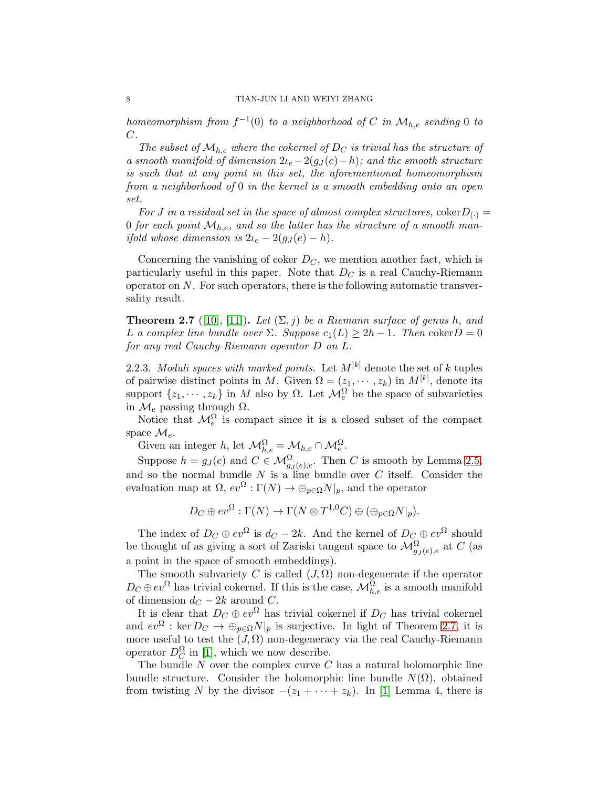homeomorphism from  $f^{-1}(0)$  to a neighborhood of C in  $\mathcal{M}_{h,e}$  sending 0 to C.

The subset of  $\mathcal{M}_{he}$  where the cokernel of  $D_C$  is trivial has the structure of a smooth manifold of dimension  $2\iota_e - 2(g_J(e) - h)$ ; and the smooth structure is such that at any point in this set, the aforementioned homeomorphism from a neighborhood of 0 in the kernel is a smooth embedding onto an open set.

For J in a residual set in the space of almost complex structures,  $\text{coker} D_{(.)} =$ 0 for each point  $\mathcal{M}_{h,e}$ , and so the latter has the structure of a smooth manifold whose dimension is  $2\iota_e - 2(g_J(e) - h)$ .

Concerning the vanishing of coker  $D<sub>C</sub>$ , we mention another fact, which is particularly useful in this paper. Note that  $D<sub>C</sub>$  is a real Cauchy-Riemann operator on  $N$ . For such operators, there is the following automatic transversality result.

<span id="page-7-0"></span>**Theorem 2.7** ([\[10\]](#page-44-6), [\[11\]](#page-44-7)). Let  $(\Sigma, j)$  be a Riemann surface of genus h, and L a complex line bundle over  $\Sigma$ . Suppose  $c_1(L) \geq 2h-1$ . Then coker  $D = 0$ for any real Cauchy-Riemann operator D on L.

2.2.3. Moduli spaces with marked points. Let  $M^{[k]}$  denote the set of k tuples of pairwise distinct points in M. Given  $\Omega = (z_1, \dots, z_k)$  in  $M^{[k]}$ , denote its support  $\{z_1, \dots, z_k\}$  in M also by  $\Omega$ . Let  $\mathcal{M}_e^{\Omega}$  be the space of subvarieties in  $\mathcal{M}_e$  passing through  $\Omega$ .

Notice that  $\mathcal{M}_e^{\Omega}$  is compact since it is a closed subset of the compact space  $\mathcal{M}_e$ .

Given an integer h, let  $\mathcal{M}_{h,e}^{\Omega} = \mathcal{M}_{h,e} \cap \mathcal{M}_e^{\Omega}$ .

Suppose  $h = g_J(e)$  and  $C \in \mathcal{M}_{g_J(e),e}^{\Omega}$ . Then C is smooth by Lemma [2.5,](#page-6-0) and so the normal bundle  $N$  is a line bundle over  $C$  itself. Consider the evaluation map at  $\Omega$ ,  $ev^{\Omega} : \Gamma(N) \to \bigoplus_{p \in \Omega} N|_p$ , and the operator

$$
D_C \oplus ev^{\Omega} : \Gamma(N) \to \Gamma(N \otimes T^{1,0}C) \oplus (\oplus_{p \in \Omega} N|_{p}).
$$

The index of  $D_C \oplus ev^{\Omega}$  is  $d_C - 2k$ . And the kernel of  $D_C \oplus ev^{\Omega}$  should be thought of as giving a sort of Zariski tangent space to  $\mathcal{M}_{g_J(e),e}^{\Omega}$  at C (as a point in the space of smooth embeddings).

The smooth subvariety C is called  $(J, \Omega)$  non-degenerate if the operator  $D_C \oplus ev^{\Omega}$  has trivial cokernel. If this is the case,  $\mathcal{M}_{h,e}^{\Omega}$  is a smooth manifold of dimension  $d_C - 2k$  around  $C$ .

It is clear that  $D_C \oplus ev^{\Omega}$  has trivial cokernel if  $D_C$  has trivial cokernel and  $ev^{\Omega}: \text{ker } D_C \to \oplus_{p \in \Omega} N|_p$  is surjective. In light of Theorem [2.7,](#page-7-0) it is more useful to test the  $(J,\Omega)$  non-degeneracy via the real Cauchy-Riemann operator  $D_C^{\Omega}$  in [\[1\]](#page-44-8), which we now describe.

The bundle  $N$  over the complex curve  $C$  has a natural holomorphic line bundle structure. Consider the holomorphic line bundle  $N(\Omega)$ , obtained from twisting N by the divisor  $-(z_1 + \cdots + z_k)$ . In [\[1\]](#page-44-8) Lemma 4, there is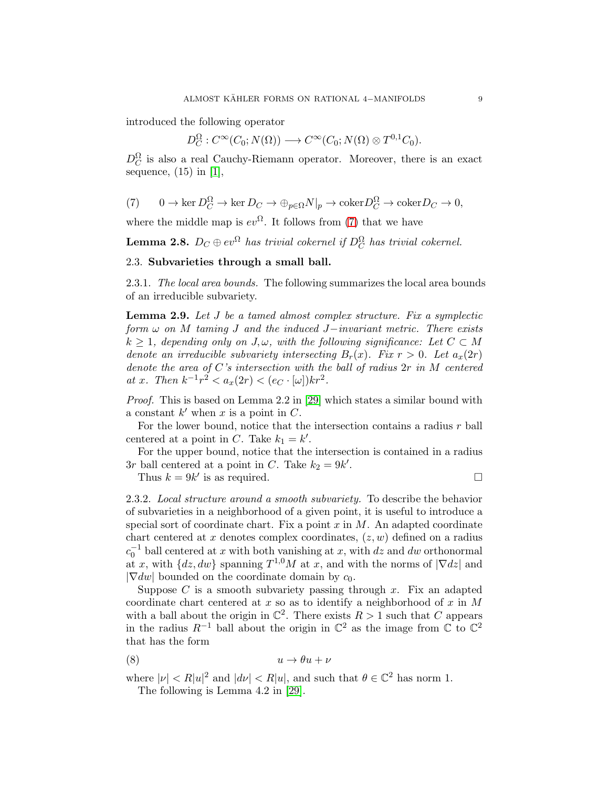introduced the following operator

 $D_C^{\Omega}: C^{\infty}(C_0; N(\Omega)) \longrightarrow C^{\infty}(C_0; N(\Omega) \otimes T^{0,1}C_0).$ 

 $D_C^{\Omega}$  is also a real Cauchy-Riemann operator. Moreover, there is an exact sequence,  $(15)$  in [\[1\]](#page-44-8),

<span id="page-8-1"></span>(7) 
$$
0 \to \ker D_C^{\Omega} \to \ker D_C \to \oplus_{p \in \Omega} N|_p \to \text{coker} D_C^{\Omega} \to \text{coker} D_C \to 0,
$$

where the middle map is  $ev^{\Omega}$ . It follows from [\(7\)](#page-8-1) that we have

<span id="page-8-2"></span><span id="page-8-0"></span>**Lemma 2.8.**  $D_C \oplus ev^{\Omega}$  has trivial cokernel if  $D_C^{\Omega}$  has trivial cokernel.

# 2.3. Subvarieties through a small ball.

2.3.1. The local area bounds. The following summarizes the local area bounds of an irreducible subvariety.

<span id="page-8-3"></span>**Lemma 2.9.** Let J be a tamed almost complex structure. Fix a symplectic form  $\omega$  on M taming J and the induced J−invariant metric. There exists  $k \geq 1$ , depending only on J, $\omega$ , with the following significance: Let  $C \subset M$ denote an irreducible subvariety intersecting  $B_r(x)$ . Fix  $r > 0$ . Let  $a_x(2r)$ denote the area of  $C$ 's intersection with the ball of radius  $2r$  in M centered at x. Then  $k^{-1}r^2 < a_x(2r) < (e_C \cdot [\omega]) kr^2$ .

Proof. This is based on Lemma 2.2 in [\[29\]](#page-45-6) which states a similar bound with a constant  $k'$  when  $x$  is a point in  $C$ .

For the lower bound, notice that the intersection contains a radius  $r$  ball centered at a point in C. Take  $k_1 = k'$ .

For the upper bound, notice that the intersection is contained in a radius 3r ball centered at a point in C. Take  $k_2 = 9k'$ .

Thus  $k = 9k'$  is as required.

2.3.2. Local structure around a smooth subvariety. To describe the behavior of subvarieties in a neighborhood of a given point, it is useful to introduce a special sort of coordinate chart. Fix a point  $x$  in  $M$ . An adapted coordinate chart centered at x denotes complex coordinates,  $(z, w)$  defined on a radius  $c_0^{-1}$  ball centered at x with both vanishing at x, with dz and dw orthonormal at x, with  $\{dz, dw\}$  spanning  $T^{1,0}M$  at x, and with the norms of  $|\nabla dz|$  and  $|\nabla dw|$  bounded on the coordinate domain by  $c_0$ .

Suppose  $C$  is a smooth subvariety passing through  $x$ . Fix an adapted coordinate chart centered at  $x$  so as to identify a neighborhood of  $x$  in  $M$ with a ball about the origin in  $\mathbb{C}^2$ . There exists  $R > 1$  such that C appears in the radius  $R^{-1}$  ball about the origin in  $\mathbb{C}^2$  as the image from  $\mathbb C$  to  $\mathbb{C}^2$ that has the form

$$
(8) \t u \to \theta u + \nu
$$

where  $|\nu| < R |u|^2$  and  $|d\nu| < R |u|$ , and such that  $\theta \in \mathbb{C}^2$  has norm 1.

The following is Lemma 4.2 in [\[29\]](#page-45-6).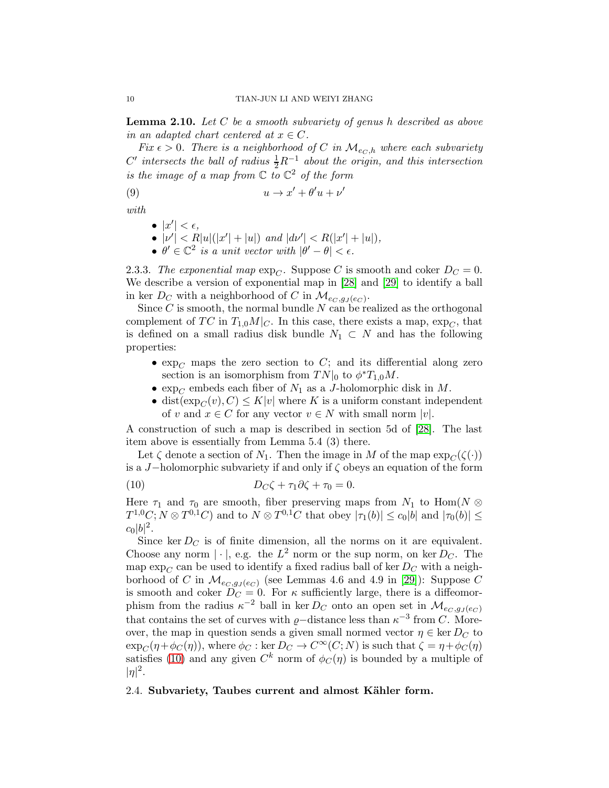<span id="page-9-2"></span>**Lemma 2.10.** Let  $C$  be a smooth subvariety of genus h described as above in an adapted chart centered at  $x \in C$ .

Fix  $\epsilon > 0$ . There is a neighborhood of C in  $\mathcal{M}_{e_C,h}$  where each subvariety C' intersects the ball of radius  $\frac{1}{2}R^{-1}$  about the origin, and this intersection is the image of a map from  $\mathbb C$  to  $\mathbb C^2$  of the form

$$
(9) \t u \to x' + \theta' u + \nu'
$$

with

 $\bullet$   $|x'| < \epsilon$ , •  $|v'| < R|u|(|x'| + |u|)$  and  $|dv'| < R(|x'| + |u|)$ , •  $\theta' \in \mathbb{C}^2$  is a unit vector with  $|\theta' - \theta| < \epsilon$ .

2.3.3. The exponential map  $\exp_{C}$ . Suppose C is smooth and coker  $D_C = 0$ . We describe a version of exponential map in [\[28\]](#page-45-3) and [\[29\]](#page-45-6) to identify a ball in ker  $D_C$  with a neighborhood of C in  $\mathcal{M}_{e_C, g_J(e_C)}$ .

Since  $C$  is smooth, the normal bundle  $N$  can be realized as the orthogonal complement of TC in  $T_{1,0}M|_C$ . In this case, there exists a map,  $\exp_C$ , that is defined on a small radius disk bundle  $N_1 \subset N$  and has the following properties:

- $\exp_{C}$  maps the zero section to C; and its differential along zero section is an isomorphism from  $TN|_0$  to  $\phi^*T_{1,0}M$ .
- $\exp_C$  embeds each fiber of  $N_1$  as a J-holomorphic disk in M.
- dist( $\exp_C(v), C \leq K|v|$  where K is a uniform constant independent of v and  $x \in C$  for any vector  $v \in N$  with small norm  $|v|$ .

A construction of such a map is described in section 5d of [\[28\]](#page-45-3). The last item above is essentially from Lemma 5.4 (3) there.

Let  $\zeta$  denote a section of  $N_1$ . Then the image in M of the map  $\exp_{\zeta}(\zeta(\cdot))$ is a J−holomorphic subvariety if and only if  $\zeta$  obeys an equation of the form

<span id="page-9-1"></span>(10) 
$$
D_C \zeta + \tau_1 \partial \zeta + \tau_0 = 0.
$$

Here  $\tau_1$  and  $\tau_0$  are smooth, fiber preserving maps from  $N_1$  to  $\text{Hom}(N \otimes$  $T^{1,0}C; N \otimes T^{0,1}C$  and to  $N \otimes T^{0,1}C$  that obey  $|\tau_1(b)| \le c_0|b|$  and  $|\tau_0(b)| \le$  $c_0|b|^2.$ 

Since ker  $D<sub>C</sub>$  is of finite dimension, all the norms on it are equivalent. Choose any norm  $|\cdot|$ , e.g. the  $L^2$  norm or the sup norm, on ker  $D_C$ . The map  $\exp_C$  can be used to identify a fixed radius ball of ker  $D_C$  with a neighborhood of C in  $\mathcal{M}_{e_C,g_J(e_C)}$  (see Lemmas 4.6 and 4.9 in [\[29\]](#page-45-6)): Suppose C is smooth and coker  $D_C = 0$ . For  $\kappa$  sufficiently large, there is a diffeomorphism from the radius  $\kappa^{-2}$  ball in ker  $D_C$  onto an open set in  $\mathcal{M}_{e_C, g_J(e_C)}$ that contains the set of curves with  $\varrho$ -distance less than  $\kappa^{-3}$  from C. Moreover, the map in question sends a given small normed vector  $\eta \in \text{ker } D_C$  to  $\exp_C(\eta + \phi_C(\eta))$ , where  $\phi_C : \ker D_C \to C^\infty(C;N)$  is such that  $\zeta = \eta + \phi_C(\eta)$ satisfies [\(10\)](#page-9-1) and any given  $C^k$  norm of  $\phi_C(\eta)$  is bounded by a multiple of  $|\eta|^2$ .

#### <span id="page-9-0"></span>2.4. Subvariety, Taubes current and almost Kähler form.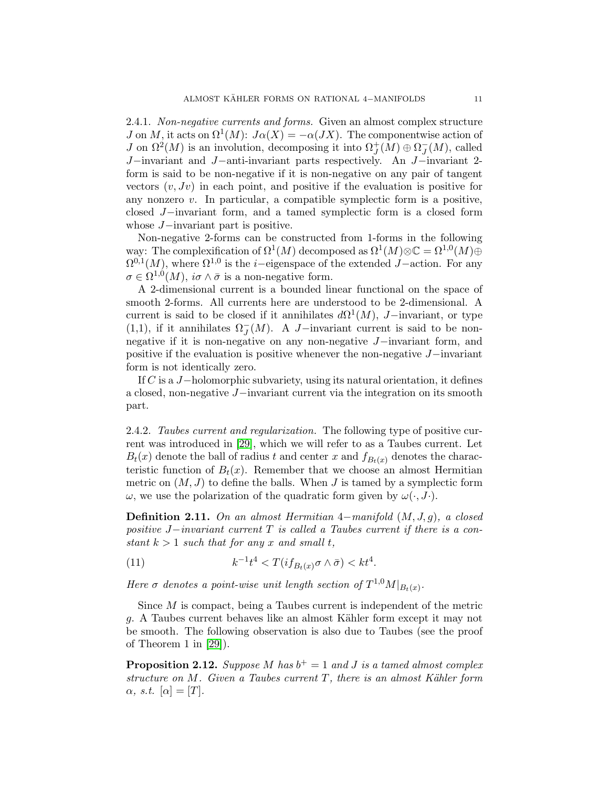2.4.1. Non-negative currents and forms. Given an almost complex structure J on M, it acts on  $\Omega^1(M)$ :  $J\alpha(X) = -\alpha(JX)$ . The componentwise action of *J* on  $\Omega^2(M)$  is an involution, decomposing it into  $\Omega_J^+(M) \oplus \Omega_J^-(M)$ , called J−invariant and J−anti-invariant parts respectively. An J−invariant 2 form is said to be non-negative if it is non-negative on any pair of tangent vectors  $(v, Jv)$  in each point, and positive if the evaluation is positive for any nonzero  $v$ . In particular, a compatible symplectic form is a positive, closed J−invariant form, and a tamed symplectic form is a closed form whose J−invariant part is positive.

Non-negative 2-forms can be constructed from 1-forms in the following way: The complexification of  $\Omega^1(M)$  decomposed as  $\Omega^1(M) \otimes \mathbb{C} = \Omega^{1,0}(M) \oplus \mathbb{C}$  $\Omega^{0,1}(M)$ , where  $\Omega^{1,0}$  is the *i*-eigenspace of the extended *J*-action. For any  $\sigma \in \Omega^{1,0}(M)$ ,  $i\sigma \wedge \bar{\sigma}$  is a non-negative form.

A 2-dimensional current is a bounded linear functional on the space of smooth 2-forms. All currents here are understood to be 2-dimensional. A current is said to be closed if it annihilates  $d\Omega^1(M)$ , J-invariant, or type (1,1), if it annihilates  $\Omega_J^-(M)$ . A J-invariant current is said to be nonnegative if it is non-negative on any non-negative J−invariant form, and positive if the evaluation is positive whenever the non-negative J−invariant form is not identically zero.

If C is a J−holomorphic subvariety, using its natural orientation, it defines a closed, non-negative J−invariant current via the integration on its smooth part.

2.4.2. Taubes current and regularization. The following type of positive current was introduced in [\[29\]](#page-45-6), which we will refer to as a Taubes current. Let  $B_t(x)$  denote the ball of radius t and center x and  $f_{B_t(x)}$  denotes the characteristic function of  $B_t(x)$ . Remember that we choose an almost Hermitian metric on  $(M, J)$  to define the balls. When J is tamed by a symplectic form  $\omega$ , we use the polarization of the quadratic form given by  $\omega(\cdot, J \cdot)$ .

<span id="page-10-0"></span>Definition 2.11. On an almost Hermitian  $4$ -manifold  $(M, J, g)$ , a closed positive  $J$ −invariant current T is called a Taubes current if there is a constant  $k > 1$  such that for any x and small t,

<span id="page-10-1"></span>(11) 
$$
k^{-1}t^4 < T(if_{B_t(x)}\sigma \wedge \bar{\sigma}) < kt^4.
$$

Here  $\sigma$  denotes a point-wise unit length section of  $T^{1,0}M|_{B_t(x)}$ .

Since M is compact, being a Taubes current is independent of the metric g. A Taubes current behaves like an almost Kähler form except it may not be smooth. The following observation is also due to Taubes (see the proof of Theorem 1 in [\[29\]](#page-45-6)).

<span id="page-10-2"></span>**Proposition 2.12.** Suppose M has  $b^+ = 1$  and J is a tamed almost complex structure on  $M$ . Given a Taubes current  $T$ , there is an almost Kähler form  $\alpha$ , s.t.  $[\alpha] = [T]$ .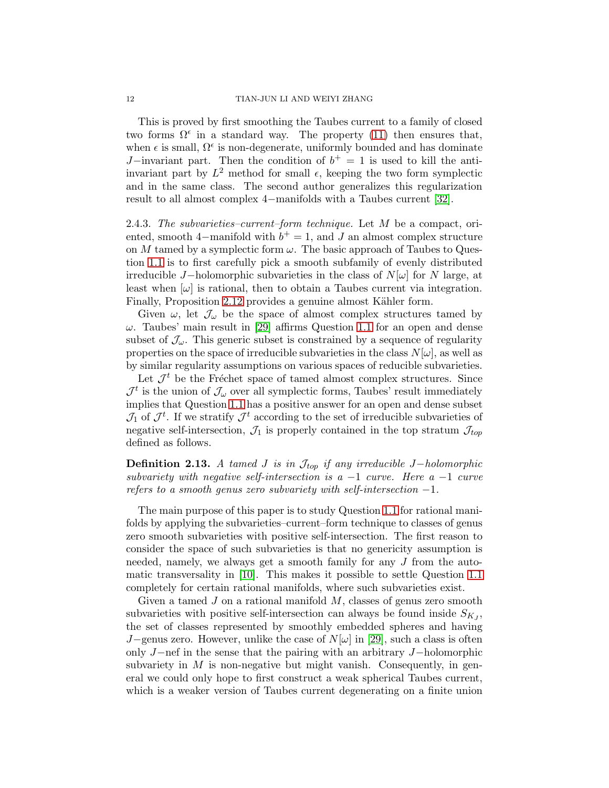This is proved by first smoothing the Taubes current to a family of closed two forms  $\Omega^{\epsilon}$  in a standard way. The property [\(11\)](#page-10-1) then ensures that, when  $\epsilon$  is small,  $\Omega^{\epsilon}$  is non-degenerate, uniformly bounded and has dominate J–invariant part. Then the condition of  $b^+=1$  is used to kill the antiinvariant part by  $L^2$  method for small  $\epsilon$ , keeping the two form symplectic and in the same class. The second author generalizes this regularization result to all almost complex 4−manifolds with a Taubes current [\[32\]](#page-45-9).

<span id="page-11-0"></span>2.4.3. The subvarieties–current–form technique. Let  $M$  be a compact, oriented, smooth 4–manifold with  $b^+ = 1$ , and J an almost complex structure on M tamed by a symplectic form  $\omega$ . The basic approach of Taubes to Question [1.1](#page-1-1) is to first carefully pick a smooth subfamily of evenly distributed irreducible J−holomorphic subvarieties in the class of  $N[\omega]$  for N large, at least when  $[\omega]$  is rational, then to obtain a Taubes current via integration. Finally, Proposition [2.12](#page-10-2) provides a genuine almost Kähler form.

Given  $\omega$ , let  $\mathcal{J}_{\omega}$  be the space of almost complex structures tamed by  $\omega$ . Taubes' main result in [\[29\]](#page-45-6) affirms Question [1.1](#page-1-1) for an open and dense subset of  $\mathcal{J}_{\omega}$ . This generic subset is constrained by a sequence of regularity properties on the space of irreducible subvarieties in the class  $N[\omega]$ , as well as by similar regularity assumptions on various spaces of reducible subvarieties.

Let  $\mathcal{J}^t$  be the Fréchet space of tamed almost complex structures. Since  $\mathcal{J}^t$  is the union of  $\mathcal{J}_{\omega}$  over all symplectic forms, Taubes' result immediately implies that Question [1.1](#page-1-1) has a positive answer for an open and dense subset  $\mathcal{J}_1$  of  $\mathcal{J}^t$ . If we stratify  $\mathcal{J}^t$  according to the set of irreducible subvarieties of negative self-intersection,  $\mathcal{J}_1$  is properly contained in the top stratum  $\mathcal{J}_{top}$ defined as follows.

**Definition 2.13.** A tamed J is in  $\mathcal{J}_{top}$  if any irreducible J−holomorphic subvariety with negative self-intersection is a  $-1$  curve. Here a  $-1$  curve refers to a smooth genus zero subvariety with self-intersection  $-1$ .

The main purpose of this paper is to study Question [1.1](#page-1-1) for rational manifolds by applying the subvarieties–current–form technique to classes of genus zero smooth subvarieties with positive self-intersection. The first reason to consider the space of such subvarieties is that no genericity assumption is needed, namely, we always get a smooth family for any J from the automatic transversality in [\[10\]](#page-44-6). This makes it possible to settle Question [1.1](#page-1-1) completely for certain rational manifolds, where such subvarieties exist.

Given a tamed  $J$  on a rational manifold  $M$ , classes of genus zero smooth subvarieties with positive self-intersection can always be found inside  $S_{K_J}$ , the set of classes represented by smoothly embedded spheres and having J−genus zero. However, unlike the case of  $N[\omega]$  in [\[29\]](#page-45-6), such a class is often only J−nef in the sense that the pairing with an arbitrary J−holomorphic subvariety in  $M$  is non-negative but might vanish. Consequently, in general we could only hope to first construct a weak spherical Taubes current, which is a weaker version of Taubes current degenerating on a finite union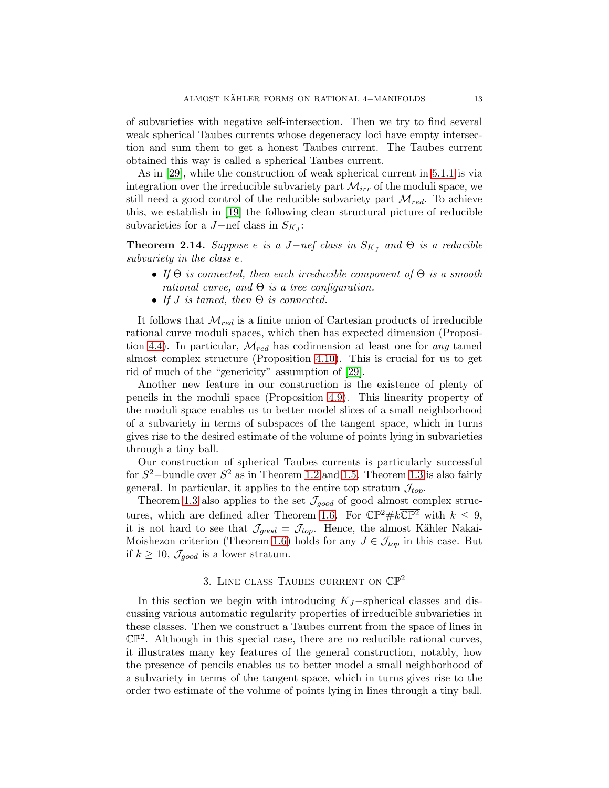of subvarieties with negative self-intersection. Then we try to find several weak spherical Taubes currents whose degeneracy loci have empty intersection and sum them to get a honest Taubes current. The Taubes current obtained this way is called a spherical Taubes current.

As in [\[29\]](#page-45-6), while the construction of weak spherical current in [5.1.1](#page-31-2) is via integration over the irreducible subvariety part  $\mathcal{M}_{irr}$  of the moduli space, we still need a good control of the reducible subvariety part  $\mathcal{M}_{red}$ . To achieve this, we establish in [\[19\]](#page-45-7) the following clean structural picture of reducible subvarieties for a  $J$ -nef class in  $S_{KJ}$ :

<span id="page-12-1"></span>**Theorem 2.14.** Suppose e is a J-nef class in  $S_{KJ}$  and  $\Theta$  is a reducible subvariety in the class e.

- If  $\Theta$  is connected, then each irreducible component of  $\Theta$  is a smooth rational curve, and  $\Theta$  is a tree configuration.
- If *J* is tamed, then  $\Theta$  is connected.

It follows that  $\mathcal{M}_{red}$  is a finite union of Cartesian products of irreducible rational curve moduli spaces, which then has expected dimension (Proposi-tion [4.4\)](#page-21-0). In particular,  $\mathcal{M}_{red}$  has codimension at least one for any tamed almost complex structure (Proposition [4.10\)](#page-22-1). This is crucial for us to get rid of much of the "genericity" assumption of [\[29\]](#page-45-6).

Another new feature in our construction is the existence of plenty of pencils in the moduli space (Proposition [4.9\)](#page-22-2). This linearity property of the moduli space enables us to better model slices of a small neighborhood of a subvariety in terms of subspaces of the tangent space, which in turns gives rise to the desired estimate of the volume of points lying in subvarieties through a tiny ball.

Our construction of spherical Taubes currents is particularly successful for  $S^2$ -bundle over  $S^2$  as in Theorem [1.2](#page-1-2) and [1.5.](#page-3-2) Theorem [1.3](#page-1-3) is also fairly general. In particular, it applies to the entire top stratum  $\mathcal{J}_{top}$ .

Theorem [1.3](#page-1-3) also applies to the set  $\mathcal{J}_{good}$  of good almost complex struc-tures, which are defined after Theorem [1.6.](#page-3-1) For  $\mathbb{CP}^2 \# k \overline{\mathbb{CP}^2}$  with  $k \leq 9$ , it is not hard to see that  $\mathcal{J}_{good} = \mathcal{J}_{top}$ . Hence, the almost Kähler Nakai-Moishezon criterion (Theorem [1.6\)](#page-3-1) holds for any  $J \in \mathcal{J}_{top}$  in this case. But if  $k \geq 10$ ,  $\mathcal{J}_{good}$  is a lower stratum.

# 3. LINE CLASS TAUBES CURRENT ON  $\mathbb{CP}^2$

<span id="page-12-0"></span>In this section we begin with introducing  $K_J$ -spherical classes and discussing various automatic regularity properties of irreducible subvarieties in these classes. Then we construct a Taubes current from the space of lines in  $\mathbb{CP}^2$ . Although in this special case, there are no reducible rational curves, it illustrates many key features of the general construction, notably, how the presence of pencils enables us to better model a small neighborhood of a subvariety in terms of the tangent space, which in turns gives rise to the order two estimate of the volume of points lying in lines through a tiny ball.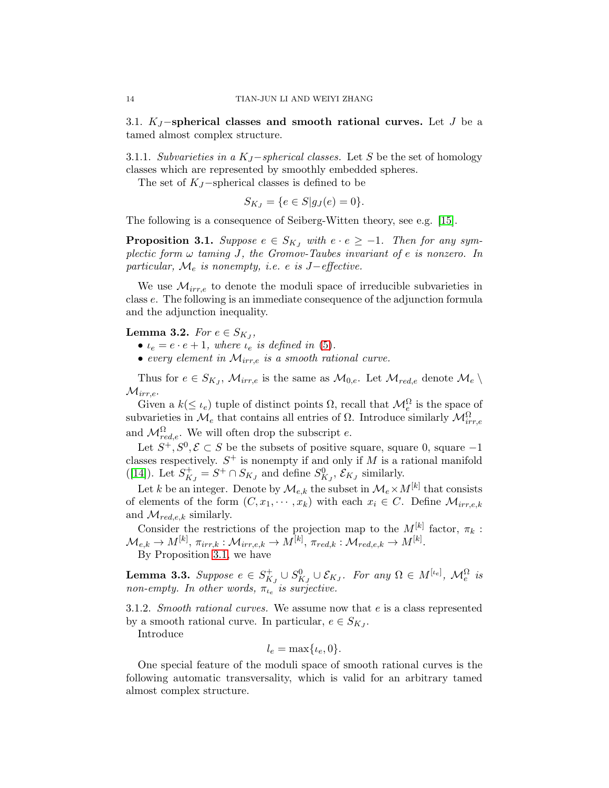<span id="page-13-0"></span>3.1. K<sub>J</sub> $-$ spherical classes and smooth rational curves. Let J be a tamed almost complex structure.

3.1.1. Subvarieties in a  $K_J$ –spherical classes. Let S be the set of homology classes which are represented by smoothly embedded spheres.

The set of  $K_J$ -spherical classes is defined to be

$$
S_{K_J} = \{ e \in S | g_J(e) = 0 \}.
$$

The following is a consequence of Seiberg-Witten theory, see e.g. [\[15\]](#page-44-9).

<span id="page-13-1"></span>**Proposition 3.1.** Suppose  $e \in S_{KJ}$  with  $e \cdot e \geq -1$ . Then for any symplectic form  $\omega$  taming J, the Gromov-Taubes invariant of e is nonzero. In particular,  $\mathcal{M}_e$  is nonempty, i.e. e is J-effective.

We use  $\mathcal{M}_{irr,e}$  to denote the moduli space of irreducible subvarieties in class e. The following is an immediate consequence of the adjunction formula and the adjunction inequality.

# <span id="page-13-2"></span>Lemma 3.2. For  $e \in S_{K_J},$

- $\iota_e = e \cdot e + 1$ , where  $\iota_e$  is defined in [\(5\)](#page-5-2).
- every element in  $\mathcal{M}_{irr,e}$  is a smooth rational curve.

Thus for  $e \in S_{K_J}, \mathcal{M}_{irr,e}$  is the same as  $\mathcal{M}_{0,e}$ . Let  $\mathcal{M}_{red,e}$  denote  $\mathcal{M}_e \setminus$  $\mathcal{M}_{irr,e}.$ 

Given a  $k(\leq \iota_e)$  tuple of distinct points  $\Omega$ , recall that  $\mathcal{M}_e^{\Omega}$  is the space of subvarieties in  $\mathcal{M}_e$  that contains all entries of  $\Omega$ . Introduce similarly  $\mathcal{M}_{irr,e}^{\Omega}$ and  $\mathcal{M}_{red,e}^{\Omega}$ . We will often drop the subscript e.

Let  $S^+, S^0, \mathcal{E} \subset S$  be the subsets of positive square, square 0, square  $-1$ classes respectively.  $S^+$  is nonempty if and only if M is a rational manifold ([\[14\]](#page-44-10)). Let  $S_{K_J}^+ = S^+ \cap S_{K_J}$  and define  $S_{K_J}^0$ ,  $\mathcal{E}_{K_J}$  similarly.

Let k be an integer. Denote by  $\mathcal{M}_{e,k}$  the subset in  $\mathcal{M}_{e} \times M^{[k]}$  that consists of elements of the form  $(C, x_1, \dots, x_k)$  with each  $x_i \in C$ . Define  $\mathcal{M}_{irre,k}$ and  $\mathcal{M}_{red.e.k}$  similarly.

Consider the restrictions of the projection map to the  $M^{[k]}$  factor,  $\pi_k$ :  $\mathcal{M}_{e,k}\rightarrow M^{[k]},\, \pi_{irr,k}:\mathcal{M}_{irr,e,k}\rightarrow M^{[k]},\, \pi_{red,k}:\mathcal{M}_{red,e,k}\rightarrow M^{[k]}.$ By Proposition [3.1,](#page-13-1) we have

<span id="page-13-3"></span>**Lemma 3.3.** Suppose  $e \in S^+_{K_J} \cup S^0_{K_J} \cup \mathcal{E}_{K_J}$ . For any  $\Omega \in M^{[\iota_e]}$ ,  $\mathcal{M}_e^{\Omega}$  is non-empty. In other words,  $\pi_{t_e}$  is surjective.

3.1.2. Smooth rational curves. We assume now that e is a class represented by a smooth rational curve. In particular,  $e \in S_{K_J}$ .

Introduce

$$
l_e = \max\{\iota_e, 0\}.
$$

One special feature of the moduli space of smooth rational curves is the following automatic transversality, which is valid for an arbitrary tamed almost complex structure.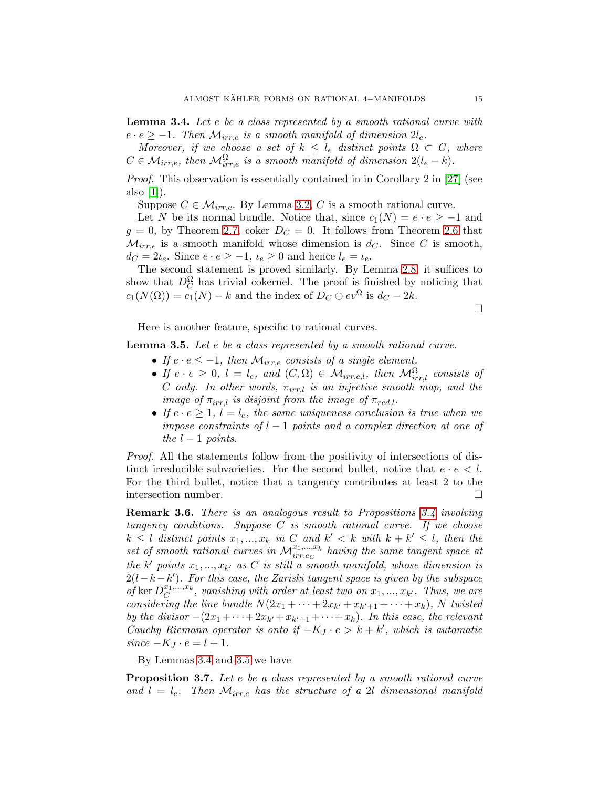<span id="page-14-0"></span>**Lemma 3.4.** Let e be a class represented by a smooth rational curve with  $e \cdot e \geq -1$ . Then  $\mathcal{M}_{irr,e}$  is a smooth manifold of dimension  $2l_e$ .

Moreover, if we choose a set of  $k \leq l_e$  distinct points  $\Omega \subset C$ , where  $C \in \mathcal{M}_{irr,e}$ , then  $\mathcal{M}_{irr,e}^{\Omega}$  is a smooth manifold of dimension  $2(l_e - k)$ .

Proof. This observation is essentially contained in in Corollary 2 in [\[27\]](#page-45-10) (see also  $[1]$ ).

Suppose  $C \in \mathcal{M}_{irr,e}$ . By Lemma [3.2,](#page-13-2) C is a smooth rational curve.

Let N be its normal bundle. Notice that, since  $c_1(N) = e \cdot e \geq -1$  and  $g = 0$ , by Theorem [2.7,](#page-7-0) coker  $D<sub>C</sub> = 0$ . It follows from Theorem [2.6](#page-6-1) that  $\mathcal{M}_{irr,e}$  is a smooth manifold whose dimension is  $d_C$ . Since C is smooth,  $d_C = 2\iota_e$ . Since  $e \cdot e \ge -1$ ,  $\iota_e \ge 0$  and hence  $l_e = \iota_e$ .

The second statement is proved similarly. By Lemma [2.8,](#page-8-2) it suffices to show that  $D_C^{\Omega}$  has trivial cokernel. The proof is finished by noticing that  $c_1(N(\Omega)) = c_1(N) - k$  and the index of  $D_C \oplus ev^{\Omega}$  is  $d_C - 2k$ .

 $\Box$ 

Here is another feature, specific to rational curves.

<span id="page-14-1"></span>**Lemma 3.5.** Let e be a class represented by a smooth rational curve.

- If  $e \cdot e \leq -1$ , then  $\mathcal{M}_{irr,e}$  consists of a single element.
- If  $e \cdot e \geq 0$ ,  $l = l_e$ , and  $(C, \Omega) \in \mathcal{M}_{irr,e,l}$ , then  $\mathcal{M}_{irr,l}^{\Omega}$  consists of C only. In other words,  $\pi_{irr,l}$  is an injective smooth map, and the image of  $\pi_{irr,l}$  is disjoint from the image of  $\pi_{red,l}$ .
- If  $e \cdot e \geq 1$ ,  $l = l_e$ , the same uniqueness conclusion is true when we impose constraints of  $l-1$  points and a complex direction at one of the  $l-1$  points.

Proof. All the statements follow from the positivity of intersections of distinct irreducible subvarieties. For the second bullet, notice that  $e \cdot e \leq l$ . For the third bullet, notice that a tangency contributes at least 2 to the intersection number.  $\Box$ 

Remark 3.6. There is an analogous result to Propositions [3.4](#page-14-0) involving tangency conditions. Suppose  $C$  is smooth rational curve. If we choose  $k \leq l$  distinct points  $x_1, ..., x_k$  in C and  $k' < k$  with  $k + k' \leq l$ , then the set of smooth rational curves in  $\mathcal{M}_{irr, e_C}^{x_1,\dots,x_k}$  having the same tangent space at the k' points  $x_1, ..., x_{k'}$  as C is still a smooth manifold, whose dimension is  $2(l-k-k')$ . For this case, the Zariski tangent space is given by the subspace of ker  $D_C^{x_1,...,x_k}$ , vanishing with order at least two on  $x_1,...,x_{k'}$ . Thus, we are considering the line bundle  $N(2x_1 + \cdots + 2x_{k'} + x_{k'+1} + \cdots + x_k)$ , N twisted by the divisor  $-(2x_1 + \cdots + 2x_{k'} + x_{k'+1} + \cdots + x_k)$ . In this case, the relevant Cauchy Riemann operator is onto if  $-K_J \cdot e > k + k'$ , which is automatic  $since$   $-K_J \cdot e = l + 1.$ 

By Lemmas [3.4](#page-14-0) and [3.5](#page-14-1) we have

Proposition 3.7. Let e be a class represented by a smooth rational curve and  $l = l_e$ . Then  $\mathcal{M}_{irr,e}$  has the structure of a 2l dimensional manifold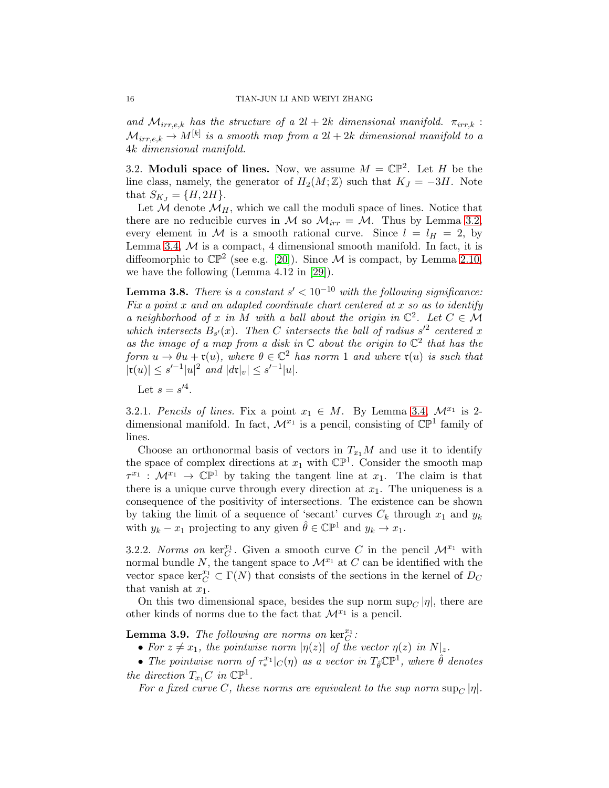and  $\mathcal{M}_{irr,e,k}$  has the structure of a  $2l + 2k$  dimensional manifold.  $\pi_{irr,k}$ :  $\mathcal{M}_{irr,e,k}\rightarrow M^{[k]}$  is a smooth map from a  $2l+2k$  dimensional manifold to a 4k dimensional manifold.

<span id="page-15-0"></span>3.2. Moduli space of lines. Now, we assume  $M = \mathbb{CP}^2$ . Let H be the line class, namely, the generator of  $H_2(M;\mathbb{Z})$  such that  $K_J = -3H$ . Note that  $S_{K_J} = \{H, 2H\}.$ 

Let  $M$  denote  $M_H$ , which we call the moduli space of lines. Notice that there are no reducible curves in M so  $M_{irr} = M$ . Thus by Lemma [3.2,](#page-13-2) every element in M is a smooth rational curve. Since  $l = l_H = 2$ , by Lemma [3.4,](#page-14-0)  $M$  is a compact, 4 dimensional smooth manifold. In fact, it is diffeomorphic to  $\mathbb{CP}^2$  (see e.g. [\[20\]](#page-45-11)). Since M is compact, by Lemma [2.10,](#page-9-2) we have the following (Lemma 4.12 in [\[29\]](#page-45-6)).

<span id="page-15-2"></span>**Lemma 3.8.** There is a constant  $s' < 10^{-10}$  with the following significance: Fix a point x and an adapted coordinate chart centered at x so as to identify a neighborhood of x in M with a ball about the origin in  $\mathbb{C}^2$ . Let  $C \in \mathcal{M}$ which intersects  $B_{s'}(x)$ . Then C intersects the ball of radius  $s'^2$  centered x as the image of a map from a disk in  $\mathbb C$  about the origin to  $\mathbb C^2$  that has the form  $u \to \theta u + \mathfrak{r}(u)$ , where  $\theta \in \mathbb{C}^2$  has norm 1 and where  $\mathfrak{r}(u)$  is such that  $|\mathfrak{r}(u)| \leq s'^{-1}|u|^2$  and  $|d\mathfrak{r}|_v| \leq s'^{-1}|u|.$ 

Let  $s = s'^4$ .

3.2.1. Pencils of lines. Fix a point  $x_1 \in M$ . By Lemma [3.4,](#page-14-0)  $\mathcal{M}^{x_1}$  is 2dimensional manifold. In fact,  $\mathcal{M}^{x_1}$  is a pencil, consisting of  $\mathbb{CP}^1$  family of lines.

Choose an orthonormal basis of vectors in  $T_{x_1}M$  and use it to identify the space of complex directions at  $x_1$  with  $\mathbb{CP}^1$ . Consider the smooth map  $\tau^{x_1}$  :  $\mathcal{M}^{x_1} \to \mathbb{C} \mathbb{P}^1$  by taking the tangent line at  $x_1$ . The claim is that there is a unique curve through every direction at  $x_1$ . The uniqueness is a consequence of the positivity of intersections. The existence can be shown by taking the limit of a sequence of 'secant' curves  $C_k$  through  $x_1$  and  $y_k$ with  $y_k - x_1$  projecting to any given  $\hat{\theta} \in \mathbb{CP}^1$  and  $y_k \to x_1$ .

3.2.2. Norms on  $\ker_C^{x_1}$ . Given a smooth curve C in the pencil  $\mathcal{M}^{x_1}$  with normal bundle N, the tangent space to  $\mathcal{M}^{x_1}$  at C can be identified with the vector space  $\ker_C^{x_1} \subset \Gamma(N)$  that consists of the sections in the kernel of  $D_C$ that vanish at  $x_1$ .

On this two dimensional space, besides the sup norm  $\sup_C |\eta|$ , there are other kinds of norms due to the fact that  $\mathcal{M}^{x_1}$  is a pencil.

<span id="page-15-1"></span>**Lemma 3.9.** The following are norms on  $\ker_C^{x_1}$ :

- For  $z \neq x_1$ , the pointwise norm  $|\eta(z)|$  of the vector  $\eta(z)$  in  $N|_z$ .
- The pointwise norm of  $\tau_*^{x_1}$  $\int_{\mathcal{X}}^{x_1} |c(\eta)|$  as a vector in  $T_{\hat{\theta}} \mathbb{CP}^1$ , where  $\hat{\theta}$  denotes the direction  $T_{x_1}C$  in  $\mathbb{CP}^1$ .

For a fixed curve C, these norms are equivalent to the sup norm  $\sup_C |\eta|$ .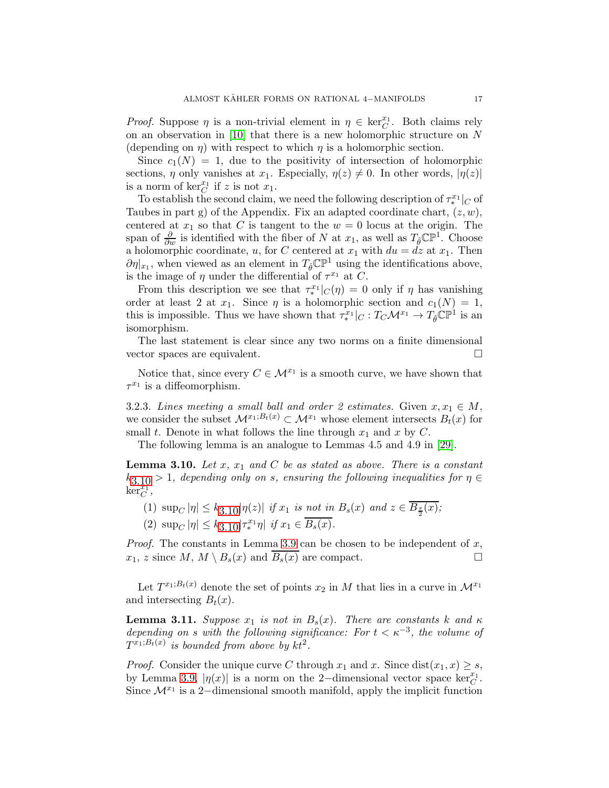Proof. Suppose  $\eta$  is a non-trivial element in  $\eta \in \text{ker}_{\mathbb{C}}^{x_1}$ . Both claims rely on an observation in [\[10\]](#page-44-6) that there is a new holomorphic structure on N (depending on  $\eta$ ) with respect to which  $\eta$  is a holomorphic section.

Since  $c_1(N) = 1$ , due to the positivity of intersection of holomorphic sections,  $\eta$  only vanishes at  $x_1$ . Especially,  $\eta(z) \neq 0$ . In other words,  $|\eta(z)|$ is a norm of  $\ker_C^{x_1}$  if z is not  $x_1$ .

To establish the second claim, we need the following description of  $\tau_*^{x_1}|_C$  of To examine the second claim, we need the following description of  $\ell_*$  [C or Taubes in part g) of the Appendix. Fix an adapted coordinate chart,  $(z, w)$ , centered at  $x_1$  so that C is tangent to the  $w = 0$  locus at the origin. The span of  $\frac{\partial}{\partial w}$  is identified with the fiber of N at  $x_1$ , as well as  $T_{\hat{\theta}} \mathbb{CP}^1$ . Choose a holomorphic coordinate, u, for C centered at  $x_1$  with  $du = dz$  at  $x_1$ . Then  $\partial \eta |_{x_1}$ , when viewed as an element in  $T_{\hat{\theta}} \mathbb{CP}^1$  using the identifications above, is the image of  $\eta$  under the differential of  $\tau^{x_1}$  at C.

From this description we see that  $\tau_*^{x_1}$  $\int_{\alpha}^{x_1} |c(\eta)| = 0$  only if  $\eta$  has vanishing order at least 2 at  $x_1$ . Since  $\eta$  is a holomorphic section and  $c_1(N) = 1$ , this is impossible. Thus we have shown that  $\tau_*^{x_1}$  $T^{x_1}_*|_C: T_C\mathcal{M}^{x_1} \to T_{\hat{\theta}}\mathbb{C}\mathbb{P}^1$  is an isomorphism.

The last statement is clear since any two norms on a finite dimensional vector spaces are equivalent.

Notice that, since every  $C \in \mathcal{M}^{x_1}$  is a smooth curve, we have shown that  $\tau^{x_1}$  is a diffeomorphism.

3.2.3. Lines meeting a small ball and order 2 estimates. Given  $x, x_1 \in M$ , we consider the subset  $\mathcal{M}^{x_1;B_t(x)} \subset \mathcal{M}^{x_1}$  whose element intersects  $B_t(x)$  for small t. Denote in what follows the line through  $x_1$  and x by C.

The following lemma is an analogue to Lemmas 4.5 and 4.9 in [\[29\]](#page-45-6).

<span id="page-16-0"></span>**Lemma 3.10.** Let  $x$ ,  $x_1$  and  $C$  be as stated as above. There is a constant  $k_{3,10} > 1$  $k_{3,10} > 1$  $k_{3,10} > 1$ , depending only on s, ensuring the following inequalities for  $\eta \in$  $\ker_C^{\overline{x}_1},$ 

- (1)  $\sup_C |\eta| \leq k_{3.10} |\eta(z)|$  $\sup_C |\eta| \leq k_{3.10} |\eta(z)|$  $\sup_C |\eta| \leq k_{3.10} |\eta(z)|$  if  $x_1$  is not in  $B_s(x)$  and  $z \in B_{\frac{s}{2}}(x)$ ;
- (2)  $\sup_C |\eta| \leq k_{3.10} |\tau_*^{x_1}|$  $\sup_C |\eta| \leq k_{3.10} |\tau_*^{x_1}|$  $\sup_C |\eta| \leq k_{3.10} |\tau_*^{x_1}|$  $x_1^x$ <sup>1</sup>η if  $x_1$  ∈  $B_s(x)$ .

*Proof.* The constants in Lemma [3.9](#page-15-1) can be chosen to be independent of  $x$ ,  $x_1, z$  since  $M, M \setminus B_s(x)$  and  $B_s(x)$  are compact.

Let  $T^{x_1;B_t(x)}$  denote the set of points  $x_2$  in M that lies in a curve in  $\mathcal{M}^{x_1}$ and intersecting  $B_t(x)$ .

<span id="page-16-1"></span>**Lemma 3.11.** Suppose  $x_1$  is not in  $B_s(x)$ . There are constants k and  $\kappa$ depending on s with the following significance: For  $t < \kappa^{-3}$ , the volume of  $T^{x_1;B_t(x)}$  is bounded from above by  $kt^2$ .

*Proof.* Consider the unique curve C through  $x_1$  and  $x$ . Since  $dist(x_1, x) \geq s$ , by Lemma [3.9,](#page-15-1)  $|\eta(x)|$  is a norm on the 2-dimensional vector space ker $_C^{x_1}$ . Since  $\mathcal{M}^{x_1}$  is a 2-dimensional smooth manifold, apply the implicit function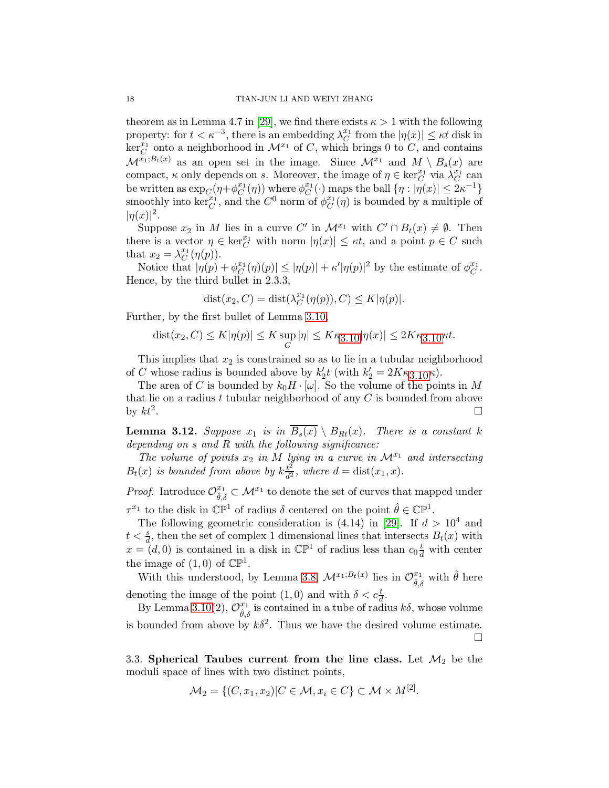theorem as in Lemma 4.7 in [\[29\]](#page-45-6), we find there exists  $\kappa > 1$  with the following property: for  $t < \kappa^{-3}$ , there is an embedding  $\lambda_C^{x_1}$  $\mathcal{L}^{x_1}$  from the  $|\eta(x)| \leq \kappa t$  disk in  $\ker_{C}^{\tilde{x}_{1}}$  onto a neighborhood in  $\mathcal{M}^{x_{1}}$  of C, which brings 0 to C, and contains  $\mathcal{M}^{x_1;B_t(x)}$  as an open set in the image. Since  $\mathcal{M}^{x_1}$  and  $M \setminus B_s(x)$  are compact,  $\kappa$  only depends on s. Moreover, the image of  $\eta \in \ker_C^{x_1}$  via  $\lambda_C^{x_1}$  $\stackrel{x_1}{C}$  can be written as  $\exp_C(\eta + \phi_C^{x_1})$  $_{C}^{x_{1}}(\eta)$  where  $\phi_{C}^{x_{1}}$  $C^{x_1}(\cdot)$  maps the ball  $\{\eta : |\eta(x)| \leq 2\kappa^{-1}\}$ smoothly into ker $_C^{x_1}$ , and the  $C^0$  norm of  $\phi_C^{x_1}$  $C^{x_1}(\eta)$  is bounded by a multiple of  $|\eta(x)|^2$ .

Suppose  $x_2$  in M lies in a curve C' in  $\mathcal{M}^{x_1}$  with  $C' \cap B_t(x) \neq \emptyset$ . Then there is a vector  $\eta \in \ker_{C}^{x_1}$  with norm  $|\eta(x)| \leq \kappa t$ , and a point  $p \in C$  such that  $x_2 = \lambda_C^{x_1}$  ${}^{x_1}_{C}(\eta(p)).$ 

Notice that  $|\eta(p) + \phi_C^{x_1}|$  $\vert C^{x_1}(\eta)(p)\vert \leq \vert \eta(p)\vert + \kappa' \vert \eta(p)\vert^2$  by the estimate of  $\phi_C^{x_1}$  $_{C}^{x_{1}}.$ Hence, by the third bullet in 2.3.3,

$$
dist(x_2, C) = dist(\lambda_C^{x_1}(\eta(p)), C) \le K|\eta(p)|.
$$

Further, by the first bullet of Lemma [3.10,](#page-16-0)

$$
dist(x_2, C) \le K|\eta(p)| \le K \sup_C |\eta| \le K\kappa_{3.10}|\eta(x)| \le 2K\kappa_{3.10}\kappa t.
$$

This implies that  $x_2$  is constrained so as to lie in a tubular neighborhood of C whose radius is bounded above by  $k'_2t$  (with  $k'_2 = 2K\kappa_{3,10}\kappa$  $k'_2 = 2K\kappa_{3,10}\kappa$  $k'_2 = 2K\kappa_{3,10}\kappa$ ).

The area of C is bounded by  $k_0H \cdot [\omega]$ . So the volume of the points in M that lie on a radius t tubular neighborhood of any  $C$  is bounded from above by  $kt^2$ . .

<span id="page-17-1"></span>**Lemma 3.12.** Suppose  $x_1$  is in  $\overline{B_s(x)} \setminus B_{Rt}(x)$ . There is a constant k depending on  $s$  and  $R$  with the following significance:

The volume of points  $x_2$  in M lying in a curve in  $\mathcal{M}^{x_1}$  and intersecting  $B_t(x)$  is bounded from above by  $k\frac{t^2}{d^2}$  $\frac{t^2}{d^2}$ , where  $d = \text{dist}(x_1, x)$ .

*Proof.* Introduce  $\mathcal{O}_{\hat{\theta},\delta}^{x_1} \subset \mathcal{M}^{x_1}$  to denote the set of curves that mapped under  $\tau^{x_1}$  to the disk in  $\mathbb{CP}^1$  of radius  $\delta$  centered on the point  $\hat{\theta} \in \mathbb{CP}^1$ .

The following geometric consideration is  $(4.14)$  in [\[29\]](#page-45-6). If  $d > 10^4$  and  $t < \frac{s}{d}$ , then the set of complex 1 dimensional lines that intersects  $B_t(x)$  with  $x = (d, 0)$  is contained in a disk in  $\mathbb{CP}^1$  of radius less than  $c_0 \frac{t}{d}$  with center the image of  $(1,0)$  of  $\mathbb{CP}^1$ .

With this understood, by Lemma [3.8,](#page-15-2)  $\mathcal{M}^{x_1; B_t(x)}$  lies in  $\mathcal{O}_{\hat{\theta}, \delta}^{x_1}$  with  $\hat{\theta}$  here denoting the image of the point  $(1,0)$  and with  $\delta < c_d^t$ .

By Lemma [3.10\(](#page-16-0)2),  $\mathcal{O}_{\hat{\theta},\delta}^{x_1}$  is contained in a tube of radius  $k\delta$ , whose volume is bounded from above by  $k\delta^2$ . Thus we have the desired volume estimate.  $\Box$ 

<span id="page-17-0"></span>3.3. Spherical Taubes current from the line class. Let  $\mathcal{M}_2$  be the moduli space of lines with two distinct points,

$$
\mathcal{M}_2 = \{ (C, x_1, x_2) | C \in \mathcal{M}, x_i \in C \} \subset \mathcal{M} \times M^{[2]}.
$$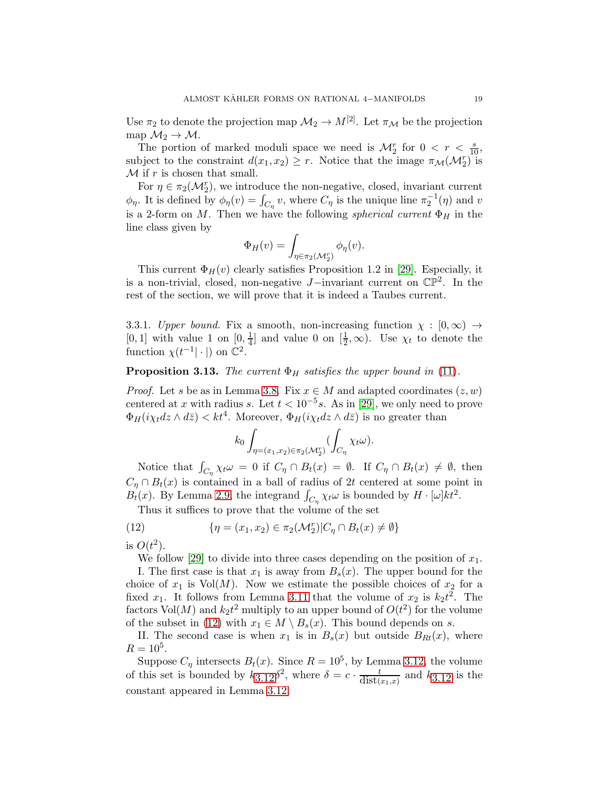Use  $\pi_2$  to denote the projection map  $\mathcal{M}_2 \to M^{[2]}$ . Let  $\pi_{\mathcal{M}}$  be the projection map  $\mathcal{M}_2 \to \mathcal{M}$ .

The portion of marked moduli space we need is  $\mathcal{M}_2^r$  for  $0 < r < \frac{s}{10}$ , subject to the constraint  $d(x_1, x_2) \geq r$ . Notice that the image  $\pi_{\mathcal{M}}(\mathcal{M}_2^r)$  is  $\mathcal M$  if r is chosen that small.

For  $\eta \in \pi_2(\mathcal{M}_2^r)$ , we introduce the non-negative, closed, invariant current  $\phi_{\eta}$ . It is defined by  $\phi_{\eta}(v) = \int_{C_{\eta}} v$ , where  $C_{\eta}$  is the unique line  $\pi_2^{-1}(\eta)$  and v is a 2-form on M. Then we have the following *spherical current*  $\Phi_H$  in the line class given by

$$
\Phi_H(v) = \int_{\eta \in \pi_2(\mathcal{M}_2^r)} \phi_\eta(v).
$$

This current  $\Phi_H(v)$  clearly satisfies Proposition 1.2 in [\[29\]](#page-45-6). Especially, it is a non-trivial, closed, non-negative J−invariant current on CP<sup>2</sup> . In the rest of the section, we will prove that it is indeed a Taubes current.

3.3.1. Upper bound. Fix a smooth, non-increasing function  $\chi : [0, \infty) \rightarrow$ [0, 1] with value 1 on  $[0, \frac{1}{4}]$  $\frac{1}{4}$  and value 0 on  $\left[\frac{1}{2}, \infty\right)$ . Use  $\chi_t$  to denote the function  $\chi(t^{-1}|\cdot|)$  on  $\mathbb{C}^2$ .

## <span id="page-18-1"></span>**Proposition 3.13.** The current  $\Phi_H$  satisfies the upper bound in [\(11\)](#page-10-1).

*Proof.* Let s be as in Lemma [3.8.](#page-15-2) Fix  $x \in M$  and adapted coordinates  $(z, w)$ centered at x with radius s. Let  $t < 10^{-5}$ s. As in [\[29\]](#page-45-6), we only need to prove  $\Phi_H(i\chi_t dz \wedge d\bar{z}) < kt^4$ . Moreover,  $\Phi_H(i\chi_t dz \wedge d\bar{z})$  is no greater than

$$
k_0 \int_{\eta = (x_1, x_2) \in \pi_2(\mathcal{M}_2^r)} (\int_{C_{\eta}} \chi_t \omega).
$$

Notice that  $\int_{C_{\eta}} \chi_t \omega = 0$  if  $C_{\eta} \cap B_t(x) = \emptyset$ . If  $C_{\eta} \cap B_t(x) \neq \emptyset$ , then  $C_{\eta} \cap B_t(x)$  is contained in a ball of radius of 2t centered at some point in  $B_t(x)$ . By Lemma [2.9,](#page-8-3) the integrand  $\int_{C_\eta} \chi_t \omega$  is bounded by  $H \cdot [\omega] k t^2$ .

<span id="page-18-0"></span>Thus it suffices to prove that the volume of the set

(12) 
$$
\{\eta = (x_1, x_2) \in \pi_2(\mathcal{M}_2^r) | C_\eta \cap B_t(x) \neq \emptyset\}
$$

is  $O(t^2)$ .

We follow [\[29\]](#page-45-6) to divide into three cases depending on the position of  $x_1$ .

I. The first case is that  $x_1$  is away from  $B_s(x)$ . The upper bound for the choice of  $x_1$  is  $Vol(M)$ . Now we estimate the possible choices of  $x_2$  for a fixed  $x_1$ . It follows from Lemma [3.11](#page-16-1) that the volume of  $x_2$  is  $k_2t^2$ . The factors  $\text{Vol}(M)$  and  $k_2 t^2$  multiply to an upper bound of  $O(t^2)$  for the volume of the subset in [\(12\)](#page-18-0) with  $x_1 \in M \setminus B_s(x)$ . This bound depends on s.

II. The second case is when  $x_1$  is in  $B_s(x)$  but outside  $B_{Rt}(x)$ , where  $R = 10^5$ .

Suppose  $C_{\eta}$  intersects  $B_t(x)$ . Since  $R = 10^5$ , by Lemma [3.12,](#page-17-1) the volume of this set is bounded by  $k_{3.12}\delta^2$  $k_{3.12}\delta^2$  $k_{3.12}\delta^2$ , where  $\delta = c \cdot \frac{t}{dist(x_1,x)}$  and  $k_{3.12}$  is the constant appeared in Lemma [3.12.](#page-17-1)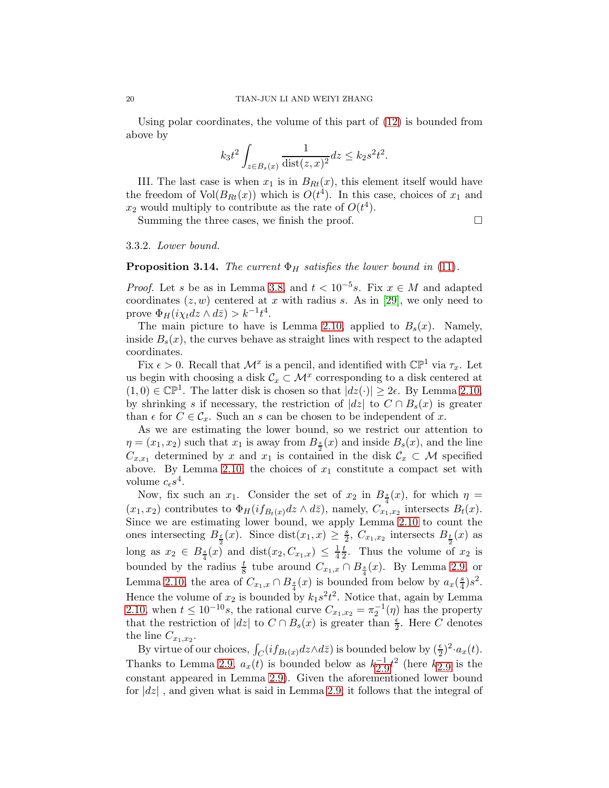Using polar coordinates, the volume of this part of [\(12\)](#page-18-0) is bounded from above by

$$
k_3t^2\int_{z\in B_s(x)}\frac{1}{\text{dist}(z,x)^2}dz\leq k_2s^2t^2.
$$

III. The last case is when  $x_1$  is in  $B_{Rt}(x)$ , this element itself would have the freedom of  $Vol(B_{Rt}(x))$  which is  $O(t^4)$ . In this case, choices of  $x_1$  and  $x_2$  would multiply to contribute as the rate of  $O(t^4)$ .

Summing the three cases, we finish the proof.  $\Box$ 

3.3.2. Lower bound.

#### <span id="page-19-0"></span>**Proposition 3.14.** The current  $\Phi_H$  satisfies the lower bound in [\(11\)](#page-10-1).

*Proof.* Let s be as in Lemma [3.8,](#page-15-2) and  $t < 10^{-5}$  s. Fix  $x \in M$  and adapted coordinates  $(z, w)$  centered at x with radius s. As in [\[29\]](#page-45-6), we only need to prove  $\Phi_H(i\chi_t dz \wedge d\bar{z}) > k^{-1}t^4$ .

The main picture to have is Lemma [2.10,](#page-9-2) applied to  $B_s(x)$ . Namely, inside  $B_s(x)$ , the curves behave as straight lines with respect to the adapted coordinates.

Fix  $\epsilon > 0$ . Recall that  $\mathcal{M}^x$  is a pencil, and identified with  $\mathbb{CP}^1$  via  $\tau_x$ . Let us begin with choosing a disk  $\mathcal{C}_x \subset \mathcal{M}^x$  corresponding to a disk centered at  $(1,0) \in \mathbb{CP}^1$ . The latter disk is chosen so that  $|dz(\cdot)| \geq 2\epsilon$ . By Lemma [2.10,](#page-9-2) by shrinking s if necessary, the restriction of  $|dz|$  to  $C \cap B_s(x)$  is greater than  $\epsilon$  for  $C \in \mathcal{C}_x$ . Such an s can be chosen to be independent of x.

As we are estimating the lower bound, so we restrict our attention to  $\eta = (x_1, x_2)$  such that  $x_1$  is away from  $B_{\frac{s}{2}}(x)$  and inside  $B_s(x)$ , and the line  $C_{x,x_1}$  determined by x and  $x_1$  is contained in the disk  $\mathcal{C}_x \subset \mathcal{M}$  specified above. By Lemma [2.10,](#page-9-2) the choices of  $x_1$  constitute a compact set with volume  $c_{\epsilon} s^4$ .

Now, fix such an  $x_1$ . Consider the set of  $x_2$  in  $B_{\frac{s}{4}}(x)$ , for which  $\eta =$  $(x_1, x_2)$  contributes to  $\Phi_H(i f_{B_t(x)} dz \wedge d\bar{z})$ , namely,  $C_{x_1, x_2}$  intersects  $B_t(x)$ . Since we are estimating lower bound, we apply Lemma [2.10](#page-9-2) to count the ones intersecting  $B_{\frac{t}{2}}(x)$ . Since  $dist(x_1, x) \geq \frac{s}{2}$ long as  $x_2 \in B_{\frac{s}{4}}(x)$  and  $dist(x_2, C_{x_1,x}) \leq \frac{1}{4}\frac{t}{2}$ . Thus the volume of  $\frac{s}{2}$ ,  $C_{x_1,x_2}$  intersects  $B_{\frac{t}{2}}(x)$  as t  $\frac{t}{2}$ . Thus the volume of  $x_2$  is bounded by the radius  $\frac{t}{8}$  tube around  $C_{x_1,x} \cap B_{\frac{s}{4}}(x)$ . By Lemma [2.9,](#page-8-3) or Lemma [2.10,](#page-9-2) the area of  $C_{x_1,x} \cap B_{\frac{s}{4}}(x)$  is bounded from below by  $a_x(\frac{s}{4})$  $\frac{s}{4}$ ) $s^2$ . Hence the volume of  $x_2$  is bounded by  $k_1s^2t^2$ . Notice that, again by Lemma [2.10,](#page-9-2) when  $t \leq 10^{-10}s$ , the rational curve  $C_{x_1,x_2} = \pi_2^{-1}(\eta)$  has the property that the restriction of  $|dz|$  to  $C \cap B_s(x)$  is greater than  $\frac{\epsilon}{2}$ . Here C denotes the line  $C_{x_1,x_2}$ .

By virtue of our choices,  $\int_C (i f_{B_t(x)} dz \wedge d\bar{z})$  is bounded below by  $(\frac{\epsilon}{2})^2 \cdot a_x(t)$ . Thanks to Lemma [2.9,](#page-8-3)  $a_x(t)$  is bounded below as  $k_{2.9}^{-1}t^2$  $k_{2.9}^{-1}t^2$  $k_{2.9}^{-1}t^2$  (here  $k_{2.9}$  is the constant appeared in Lemma [2.9\)](#page-8-3). Given the aforementioned lower bound for  $|dz|$ , and given what is said in Lemma [2.9,](#page-8-3) it follows that the integral of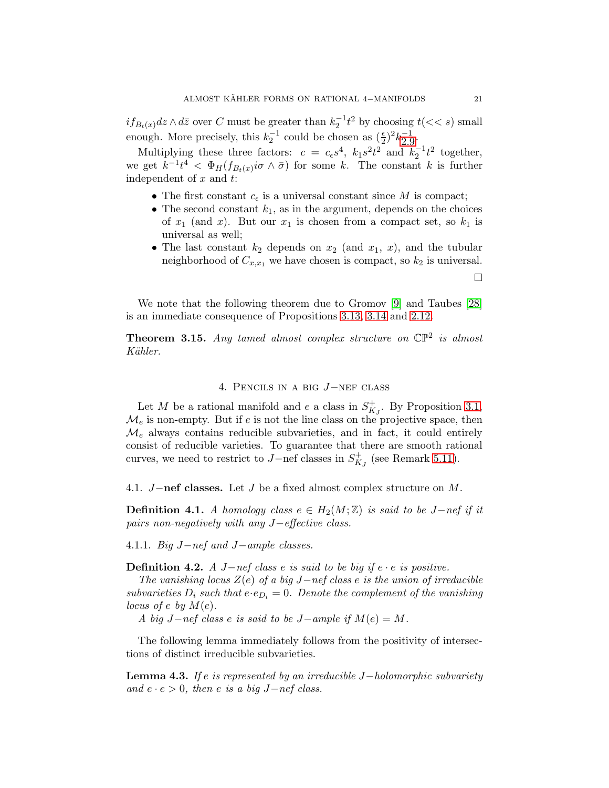$if_{B_t(x)}dz \wedge d\overline{z}$  over C must be greater than  $k_2^{-1}t^2$  by choosing  $t(< s)$  small enough. More precisely, this  $k_2^{-1}$  $k_2^{-1}$  $k_2^{-1}$  could be chosen as  $(\frac{\epsilon}{2})^2 k_2^{-1}$ .

Multiplying these three factors:  $c = c_{\epsilon} s^4$ ,  $k_1 s^2 t^2$  and  $k_2^{-1} t^2$  together, we get  $k^{-1}t^4 < \Phi_H(f_{B_t(x)}i\sigma \wedge \bar{\sigma})$  for some k. The constant k is further independent of  $x$  and  $t$ :

- The first constant  $c_{\epsilon}$  is a universal constant since M is compact;
- The second constant  $k_1$ , as in the argument, depends on the choices of  $x_1$  (and  $x$ ). But our  $x_1$  is chosen from a compact set, so  $k_1$  is universal as well;
- The last constant  $k_2$  depends on  $x_2$  (and  $x_1, x$ ), and the tubular neighborhood of  $C_{x,x_1}$  we have chosen is compact, so  $k_2$  is universal.

We note that the following theorem due to Gromov [\[9\]](#page-44-4) and Taubes [\[28\]](#page-45-3) is an immediate consequence of Propositions [3.13,](#page-18-1) [3.14](#page-19-0) and [2.12.](#page-10-2)

**Theorem 3.15.** Any tamed almost complex structure on  $\mathbb{CP}^2$  is almost Kähler.

## 4. Pencils in a big J−nef class

<span id="page-20-0"></span>Let M be a rational manifold and e a class in  $S^+_{K_J}$ . By Proposition [3.1,](#page-13-1)  $\mathcal{M}_e$  is non-empty. But if e is not the line class on the projective space, then  $\mathcal{M}_e$  always contains reducible subvarieties, and in fact, it could entirely consist of reducible varieties. To guarantee that there are smooth rational curves, we need to restrict to  $J$ –nef classes in  $S_{K_J}^+$  (see Remark [5.11\)](#page-37-0).

<span id="page-20-1"></span>4.1. J−nef classes. Let J be a fixed almost complex structure on M.

**Definition 4.1.** A homology class  $e \in H_2(M;\mathbb{Z})$  is said to be J-nef if it pairs non-negatively with any J−effective class.

4.1.1. Big J−nef and J−ample classes.

**Definition 4.2.** A J−nef class e is said to be big if  $e \cdot e$  is positive.

The vanishing locus  $Z(e)$  of a big J−nef class e is the union of irreducible subvarieties  $D_i$  such that  $e \cdot e_{D_i} = 0$ . Denote the complement of the vanishing locus of e by  $M(e)$ .

A big  $J-nef$  class e is said to be  $J-ample$  if  $M(e) = M$ .

The following lemma immediately follows from the positivity of intersections of distinct irreducible subvarieties.

**Lemma 4.3.** If e is represented by an irreducible  $J-holomorphic$  subvariety and  $e \cdot e > 0$ , then e is a big J-nef class.

 $\Box$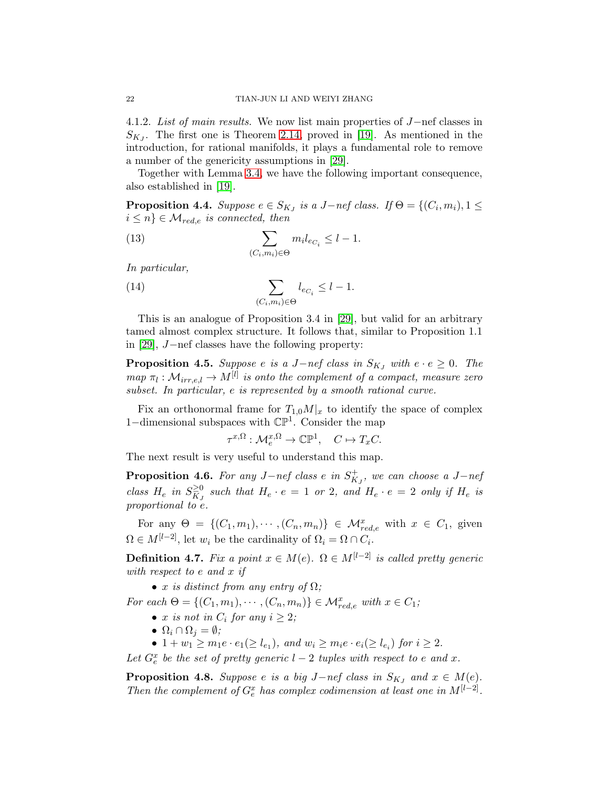4.1.2. List of main results. We now list main properties of J−nef classes in  $S_{K_J}$ . The first one is Theorem [2.14,](#page-12-1) proved in [\[19\]](#page-45-7). As mentioned in the introduction, for rational manifolds, it plays a fundamental role to remove a number of the genericity assumptions in [\[29\]](#page-45-6).

Together with Lemma [3.4,](#page-14-0) we have the following important consequence, also established in [\[19\]](#page-45-7).

<span id="page-21-0"></span>**Proposition 4.4.** Suppose  $e \in S_{KJ}$  is a J-nef class. If  $\Theta = \{(C_i, m_i), 1 \leq \Theta\}$  $i \leq n$   $\in \mathcal{M}_{red,e}$  is connected, then

(13) 
$$
\sum_{(C_i,m_i)\in\Theta} m_i l_{e_{C_i}} \leq l-1.
$$

In particular,

<span id="page-21-4"></span>(14) 
$$
\sum_{(C_i,m_i)\in\Theta} l_{e_{C_i}} \leq l-1.
$$

This is an analogue of Proposition 3.4 in [\[29\]](#page-45-6), but valid for an arbitrary tamed almost complex structure. It follows that, similar to Proposition 1.1 in [\[29\]](#page-45-6), J−nef classes have the following property:

<span id="page-21-1"></span>**Proposition 4.5.** Suppose e is a J−nef class in  $S_{KJ}$  with  $e \cdot e \geq 0$ . The  $map \pi_l : \mathcal{M}_{irr,e,l} \to M^{[l]}$  is onto the complement of a compact, measure zero subset. In particular, e is represented by a smooth rational curve.

Fix an orthonormal frame for  $T_{1,0}M|_x$  to identify the space of complex 1−dimensional subspaces with CP<sup>1</sup> . Consider the map

$$
\tau^{x,\Omega}: \mathcal{M}_e^{x,\Omega} \to \mathbb{CP}^1, \quad C \mapsto T_x C.
$$

The next result is very useful to understand this map.

<span id="page-21-2"></span>**Proposition 4.6.** For any  $J-nef$  class e in  $S^+_{K_J}$ , we can choose a  $J-nef$ class  $H_e$  in  $S_{K_J}^{\geq 0}$  such that  $H_e \cdot e = 1$  or 2, and  $H_e \cdot e = 2$  only if  $H_e$  is proportional to e.

For any  $\Theta = \{ (C_1, m_1), \cdots, (C_n, m_n) \} \in \mathcal{M}_{red,e}^x$  with  $x \in C_1$ , given  $\Omega \in M^{[l-2]}$ , let  $w_i$  be the cardinality of  $\Omega_i = \Omega \cap C_i$ .

<span id="page-21-5"></span>**Definition 4.7.** Fix a point  $x \in M(e)$ .  $\Omega \in M^{[l-2]}$  is called pretty generic with respect to e and x if

• x is distinct from any entry of  $\Omega$ ;

For each  $\Theta = \{(C_1, m_1), \cdots, (C_n, m_n)\} \in \mathcal{M}_{red,e}^x$  with  $x \in C_1$ ;

- x is not in  $C_i$  for any  $i \geq 2$ ;
- $\Omega_i \cap \Omega_j = \emptyset;$
- $1 + w_1 \ge m_1 e \cdot e_1 (\ge l_{e_1}),$  and  $w_i \ge m_i e \cdot e_i (\ge l_{e_i})$  for  $i \ge 2$ .

Let  $G_e^x$  be the set of pretty generic  $l-2$  tuples with respect to e and x.

<span id="page-21-3"></span>**Proposition 4.8.** Suppose e is a big J-nef class in  $S_{KJ}$  and  $x \in M(e)$ . Then the complement of  $G_e^x$  has complex codimension at least one in  $M^{[l-2]}$ .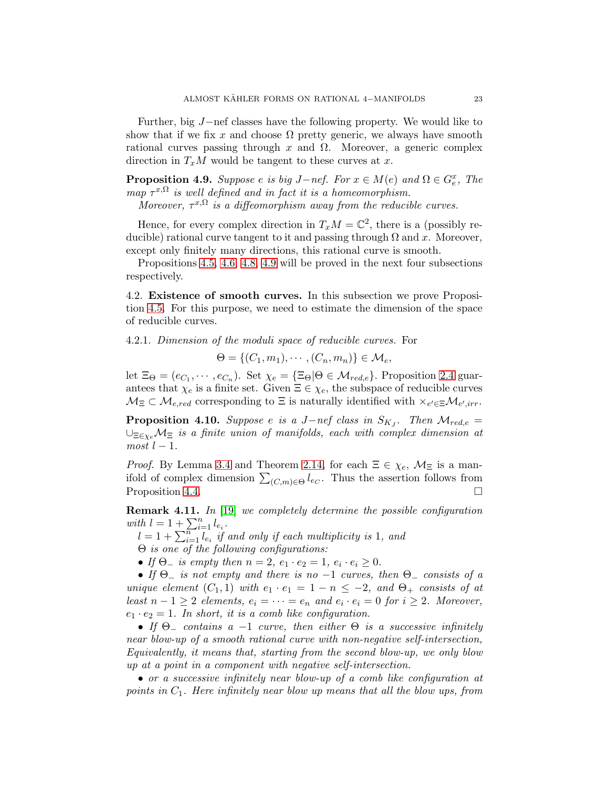Further, big J−nef classes have the following property. We would like to show that if we fix x and choose  $\Omega$  pretty generic, we always have smooth rational curves passing through x and  $\Omega$ . Moreover, a generic complex direction in  $T_xM$  would be tangent to these curves at x.

<span id="page-22-2"></span>**Proposition 4.9.** Suppose e is big  $J-nef$ . For  $x \in M(e)$  and  $\Omega \in G_e^x$ , The map  $\tau^{x,\Omega}$  is well defined and in fact it is a homeomorphism.

Moreover,  $\tau^{x,\Omega}$  is a diffeomorphism away from the reducible curves.

Hence, for every complex direction in  $T_xM = \mathbb{C}^2$ , there is a (possibly reducible) rational curve tangent to it and passing through  $\Omega$  and x. Moreover, except only finitely many directions, this rational curve is smooth.

Propositions [4.5,](#page-21-1) [4.6,](#page-21-2) [4.8,](#page-21-3) [4.9](#page-22-2) will be proved in the next four subsections respectively.

<span id="page-22-0"></span>4.2. Existence of smooth curves. In this subsection we prove Proposition [4.5.](#page-21-1) For this purpose, we need to estimate the dimension of the space of reducible curves.

4.2.1. Dimension of the moduli space of reducible curves. For

 $\Theta = \{ (C_1, m_1), \cdots, (C_n, m_n) \} \in \mathcal{M}_e,$ 

let  $\Xi_{\Theta} = (e_{C_1}, \cdots, e_{C_n})$ . Set  $\chi_e = {\Xi_{\Theta} | \Theta \in \mathcal{M}_{red,e}}$ . Proposition [2.4](#page-6-2) guarantees that  $\chi_e$  is a finite set. Given  $\Xi \in \chi_e$ , the subspace of reducible curves  $\mathcal{M}_{\Xi} \subset \mathcal{M}_{e,red}$  corresponding to  $\Xi$  is naturally identified with  $\times_{e' \in \Xi} \mathcal{M}_{e',irr}$ .

<span id="page-22-1"></span>**Proposition 4.10.** Suppose e is a J-nef class in  $S_{K_J}$ . Then  $\mathcal{M}_{red,e}$  =  $\cup_{\Xi \in \chi_e} \mathcal{M}_{\Xi}$  is a finite union of manifolds, each with complex dimension at  $most$   $l-1$ .

*Proof.* By Lemma [3.4](#page-14-0) and Theorem [2.14,](#page-12-1) for each  $\Xi \in \chi_e$ ,  $\mathcal{M}_{\Xi}$  is a manifold of complex dimension  $\sum_{(C,m)\in\Theta} l_{e_C}$ . Thus the assertion follows from Proposition [4.4.](#page-21-0)

Remark 4.11. In [\[19\]](#page-45-7) we completely determine the possible configuration with  $l = 1 + \sum_{i=1}^{n} l_{e_i}$ .

 $l = 1 + \sum_{i=1}^{n} \overline{l}_{e_i}$  if and only if each multiplicity is 1, and

Θ is one of the following configurations:

• If  $\Theta$  is empty then  $n = 2$ ,  $e_1 \cdot e_2 = 1$ ,  $e_i \cdot e_i \ge 0$ .

• If  $\Theta$  is not empty and there is no  $-1$  curves, then  $\Theta$  consists of a unique element  $(C_1, 1)$  with  $e_1 \cdot e_1 = 1 - n \leq -2$ , and  $\Theta_+$  consists of at least  $n-1 \geq 2$  elements,  $e_i = \cdots = e_n$  and  $e_i \cdot e_i = 0$  for  $i \geq 2$ . Moreover,  $e_1 \cdot e_2 = 1$ . In short, it is a comb like configuration.

• If  $\Theta$  contains a -1 curve, then either  $\Theta$  is a successive infinitely near blow-up of a smooth rational curve with non-negative self-intersection, Equivalently, it means that, starting from the second blow-up, we only blow up at a point in a component with negative self-intersection.

• or a successive infinitely near blow-up of a comb like configuration at points in  $C_1$ . Here infinitely near blow up means that all the blow ups, from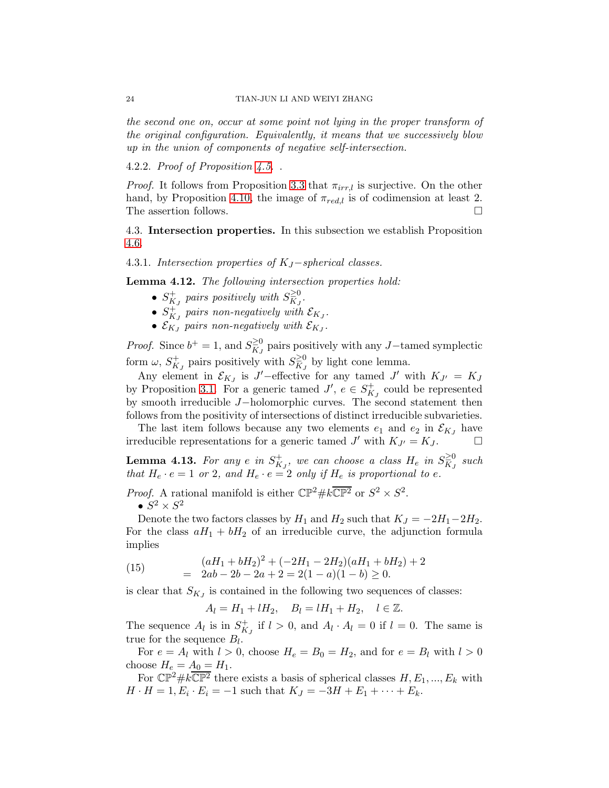the second one on, occur at some point not lying in the proper transform of the original configuration. Equivalently, it means that we successively blow up in the union of components of negative self-intersection.

4.2.2. Proof of Proposition [4.5.](#page-21-1) .

*Proof.* It follows from Proposition [3.3](#page-13-3) that  $\pi_{irr,l}$  is surjective. On the other hand, by Proposition [4.10,](#page-22-1) the image of  $\pi_{red,l}$  is of codimension at least 2. The assertion follows.

<span id="page-23-0"></span>4.3. Intersection properties. In this subsection we establish Proposition [4.6.](#page-21-2)

4.3.1. Intersection properties of  $K_J$ -spherical classes.

<span id="page-23-3"></span>Lemma 4.12. The following intersection properties hold:

- $S_{KJ}^+$  pairs positively with  $S_{KJ}^{\geq 0}$ .
- $S_{K_J}^+$  pairs non-negatively with  $\mathcal{E}_{K_J}$ .
- $\mathcal{E}_{K_J}$  pairs non-negatively with  $\mathcal{E}_{K_J}$ .

*Proof.* Since  $b^+ = 1$ , and  $S_{K_J}^{\geq 0}$  pairs positively with any J-tamed symplectic form  $\omega$ ,  $S_{K_J}^+$  pairs positively with  $S_{K_J}^{\geq 0}$  by light cone lemma.

Any element in  $\mathcal{E}_{K_J}$  is J'-effective for any tamed J' with  $K_{J'} = K_J$ by Proposition [3.1.](#page-13-1) For a generic tamed  $J'$ ,  $e \in S^+_{K_J}$  could be represented by smooth irreducible J−holomorphic curves. The second statement then follows from the positivity of intersections of distinct irreducible subvarieties.

The last item follows because any two elements  $e_1$  and  $e_2$  in  $\mathcal{E}_{K_J}$  have irreducible representations for a generic tamed  $J'$  with  $K_{J'} = K_J$ .

<span id="page-23-2"></span>**Lemma 4.13.** For any e in  $S^+_{K_J}$ , we can choose a class  $H_e$  in  $S^{ \geq 0}_{K_J}$  such that  $H_e \cdot e = 1$  or 2, and  $H_e \cdot e = 2$  only if  $H_e$  is proportional to e.

*Proof.* A rational manifold is either  $\mathbb{CP}^2 \# k \overline{\mathbb{CP}^2}$  or  $S^2 \times S^2$ .  $\bullet$   $S^2 \times S^2$ 

Denote the two factors classes by  $H_1$  and  $H_2$  such that  $K_J = -2H_1-2H_2$ . For the class  $aH_1 + bH_2$  of an irreducible curve, the adjunction formula implies

(15) 
$$
(aH_1 + bH_2)^2 + (-2H_1 - 2H_2)(aH_1 + bH_2) + 2
$$

$$
= 2ab - 2b - 2a + 2 = 2(1 - a)(1 - b) \ge 0.
$$

is clear that  $S_{K_J}$  is contained in the following two sequences of classes:

<span id="page-23-1"></span> $A_l = H_1 + lH_2, \quad B_l = lH_1 + H_2, \quad l \in \mathbb{Z}.$ 

The sequence  $A_l$  is in  $S^+_{K_J}$  if  $l > 0$ , and  $A_l \cdot A_l = 0$  if  $l = 0$ . The same is true for the sequence  $B_l$ .

For  $e = A_l$  with  $l > 0$ , choose  $H_e = B_0 = H_2$ , and for  $e = B_l$  with  $l > 0$ choose  $H_e = A_0 = H_1$ .

For  $\mathbb{CP}^2 \# k\overline{\mathbb{CP}^2}$  there exists a basis of spherical classes  $H, E_1, ..., E_k$  with  $H \cdot H = 1, E_i \cdot E_i = -1$  such that  $K_J = -3H + E_1 + \cdots + E_k$ .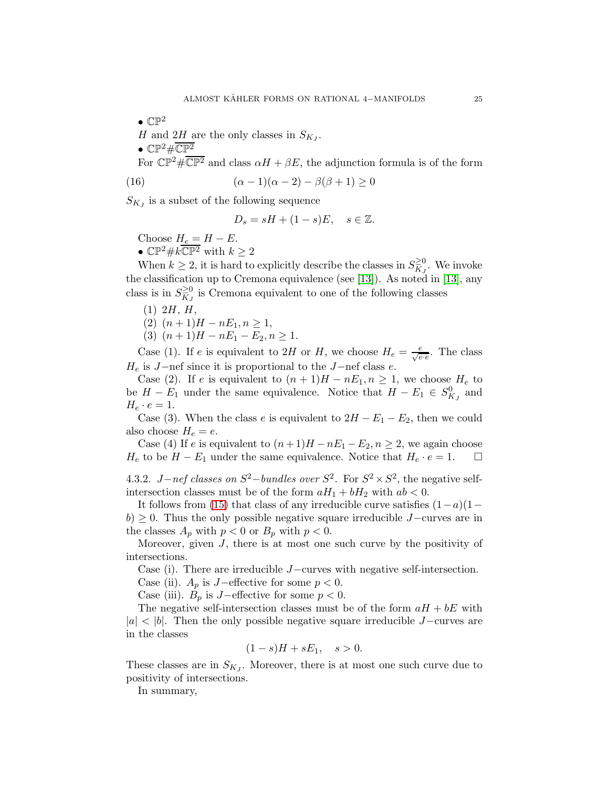$\bullet$   $\mathbb{CP}^2$ H and  $2H$  are the only classes in  $S_{K_J}$ .  $\bullet$  CP<sup>2</sup>#CP<sup>2</sup>

For  $\mathbb{CP}^2 \# \overline{\mathbb{CP}^2}$  and class  $\alpha H + \beta E$ , the adjunction formula is of the form

(16) 
$$
(\alpha - 1)(\alpha - 2) - \beta(\beta + 1) \ge 0
$$

 $S_{KJ}$  is a subset of the following sequence

$$
D_s = sH + (1 - s)E, \quad s \in \mathbb{Z}.
$$

Choose  $H_e = H - E$ .

•  $\mathbb{CP}^2 \# k \overline{\mathbb{CP}^2}$  with  $k \geq 2$ 

When  $k \geq 2$ , it is hard to explicitly describe the classes in  $S_{K_J}^{\geq 0}$ . We invoke the classification up to Cremona equivalence (see [\[13\]](#page-44-11)). As noted in [\[13\]](#page-44-11), any class is in  $S_{K_J}^{\geq 0}$  is Cremona equivalent to one of the following classes

$$
(1) 2H, H,
$$

(2)  $(n+1)H - nE_1, n \geq 1$ ,

(3)  $(n+1)H - nE_1 - E_2, n \ge 1.$ 

Case (1). If e is equivalent to 2H or H, we choose  $H_e = \frac{e}{\sqrt{e \cdot e}}$ . The class  $H_e$  is J−nef since it is proportional to the J−nef class  $e$ .

Case (2). If e is equivalent to  $(n+1)H - nE_1, n \geq 1$ , we choose  $H_e$  to be  $H - E_1$  under the same equivalence. Notice that  $H - E_1 \in S_{K_J}^0$  and  $H_e \cdot e = 1.$ 

Case (3). When the class e is equivalent to  $2H - E_1 - E_2$ , then we could also choose  $H_e = e$ .

Case (4) If e is equivalent to  $(n+1)H - nE_1 - E_2, n \ge 2$ , we again choose  $H_e$  to be  $H - E_1$  under the same equivalence. Notice that  $H_e \cdot e = 1$ .  $\Box$ 

4.3.2. *J*−nef classes on  $S^2$ −bundles over  $S^2$ . For  $S^2 \times S^2$ , the negative selfintersection classes must be of the form  $aH_1 + bH_2$  with  $ab < 0$ .

It follows from [\(15\)](#page-23-1) that class of any irreducible curve satisfies  $(1-a)(1−$  $b$ ) ≥ 0. Thus the only possible negative square irreducible J–curves are in the classes  $A_p$  with  $p < 0$  or  $B_p$  with  $p < 0$ .

Moreover, given  $J$ , there is at most one such curve by the positivity of intersections.

Case (i). There are irreducible J−curves with negative self-intersection.

Case (ii).  $A_p$  is J−effective for some  $p < 0$ .

Case (iii).  $B_p$  is J−effective for some  $p < 0$ .

The negative self-intersection classes must be of the form  $aH + bE$  with  $|a| < |b|$ . Then the only possible negative square irreducible J−curves are in the classes

$$
(1-s)H + sE_1, \quad s > 0.
$$

These classes are in  $S_{K_J}$ . Moreover, there is at most one such curve due to positivity of intersections.

In summary,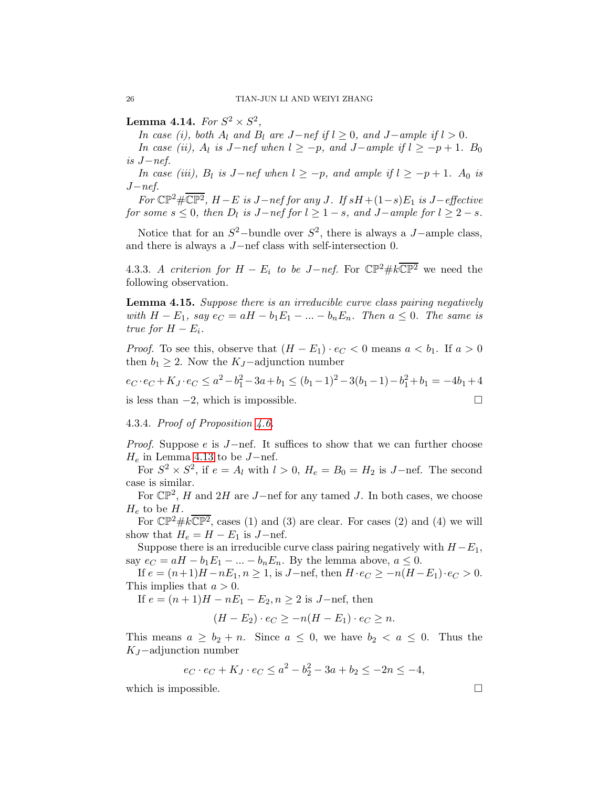<span id="page-25-0"></span>Lemma 4.14. For  $S^2 \times S^2$ ,

In case (i), both  $A_l$  and  $B_l$  are  $J-nef$  if  $l \geq 0$ , and  $J-ample$  if  $l > 0$ .

In case (ii),  $A_l$  is J−nef when  $l \ge -p$ , and J−ample if  $l \ge -p+1$ . B<sub>0</sub> is J−nef.

In case (iii),  $B_l$  is  $J-nef$  when  $l \ge -p$ , and ample if  $l \ge -p+1$ .  $A_0$  is  $J-nef.$ 

For  $\mathbb{CP}^2 \# \overline{\mathbb{CP}^2}$ ,  $H - E$  is  $J - nef$  for any  $J$ . If  $sH + (1 - s)E_1$  is  $J - effective$ for some  $s \leq 0$ , then  $D_l$  is  $J-nef$  for  $l \geq 1-s$ , and  $J-ample$  for  $l \geq 2-s$ .

Notice that for an  $S^2$ -bundle over  $S^2$ , there is always a J-ample class, and there is always a J−nef class with self-intersection 0.

4.3.3. A criterion for  $H - E_i$  to be  $J-nef$ . For  $\mathbb{CP}^2 \# k \overline{\mathbb{CP}^2}$  we need the following observation.

Lemma 4.15. Suppose there is an irreducible curve class pairing negatively with  $H - E_1$ , say  $e_C = aH - b_1E_1 - \ldots - b_nE_n$ . Then  $a \leq 0$ . The same is true for  $H - E_i$ .

*Proof.* To see this, observe that  $(H - E_1) \cdot e_C < 0$  means  $a < b_1$ . If  $a > 0$ then  $b_1 \geq 2$ . Now the K<sub>J</sub>-adjunction number

$$
e_C \cdot e_C + K_J \cdot e_C \le a^2 - b_1^2 - 3a + b_1 \le (b_1 - 1)^2 - 3(b_1 - 1) - b_1^2 + b_1 = -4b_1 + 4
$$
  
is less than -2, which is impossible.

4.3.4. Proof of Proposition [4.6.](#page-21-2)

*Proof.* Suppose e is  $J$ -nef. It suffices to show that we can further choose  $H_e$  in Lemma [4.13](#page-23-2) to be  $J$ -nef.

For  $S^2 \times S^2$ , if  $e = A_l$  with  $l > 0$ ,  $H_e = B_0 = H_2$  is J-nef. The second case is similar.

For  $\mathbb{CP}^2$ , H and 2H are J-nef for any tamed J. In both cases, we choose  $H_e$  to be H.

For  $\mathbb{CP}^2 \# k \overline{\mathbb{CP}^2}$ , cases (1) and (3) are clear. For cases (2) and (4) we will show that  $H_e = H - E_1$  is  $J$ -nef.

Suppose there is an irreducible curve class pairing negatively with  $H - E_1$ , say  $e_C = aH - b_1E_1 - \ldots - b_nE_n$ . By the lemma above,  $a \leq 0$ .

If  $e = (n+1)H - nE_1, n \ge 1$ , is J-nef, then  $H \cdot e_C \ge -n(H - E_1) \cdot e_C > 0$ . This implies that  $a > 0$ .

If  $e = (n+1)H - nE_1 - E_2, n \ge 2$  is J-nef, then

$$
(H-E_2)\cdot e_C \ge -n(H-E_1)\cdot e_C \ge n.
$$

This means  $a \geq b_2 + n$ . Since  $a \leq 0$ , we have  $b_2 < a \leq 0$ . Thus the  $K_J$ –adjunction number

$$
e_C \cdot e_C + K_J \cdot e_C \le a^2 - b_2^2 - 3a + b_2 \le -2n \le -4,
$$

which is impossible.  $\Box$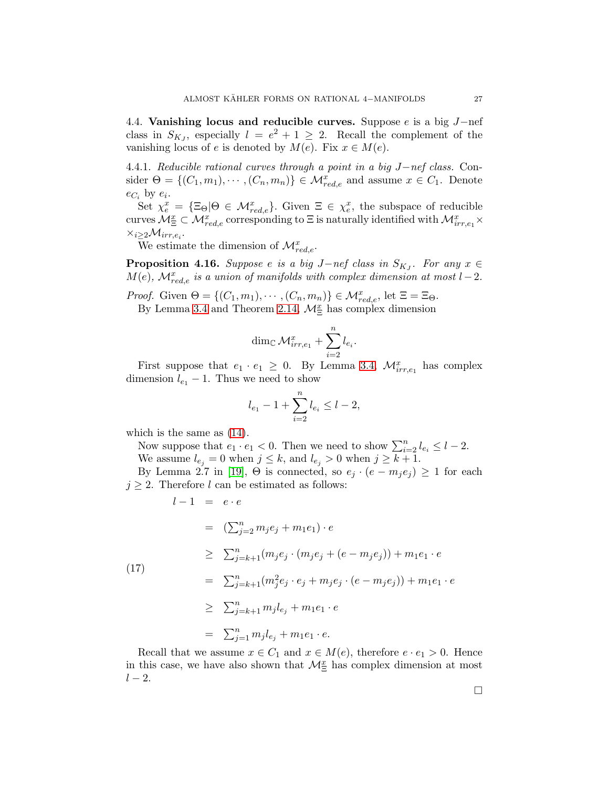<span id="page-26-0"></span>4.4. Vanishing locus and reducible curves. Suppose e is a big J−nef class in  $S_{K_J}$ , especially  $l = e^2 + 1 \geq 2$ . Recall the complement of the vanishing locus of e is denoted by  $M(e)$ . Fix  $x \in M(e)$ .

4.4.1. Reducible rational curves through a point in a big J−nef class. Consider  $\Theta = \{(C_1, m_1), \cdots, (C_n, m_n)\} \in \mathcal{M}_{red,e}^x$  and assume  $x \in C_1$ . Denote  $e_{C_i}$  by  $e_i$ .

Set  $\chi_e^x = {\Xi_{\Theta} | \Theta \in \mathcal{M}_{red,e}^x}$ . Given  $\Xi \in \chi_e^x$ , the subspace of reducible curves  $M_{\Xi}^x \subset M_{red,e}^x$  corresponding to  $\Xi$  is naturally identified with  $M_{irr,e_1}^x \times$  $\times_{i\geq 2} \mathcal{M}_{irr,e_i}.$ 

We estimate the dimension of  $\mathcal{M}^x_{red,e}$ .

<span id="page-26-1"></span>**Proposition 4.16.** Suppose e is a big J-nef class in  $S_{K_J}$ . For any  $x \in$  $M(e)$ ,  $\mathcal{M}_{red,e}^{x}$  is a union of manifolds with complex dimension at most  $l-2$ .

*Proof.* Given  $\Theta = \{(C_1, m_1), \cdots, (C_n, m_n)\} \in \mathcal{M}_{red,e}^x$ , let  $\Xi = \Xi_{\Theta}$ .

By Lemma [3.4](#page-14-0) and Theorem [2.14,](#page-12-1)  $\mathcal{M}_{\Xi}^{x}$  has complex dimension

$$
\dim_{\mathbb C} {\mathcal M}^x_{irr,e_1} + \sum_{i=2}^n l_{e_i}.
$$

First suppose that  $e_1 \cdot e_1 \geq 0$ . By Lemma [3.4,](#page-14-0)  $\mathcal{M}_{irr,e_1}^x$  has complex dimension  $l_{e_1}$  − 1. Thus we need to show

$$
l_{e_1} - 1 + \sum_{i=2}^{n} l_{e_i} \le l - 2,
$$

which is the same as [\(14\)](#page-21-4).

Now suppose that  $e_1 \cdot e_1 < 0$ . Then we need to show  $\sum_{i=2}^{n} l_{e_i} \leq l-2$ . We assume  $l_{e_j} = 0$  when  $j \leq k$ , and  $l_{e_j} > 0$  when  $j \geq k+1$ .

By Lemma 2.7 in [\[19\]](#page-45-7),  $\Theta$  is connected, so  $e_j \cdot (e - m_j e_j) \geq 1$  for each  $j \geq 2$ . Therefore l can be estimated as follows:

$$
l-1 = e \cdot e
$$

<span id="page-26-2"></span>
$$
= (\sum_{j=2}^{n} m_j e_j + m_1 e_1) \cdot e
$$
  
\n
$$
\geq \sum_{j=k+1}^{n} (m_j e_j \cdot (m_j e_j + (e - m_j e_j)) + m_1 e_1 \cdot e
$$
  
\n
$$
= \sum_{j=k+1}^{n} (m_j^2 e_j \cdot e_j + m_j e_j \cdot (e - m_j e_j)) + m_1 e_1 \cdot e
$$
  
\n
$$
\geq \sum_{j=k+1}^{n} m_j l_{e_j} + m_1 e_1 \cdot e
$$
  
\n
$$
= \sum_{j=1}^{n} m_j l_{e_j} + m_1 e_1 \cdot e.
$$

Recall that we assume  $x \in C_1$  and  $x \in M(e)$ , therefore  $e \cdot e_1 > 0$ . Hence in this case, we have also shown that  $\mathcal{M}_{\Xi}^{x}$  has complex dimension at most  $l-2$ .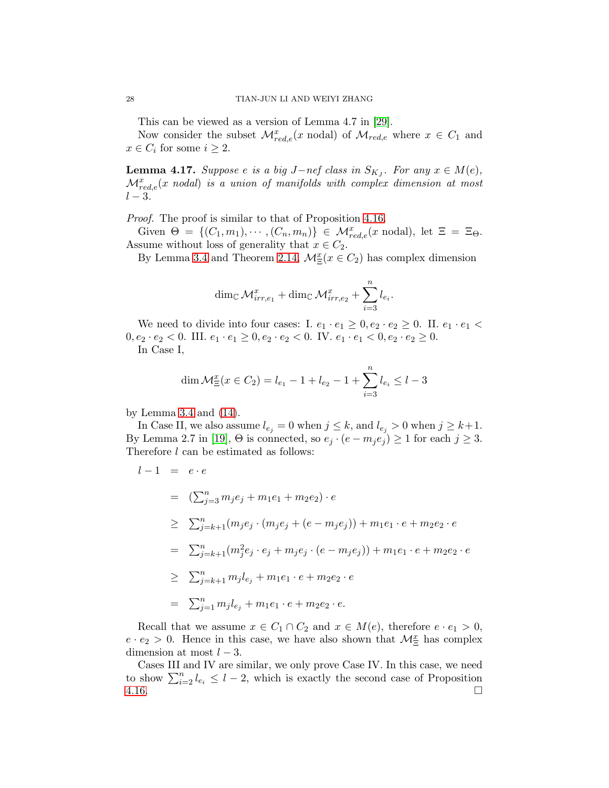This can be viewed as a version of Lemma 4.7 in [\[29\]](#page-45-6).

Now consider the subset  $\mathcal{M}_{red,e}^{x}(x \text{ nodal})$  of  $\mathcal{M}_{red,e}$  where  $x \in C_1$  and  $x \in C_i$  for some  $i \geq 2$ .

<span id="page-27-0"></span>**Lemma 4.17.** Suppose e is a big J-nef class in  $S_{K_J}$ . For any  $x \in M(e)$ ,  $\mathcal{M}^x_{red,e}(x\text{ nodal})$  is a union of manifolds with complex dimension at most  $l-3$ .

Proof. The proof is similar to that of Proposition [4.16.](#page-26-1)

Given  $\Theta = \{(C_1, m_1), \cdots, (C_n, m_n)\}\in \mathcal{M}^x_{red,e}(x \text{ nodal}), \text{ let } \Xi = \Xi_{\Theta}.$ Assume without loss of generality that  $x \in C_2$ .

By Lemma [3.4](#page-14-0) and Theorem [2.14,](#page-12-1)  $\mathcal{M}_{\Xi}^x(x \in C_2)$  has complex dimension

$$
\dim_{\mathbb{C}}\mathcal{M}_{irr,e_1}^x + \dim_{\mathbb{C}}\mathcal{M}_{irr,e_2}^x + \sum_{i=3}^n l_{e_i}.
$$

We need to divide into four cases: I.  $e_1 \cdot e_1 \geq 0, e_2 \cdot e_2 \geq 0$ . II.  $e_1 \cdot e_1$  $0, e_2 \cdot e_2 < 0$ . III.  $e_1 \cdot e_1 \geq 0, e_2 \cdot e_2 < 0$ . IV.  $e_1 \cdot e_1 < 0, e_2 \cdot e_2 \geq 0$ . In Case I,

$$
\dim \mathcal{M}_{\Xi}^{x}(x \in C_2) = l_{e_1} - 1 + l_{e_2} - 1 + \sum_{i=3}^{n} l_{e_i} \le l - 3
$$

by Lemma [3.4](#page-14-0) and [\(14\)](#page-21-4).

In Case II, we also assume  $l_{e_j} = 0$  when  $j \leq k$ , and  $l_{e_j} > 0$  when  $j \geq k+1$ . By Lemma 2.7 in [\[19\]](#page-45-7),  $\Theta$  is connected, so  $e_j \cdot (e - m_j e_j) \ge 1$  for each  $j \ge 3$ . Therefore l can be estimated as follows:

$$
l - 1 = e \cdot e
$$
  
\n
$$
= (\sum_{j=3}^{n} m_j e_j + m_1 e_1 + m_2 e_2) \cdot e
$$
  
\n
$$
\geq \sum_{j=k+1}^{n} (m_j e_j \cdot (m_j e_j + (e - m_j e_j)) + m_1 e_1 \cdot e + m_2 e_2 \cdot e)
$$
  
\n
$$
= \sum_{j=k+1}^{n} (m_j^2 e_j \cdot e_j + m_j e_j \cdot (e - m_j e_j)) + m_1 e_1 \cdot e + m_2 e_2 \cdot e
$$
  
\n
$$
\geq \sum_{j=k+1}^{n} m_j l_{e_j} + m_1 e_1 \cdot e + m_2 e_2 \cdot e
$$
  
\n
$$
= \sum_{j=1}^{n} m_j l_{e_j} + m_1 e_1 \cdot e + m_2 e_2 \cdot e.
$$

Recall that we assume  $x \in C_1 \cap C_2$  and  $x \in M(e)$ , therefore  $e \cdot e_1 > 0$ ,  $e \cdot e_2 > 0$ . Hence in this case, we have also shown that  $\mathcal{M}_{\Xi}^x$  has complex dimension at most  $l - 3$ .

Cases III and IV are similar, we only prove Case IV. In this case, we need to show  $\sum_{i=2}^{n} l_{e_i} \leq l-2$ , which is exactly the second case of Proposition  $4.16.$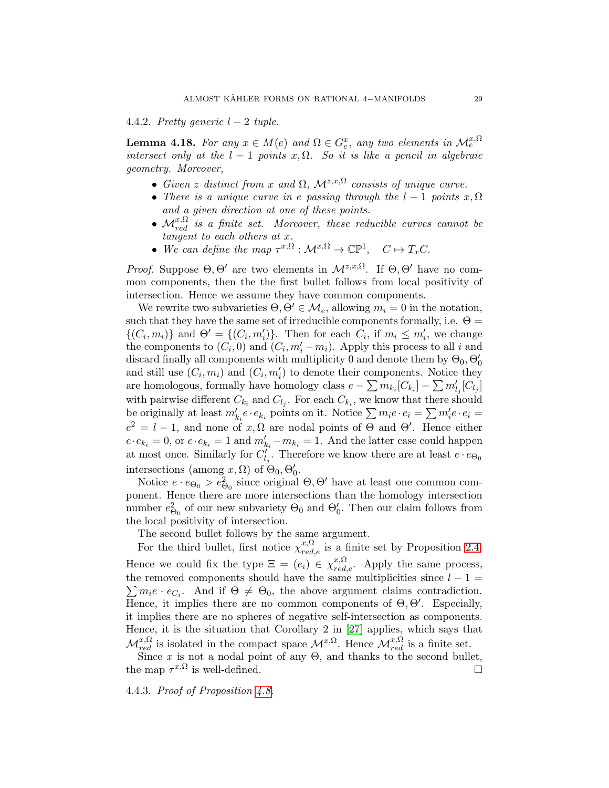4.4.2. Pretty generic  $l-2$  tuple.

<span id="page-28-0"></span>**Lemma 4.18.** For any  $x \in M(e)$  and  $\Omega \in G_e^x$ , any two elements in  $\mathcal{M}_e^{x,\Omega}$ intersect only at the  $l - 1$  points x,  $\Omega$ . So it is like a pencil in algebraic geometry. Moreover,

- Given z distinct from x and  $\Omega$ ,  $\mathcal{M}^{z,x,\Omega}$  consists of unique curve.
- There is a unique curve in e passing through the  $l-1$  points  $x, \Omega$ and a given direction at one of these points.
- $\mathcal{M}_{red}^{x,\Omega}$  is a finite set. Moreover, these reducible curves cannot be tangent to each others at x.
- We can define the map  $\tau^{x,\Omega}: \mathcal{M}^{x,\Omega} \to \mathbb{CP}^1$ ,  $C \mapsto T_xC$ .

*Proof.* Suppose  $\Theta$ ,  $\Theta'$  are two elements in  $\mathcal{M}^{z,x,\Omega}$ . If  $\Theta$ ,  $\Theta'$  have no common components, then the the first bullet follows from local positivity of intersection. Hence we assume they have common components.

We rewrite two subvarieties  $\Theta, \Theta' \in \mathcal{M}_e$ , allowing  $m_i = 0$  in the notation, such that they have the same set of irreducible components formally, i.e.  $\Theta =$  $\{(C_i, m_i)\}\$ and  $\Theta' = \{(C_i, m'_i)\}\$ . Then for each  $C_i$ , if  $m_i \leq m'_i$ , we change the components to  $(C_i, 0)$  and  $(C_i, m'_i - m_i)$ . Apply this process to all i and discard finally all components with multiplicity 0 and denote them by  $\Theta_0$ ,  $\Theta'_0$ and still use  $(C_i, m_i)$  and  $(C_i, m'_i)$  to denote their components. Notice they are homologous, formally have homology class  $e - \sum m_{k_i} [C_{k_i}] - \sum m'_{l_j} [C_{l_j}]$ with pairwise different  $C_{k_i}$  and  $C_{l_j}$ . For each  $C_{k_i}$ , we know that there should be originally at least  $m'_{k_i}e \cdot e_{k_i}$  points on it. Notice  $\sum m_i e \cdot e_i = \sum m'_i e \cdot e_i =$  $e^2 = l - 1$ , and none of  $x, \Omega$  are nodal points of  $\Theta$  and  $\Theta'$ . Hence either  $e \cdot e_{k_i} = 0$ , or  $e \cdot e_{k_i} = 1$  and  $m'_{k_i} - m_{k_i} = 1$ . And the latter case could happen at most once. Similarly for  $C'_{l_j}$ . Therefore we know there are at least  $e \cdot e_{\Theta_0}$ intersections (among  $x, \Omega$ ) of  $\Theta_0, \Theta'_0$ .

Notice  $e \cdot e_{\Theta_0} > e_{\Theta_0}^2$  since original  $\Theta, \Theta'$  have at least one common component. Hence there are more intersections than the homology intersection number  $e_{\Theta_0}^2$  of our new subvariety  $\Theta_0$  and  $\Theta'_0$ . Then our claim follows from the local positivity of intersection.

The second bullet follows by the same argument.

For the third bullet, first notice  $\chi_{red,e}^{x,\Omega}$  is a finite set by Proposition [2.4.](#page-6-2) Hence we could fix the type  $\Xi = (e_i) \in \chi_{red,e}^{x,\Omega}$ . Apply the same process, the removed components should have the same multiplicities since  $l - 1 =$  $\sum m_i e \cdot e_{C_i}$ . And if  $\Theta \neq \Theta_0$ , the above argument claims contradiction. Hence, it implies there are no common components of  $\Theta$ ,  $\Theta'$ . Especially, it implies there are no spheres of negative self-intersection as components. Hence, it is the situation that Corollary 2 in [\[27\]](#page-45-10) applies, which says that  $\mathcal{M}_{red}^{x,\Omega}$  is isolated in the compact space  $\mathcal{M}^{x,\Omega}$ . Hence  $\mathcal{M}_{red}^{x,\Omega}$  is a finite set.

Since x is not a nodal point of any  $\Theta$ , and thanks to the second bullet, the map  $\tau^{x,\Omega}$  is well-defined.

4.4.3. Proof of Proposition [4.8.](#page-21-3)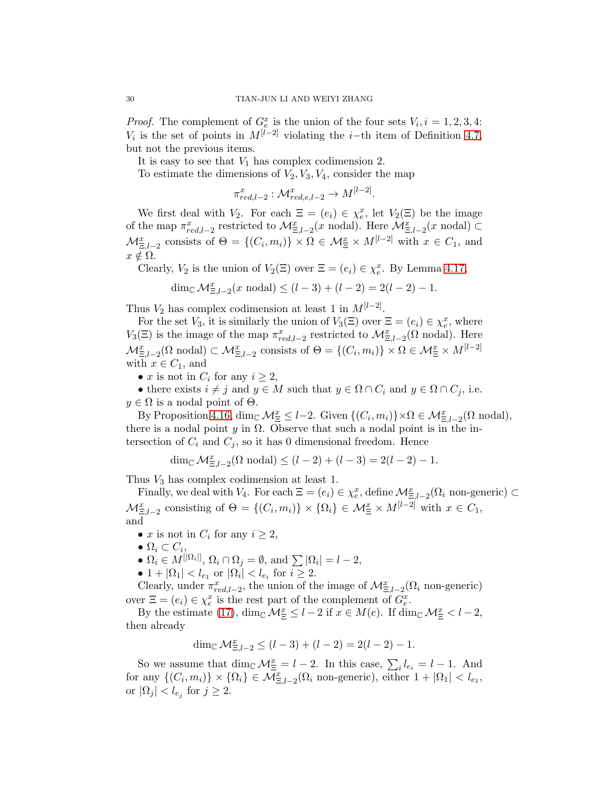*Proof.* The complement of  $G_e^x$  is the union of the four sets  $V_i$ ,  $i = 1, 2, 3, 4$ :  $V_i$  is the set of points in  $M^{[l-2]}$  violating the *i*-th item of Definition [4.7,](#page-21-5) but not the previous items.

It is easy to see that  $V_1$  has complex codimension 2.

To estimate the dimensions of  $V_2$ ,  $V_3$ ,  $V_4$ , consider the map

$$
\pi_{red,l-2}^x : \mathcal{M}_{red,e,l-2}^x \to M^{[l-2]}
$$

.

We first deal with  $V_2$ . For each  $\Xi = (e_i) \in \chi_e^x$ , let  $V_2(\Xi)$  be the image of the map  $\pi_{red,l-2}^x$  restricted to  $\mathcal{M}_{\Xi,l-2}^x(x \text{ nodal})$ . Here  $\mathcal{M}_{\Xi,l-2}^x(x \text{ nodal}) \subset$  $\mathcal{M}_{\Xi, l-2}^x$  consists of  $\Theta = \{(C_i, m_i)\} \times \Omega \in \mathcal{M}_{\Xi}^x \times M^{[l-2]}$  with  $x \in C_1$ , and  $x \notin \Omega$ .

Clearly,  $V_2$  is the union of  $V_2(\Xi)$  over  $\Xi = (e_i) \in \chi_e^x$ . By Lemma [4.17,](#page-27-0)

$$
\dim_{\mathbb{C}} \mathcal{M}_{\Xi, l-2}^x(x \text{ nodal}) \le (l-3) + (l-2) = 2(l-2) - 1.
$$

Thus  $V_2$  has complex codimension at least 1 in  $M^{[l-2]}$ .

For the set  $V_3$ , it is similarly the union of  $V_3(\Xi)$  over  $\Xi = (e_i) \in \chi_e^x$ , where  $V_3(\Xi)$  is the image of the map  $\pi_{red,l-2}^x$  restricted to  $\mathcal{M}_{\Xi,l-2}^x(\Omega)$  nodal). Here  $\mathcal{M}_{\Xi,l-2}^x(\Omega \text{ nodal}) \subset \mathcal{M}_{\Xi,l-2}^x \text{ consists of } \Theta = \{(C_i, m_i)\} \times \Omega \in \mathcal{M}_{\Xi}^x \times M^{[l-2]}$ with  $x \in C_1$ , and

• x is not in  $C_i$  for any  $i \geq 2$ ,

• there exists  $i \neq j$  and  $y \in M$  such that  $y \in \Omega \cap C_i$  and  $y \in \Omega \cap C_j$ , i.e.  $y \in \Omega$  is a nodal point of  $\Theta$ .

By Proposition [4.16,](#page-26-1)  $\dim_{\mathbb{C}} \mathcal{M}_{\Xi}^x \leq l-2$ . Given  $\{(C_i, m_i)\}\times \Omega \in \mathcal{M}_{\Xi, l-2}^x(\Omega \text{ nodal}),$ there is a nodal point y in  $\Omega$ . Observe that such a nodal point is in the intersection of  $C_i$  and  $C_j$ , so it has 0 dimensional freedom. Hence

$$
\dim_{\mathbb{C}} \mathcal{M}_{\Xi, l-2}^x(\Omega \text{ nodal}) \le (l-2) + (l-3) = 2(l-2) - 1.
$$

Thus  $V_3$  has complex codimension at least 1.

Finally, we deal with  $V_4$ . For each  $\Xi = (e_i) \in \chi_e^x$ , define  $\mathcal{M}_{\Xi, l-2}^x(\Omega_i)$  non-generic)  $\subset$ Ξ,l−2  $\mathcal{M}_{\Xi,l-2}^x$  consisting of  $\Theta = \{(C_i, m_i)\} \times \{\Omega_i\} \in \mathcal{M}_{\Xi}^x \times M^{[l-2]}$  with  $x \in C_1$ , and

- x is not in  $C_i$  for any  $i \geq 2$ ,
- $\bullet \ \Omega_i \subset C_i,$
- $\Omega_i \in M^{[|\Omega_i|]}, \Omega_i \cap \Omega_j = \emptyset$ , and  $\sum |\Omega_i| = l 2$ ,
- 1 +  $|\Omega_1|$  <  $l_{e_1}$  or  $|\Omega_i|$  <  $l_{e_i}$  for  $i \ge 2$ .

Clearly, under  $\pi_{red,l-2}^x$ , the union of the image of  $\mathcal{M}_{\Xi,l-2}^x(\Omega_i)$  non-generic) over  $\Xi = (e_i) \in \chi_e^x$  is the rest part of the complement of  $G_e^x$ .

By the estimate [\(17\)](#page-26-2),  $\dim_{\mathbb{C}} \mathcal{M}_{\Xi}^x \leq l-2$  if  $x \in M(e)$ . If  $\dim_{\mathbb{C}} \mathcal{M}_{\Xi}^x < l-2$ , then already

$$
\dim_{\mathbb{C}} \mathcal{M}_{\Xi, l-2}^x \le (l-3) + (l-2) = 2(l-2) - 1.
$$

So we assume that  $\dim_{\mathbb{C}} \mathcal{M}_{\Xi}^x = l - 2$ . In this case,  $\sum_i l_{e_i} = l - 1$ . And for any  $\{(C_i, m_i)\}\times \{\Omega_i\} \in \overline{\mathcal{M}}_{\Xi, l-2}^x(\Omega_i \text{ non-generic}), \text{ either } 1+|\Omega_1| < l_{e_1},$ or  $|\Omega_j| < l_{e_j}$  for  $j \geq 2$ .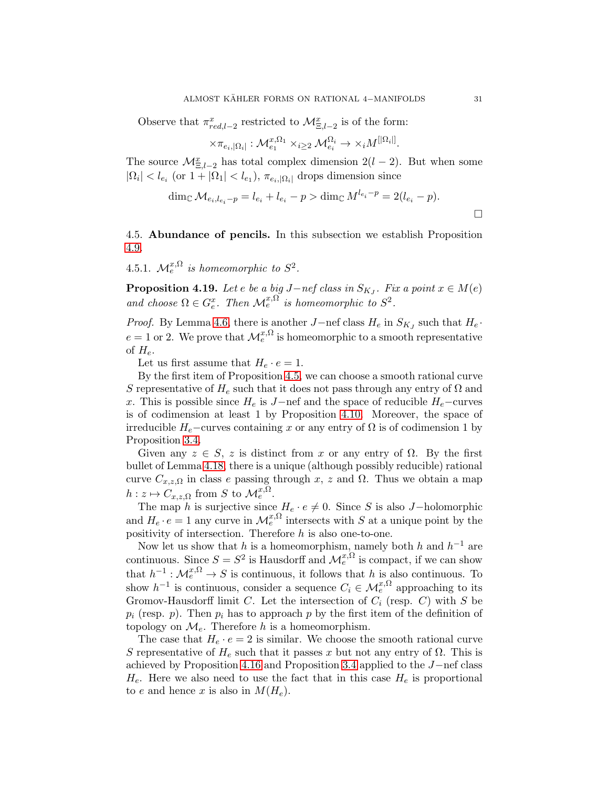Observe that  $\pi_{red,l-2}^x$  restricted to  $\mathcal{M}_{\Xi,l-2}^x$  is of the form:

$$
\times \pi_{e_i, |\Omega_i|}: \mathcal{M}^{x, \Omega_1}_{e_1} \times_{i \geq 2} \mathcal{M}^{\Omega_i}_{e_i} \to \times_i M^{[|\Omega_i|]}.
$$

The source  $\mathcal{M}_{\Xi,l-2}^x$  has total complex dimension  $2(l-2)$ . But when some  $|\Omega_i| < l_{e_i}$  (or  $1 + |\Omega_1| < l_{e_1}$ ),  $\pi_{e_i, |\Omega_i|}$  drops dimension since

$$
\dim_{\mathbb{C}} \mathcal{M}_{e_i, l_{e_i} - p} = l_{e_i} + l_{e_i} - p > \dim_{\mathbb{C}} M^{l_{e_i} - p} = 2(l_{e_i} - p).
$$

<span id="page-30-0"></span>4.5. Abundance of pencils. In this subsection we establish Proposition [4.9.](#page-22-2)

4.5.1.  $\mathcal{M}_e^{x,\Omega}$  is homeomorphic to  $S^2$ .

<span id="page-30-1"></span>**Proposition 4.19.** Let e be a big J−nef class in  $S_{K_J}$ . Fix a point  $x \in M(e)$ and choose  $\Omega \in G_e^x$ . Then  $\mathcal{M}_e^{x,\Omega}$  is homeomorphic to  $S^2$ .

*Proof.* By Lemma [4.6,](#page-21-2) there is another  $J$ –nef class  $H_e$  in  $S_{K_J}$  such that  $H_e$ .  $e = 1$  or 2. We prove that  $\mathcal{M}_e^{x, \Omega}$  is homeomorphic to a smooth representative of  $H_e$ .

Let us first assume that  $H_e \cdot e = 1$ .

By the first item of Proposition [4.5,](#page-21-1) we can choose a smooth rational curve S representative of  $H_e$  such that it does not pass through any entry of  $\Omega$  and x. This is possible since  $H_e$  is J−nef and the space of reducible  $H_e$ −curves is of codimension at least 1 by Proposition [4.10.](#page-22-1) Moreover, the space of irreducible  $H_e$ –curves containing x or any entry of  $\Omega$  is of codimension 1 by Proposition [3.4.](#page-14-0)

Given any  $z \in S$ , z is distinct from x or any entry of  $\Omega$ . By the first bullet of Lemma [4.18,](#page-28-0) there is a unique (although possibly reducible) rational curve  $C_{x,z,\Omega}$  in class e passing through x, z and  $\Omega$ . Thus we obtain a map  $h: z \mapsto C_{x,z,\Omega}$  from S to  $\mathcal{M}_e^{x,\Omega}$ .

The map h is surjective since  $H_e \cdot e \neq 0$ . Since S is also J-holomorphic and  $H_e \cdot e = 1$  any curve in  $\mathcal{M}_e^{x,\Omega}$  intersects with S at a unique point by the positivity of intersection. Therefore  $h$  is also one-to-one.

Now let us show that h is a homeomorphism, namely both h and  $h^{-1}$  are continuous. Since  $S = S^2$  is Hausdorff and  $\mathcal{M}_e^{x,\Omega}$  is compact, if we can show that  $h^{-1}: \mathcal{M}_e^{x,\Omega} \to S$  is continuous, it follows that h is also continuous. To show  $h^{-1}$  is continuous, consider a sequence  $C_i \in \mathcal{M}_e^{x,\Omega}$  approaching to its Gromov-Hausdorff limit C. Let the intersection of  $C_i$  (resp. C) with S be  $p_i$  (resp. p). Then  $p_i$  has to approach p by the first item of the definition of topology on  $\mathcal{M}_{e}$ . Therefore h is a homeomorphism.

The case that  $H_e \cdot e = 2$  is similar. We choose the smooth rational curve S representative of  $H_e$  such that it passes x but not any entry of  $\Omega$ . This is achieved by Proposition [4.16](#page-26-1) and Proposition [3.4](#page-14-0) applied to the J−nef class  $H_e$ . Here we also need to use the fact that in this case  $H_e$  is proportional to e and hence x is also in  $M(H_e)$ .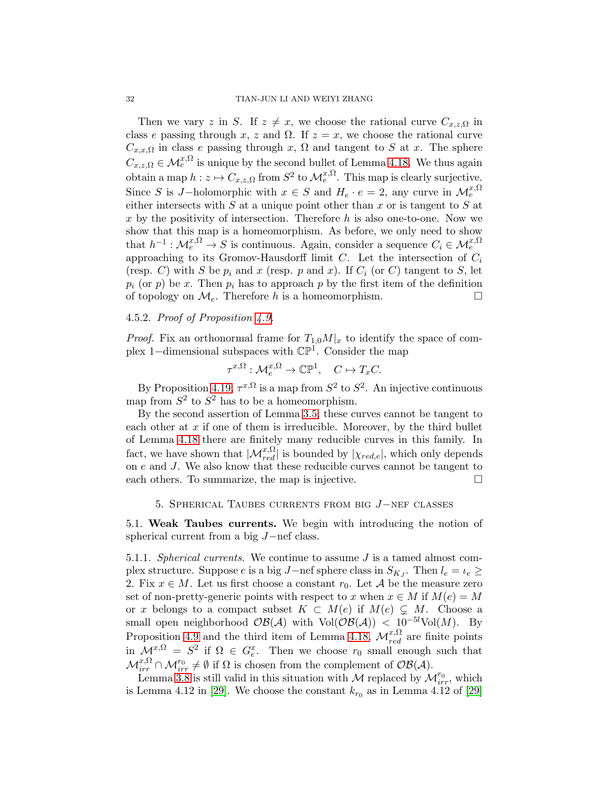#### 32 TIAN-JUN LI AND WEIYI ZHANG

Then we vary z in S. If  $z \neq x$ , we choose the rational curve  $C_{x,z,\Omega}$  in class e passing through x, z and  $\Omega$ . If  $z = x$ , we choose the rational curve  $C_{x,x,\Omega}$  in class e passing through x,  $\Omega$  and tangent to S at x. The sphere  $C_{x,z,\Omega} \in \mathcal{M}_e^{x,\Omega}$  is unique by the second bullet of Lemma [4.18.](#page-28-0) We thus again obtain a map  $h: z \mapsto C_{x,z,\Omega}$  from  $S^2$  to  $\mathcal{M}_e^{x,\Omega}$ . This map is clearly surjective. Since S is J-holomorphic with  $x \in S$  and  $H_e \cdot e = 2$ , any curve in  $\mathcal{M}_e^{x,\Omega}$ either intersects with  $S$  at a unique point other than  $x$  or is tangent to  $S$  at x by the positivity of intersection. Therefore  $h$  is also one-to-one. Now we show that this map is a homeomorphism. As before, we only need to show that  $h^{-1}: \mathcal{M}_e^{x,\Omega} \to S$  is continuous. Again, consider a sequence  $C_i \in \mathcal{M}_e^{x,\Omega}$ approaching to its Gromov-Hausdorff limit C. Let the intersection of  $C_i$ (resp. C) with S be  $p_i$  and x (resp. p and x). If  $C_i$  (or C) tangent to S, let  $p_i$  (or p) be x. Then  $p_i$  has to approach p by the first item of the definition of topology on  $\mathcal{M}_e$ . Therefore h is a homeomorphism.

## 4.5.2. Proof of Proposition [4.9.](#page-22-2)

*Proof.* Fix an orthonormal frame for  $T_{1,0}M|_x$  to identify the space of complex 1–dimensional subspaces with  $\mathbb{CP}^1$ . Consider the map

 $\tau^{x,\Omega}: \mathcal{M}_e^{x,\Omega} \to \mathbb{CP}^1$ ,  $C \mapsto T_x C$ .

By Proposition [4.19,](#page-30-1)  $\tau^{x,\Omega}$  is a map from  $S^2$  to  $S^2$ . An injective continuous map from  $S^2$  to  $S^2$  has to be a homeomorphism.

By the second assertion of Lemma [3.5,](#page-14-1) these curves cannot be tangent to each other at  $x$  if one of them is irreducible. Moreover, by the third bullet of Lemma [4.18](#page-28-0) there are finitely many reducible curves in this family. In fact, we have shown that  $|\mathcal{M}_{red}^{x,\Omega}|$  is bounded by  $|\chi_{red,e}|$ , which only depends on e and J. We also know that these reducible curves cannot be tangent to each others. To summarize, the map is injective.

## <span id="page-31-0"></span>5. Spherical Taubes currents from big J−nef classes

<span id="page-31-1"></span>5.1. Weak Taubes currents. We begin with introducing the notion of spherical current from a big J−nef class.

<span id="page-31-2"></span>5.1.1. Spherical currents. We continue to assume J is a tamed almost complex structure. Suppose e is a big J-nef sphere class in  $S_{K_J}$ . Then  $l_e = l_e \geq$ 2. Fix  $x \in M$ . Let us first choose a constant  $r_0$ . Let A be the measure zero set of non-pretty-generic points with respect to x when  $x \in M$  if  $M(e) = M$ or x belongs to a compact subset  $K \subset M(e)$  if  $M(e) \subsetneq M$ . Choose a small open neighborhood  $\mathcal{OB}(\mathcal{A})$  with Vol $(\mathcal{OB}(\mathcal{A})) < 10^{-5l}$ Vol $(M)$ . By Proposition [4.9](#page-22-2) and the third item of Lemma [4.18,](#page-28-0)  $\mathcal{M}_{red}^{x,\Omega}$  are finite points in  $\mathcal{M}^{x,\Omega} = S^2$  if  $\Omega \in G_e^x$ . Then we choose  $r_0$  small enough such that  $\mathcal{M}_{irr}^{x,\Omega} \cap \mathcal{M}_{irr}^{r_0} \neq \emptyset$  if  $\Omega$  is chosen from the complement of  $\mathcal{OB}(\mathcal{A})$ .

Lemma [3.8](#page-15-2) is still valid in this situation with M replaced by  $\mathcal{M}_{irr}^{r_0}$ , which is Lemma 4.12 in [\[29\]](#page-45-6). We choose the constant  $k_{r_0}$  as in Lemma 4.12 of [29]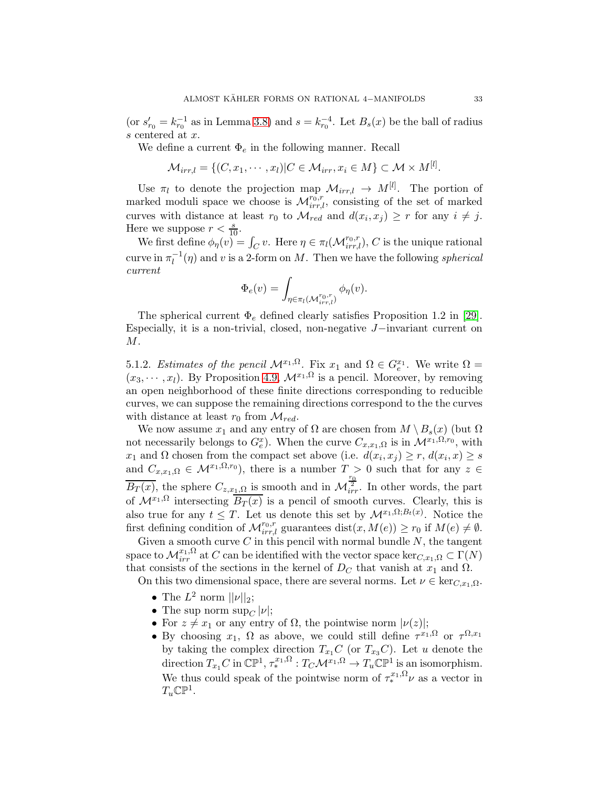(or  $s'_{r_0} = k_{r_0}^{-1}$  as in Lemma [3.8\)](#page-15-2) and  $s = k_{r_0}^{-4}$ . Let  $B_s(x)$  be the ball of radius s centered at x.

We define a current  $\Phi_e$  in the following manner. Recall

$$
\mathcal{M}_{irr,l} = \{ (C, x_1, \cdots, x_l) | C \in \mathcal{M}_{irr}, x_i \in M \} \subset \mathcal{M} \times M^{[l]}.
$$

Use  $\pi_l$  to denote the projection map  $\mathcal{M}_{irr,l} \to M^{[l]}$ . The portion of marked moduli space we choose is  $\mathcal{M}_{irr,l}^{r_0,r}$ , consisting of the set of marked curves with distance at least  $r_0$  to  $\mathcal{M}_{red}$  and  $d(x_i, x_j) \geq r$  for any  $i \neq j$ . Here we suppose  $r < \frac{s}{10}$ .

We first define  $\phi_{\eta}(v) = \int_C v$ . Here  $\eta \in \pi_l(\mathcal{M}_{irr,l}^{r_0,r})$ , C is the unique rational curve in  $\pi_l^{-1}(\eta)$  and v is a 2-form on M. Then we have the following spherical current

$$
\Phi_e(v) = \int_{\eta \in \pi_l(\mathcal{M}_{irr,l}^{r_0,r})} \phi_{\eta}(v).
$$

The spherical current  $\Phi_e$  defined clearly satisfies Proposition 1.2 in [\[29\]](#page-45-6). Especially, it is a non-trivial, closed, non-negative J−invariant current on M.

5.1.2. Estimates of the pencil  $\mathcal{M}^{x_1,\Omega}$ . Fix  $x_1$  and  $\Omega \in G_e^{x_1}$ . We write  $\Omega =$  $(x_3, \dots, x_l)$ . By Proposition [4.9,](#page-22-2)  $\mathcal{M}^{x_1, \Omega}$  is a pencil. Moreover, by removing an open neighborhood of these finite directions corresponding to reducible curves, we can suppose the remaining directions correspond to the the curves with distance at least  $r_0$  from  $\mathcal{M}_{red}$ .

We now assume  $x_1$  and any entry of  $\Omega$  are chosen from  $M \setminus B_s(x)$  (but  $\Omega$ ) not necessarily belongs to  $G_e^x$ ). When the curve  $C_{x,x_1,\Omega}$  is in  $\mathcal{M}^{x_1,\Omega,r_0}$ , with  $x_1$  and  $\Omega$  chosen from the compact set above (i.e.  $d(x_i, x_j) \ge r$ ,  $d(x_i, x) \ge s$ and  $C_{x,x_1,\Omega} \in \mathcal{M}^{x_1,\Omega,r_0}$ , there is a number  $T > 0$  such that for any  $z \in$  $\overline{B_T(x)}$ , the sphere  $C_{z,x_1,\Omega}$  is smooth and in  $\mathcal{M}^{\frac{r_0}{2r}}_{irr}$ . In other words, the part of  $\mathcal{M}^{x_1,\Omega}$  intersecting  $\overline{B_T(x)}$  is a pencil of smooth curves. Clearly, this is also true for any  $t \leq T$ . Let us denote this set by  $\mathcal{M}^{x_1,\Omega;B_t(x)}$ . Notice the first defining condition of  $\mathcal{M}_{irr,l}^{r_0,r}$  guarantees  $dist(x, M(e)) \ge r_0$  if  $M(e) \ne \emptyset$ .

Given a smooth curve  $C$  in this pencil with normal bundle  $N$ , the tangent space to  $\mathcal{M}_{irr}^{x_1,\Omega}$  at  $C$  can be identified with the vector space ker $_{C,x_1,\Omega}\subset \Gamma(N)$ that consists of the sections in the kernel of  $D<sub>C</sub>$  that vanish at  $x<sub>1</sub>$  and  $\Omega$ .

On this two dimensional space, there are several norms. Let  $\nu \in \text{ker}_{C,x_1,\Omega}$ .

- The  $L^2$  norm  $||\nu||_2$ ;
- The sup norm  $\sup_{C} |\nu|$ ;
- For  $z \neq x_1$  or any entry of  $\Omega$ , the pointwise norm  $|\nu(z)|$ ;
- By choosing  $x_1$ ,  $\Omega$  as above, we could still define  $\tau^{x_1,\Omega}$  or  $\tau^{\Omega,x_1}$ by taking the complex direction  $T_{x_1}C$  (or  $T_{x_3}C$ ). Let u denote the direction  $T_{x_1}C$  in  $\mathbb{CP}^1$ ,  $\tau^{x_1,\Omega}_* : T_C\mathcal{M}^{x_1,\Omega} \to T_u\mathbb{CP}^1$  is an isomorphism. We thus could speak of the pointwise norm of  $\tau_*^{x_1,\Omega}$  as a vector in  $T_u\mathbb{CP}^1$ .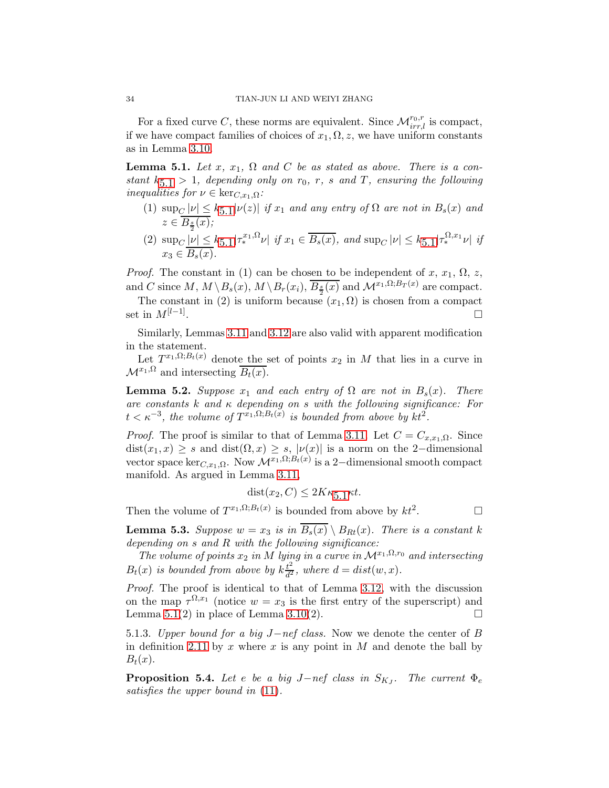For a fixed curve C, these norms are equivalent. Since  $\mathcal{M}^{r_0,r}_{irr,l}$  is compact, if we have compact families of choices of  $x_1, \Omega, z$ , we have uniform constants as in Lemma [3.10.](#page-16-0)

<span id="page-33-0"></span>**Lemma 5.1.** Let x,  $x_1$ ,  $\Omega$  and C be as stated as above. There is a constant  $k_{5,1} > 1$  $k_{5,1} > 1$  $k_{5,1} > 1$ , depending only on  $r_0$ , r, s and T, ensuring the following inequalities for  $\nu \in \text{ker}_{C,x_1,\Omega}$ :

- (1)  $\sup_C |\nu| \leq k_{5,1} |\nu(z)|$  $\sup_C |\nu| \leq k_{5,1} |\nu(z)|$  $\sup_C |\nu| \leq k_{5,1} |\nu(z)|$  if  $x_1$  and any entry of  $\Omega$  are not in  $B_s(x)$  and  $z \in B_{\frac{s}{2}}(x);$ 2
- (2)  $\sup_C |\nu| \leq k_{5,1} |\tau_*^{x_1,\Omega} \nu| \text{ if } x_1 \in \overline{B_s(x)} \text{, and } \sup_C |\nu| \leq k_{5,1} |\tau_*^{\Omega,x_1} \nu| \text{ if }$  $\sup_C |\nu| \leq k_{5,1} |\tau_*^{x_1,\Omega} \nu| \text{ if } x_1 \in \overline{B_s(x)} \text{, and } \sup_C |\nu| \leq k_{5,1} |\tau_*^{\Omega,x_1} \nu| \text{ if }$  $\sup_C |\nu| \leq k_{5,1} |\tau_*^{x_1,\Omega} \nu| \text{ if } x_1 \in \overline{B_s(x)} \text{, and } \sup_C |\nu| \leq k_{5,1} |\tau_*^{\Omega,x_1} \nu| \text{ if }$  $x_3 \in B_s(x)$ .

*Proof.* The constant in (1) can be chosen to be independent of x,  $x_1$ ,  $\Omega$ , z, and C since  $M, M \setminus B_s(x), M \setminus B_r(x_i), \overline{B_{\frac{s}{2}}(x)}$  and  $\mathcal{M}^{x_1, \Omega; B_T(x)}$  are compact.

The constant in (2) is uniform because  $(x_1, \Omega)$  is chosen from a compact set in  $M^{[l-1]}$ . .

Similarly, Lemmas [3.11](#page-16-1) and [3.12](#page-17-1) are also valid with apparent modification in the statement.

Let  $T^{x_1,\Omega;B_t(x)}$  denote the set of points  $x_2$  in M that lies in a curve in  $\mathcal{M}^{x_1,\Omega}$  and intersecting  $\overline{B_t(x)}$ .

<span id="page-33-1"></span>**Lemma 5.2.** Suppose  $x_1$  and each entry of  $\Omega$  are not in  $B_s(x)$ . There are constants k and  $\kappa$  depending on s with the following significance: For  $t < \kappa^{-3}$ , the volume of  $T^{x_1,\Omega;B_t(x)}$  is bounded from above by  $kt^2$ .

*Proof.* The proof is similar to that of Lemma [3.11.](#page-16-1) Let  $C = C_{x,x_1,\Omega}$ . Since  $dist(x_1, x) \geq s$  and  $dist(\Omega, x) \geq s$ ,  $|\nu(x)|$  is a norm on the 2-dimensional vector space ker<sub>C,x<sub>1</sub>,Ω. Now  $\mathcal{M}^{x_1,\Omega;B_t(x)}$  is a 2-dimensional smooth compact</sub> manifold. As argued in Lemma [3.11,](#page-16-1)

$$
dist(x_2, C) \le 2K\kappa_{5.1}\kappa t.
$$

Then the volume of  $T^{x_1,\Omega;B_t(x)}$  is bounded from above by  $kt^2$ . — П

<span id="page-33-2"></span>**Lemma 5.3.** Suppose  $w = x_3$  is in  $\overline{B_s(x)} \setminus B_{Rt}(x)$ . There is a constant k depending on  $s$  and  $R$  with the following significance:

The volume of points  $x_2$  in M lying in a curve in  $\mathcal{M}^{x_1,\Omega,r_0}$  and intersecting  $B_t(x)$  is bounded from above by  $k\frac{t^2}{d^2}$  $\frac{t^2}{d^2}$ , where  $d = dist(w, x)$ .

Proof. The proof is identical to that of Lemma [3.12,](#page-17-1) with the discussion on the map  $\tau^{\Omega,x_1}$  (notice  $w = x_3$  is the first entry of the superscript) and Lemma [5.1\(](#page-33-0)2) in place of Lemma [3.10\(](#page-16-0)2).  $\square$ 

5.1.3. Upper bound for a big J−nef class. Now we denote the center of B in definition [2.11](#page-10-0) by x where x is any point in  $M$  and denote the ball by  $B_t(x)$ .

<span id="page-33-3"></span>**Proposition 5.4.** Let e be a big J-nef class in  $S_{K_J}$ . The current  $\Phi_e$ satisfies the upper bound in [\(11\)](#page-10-1).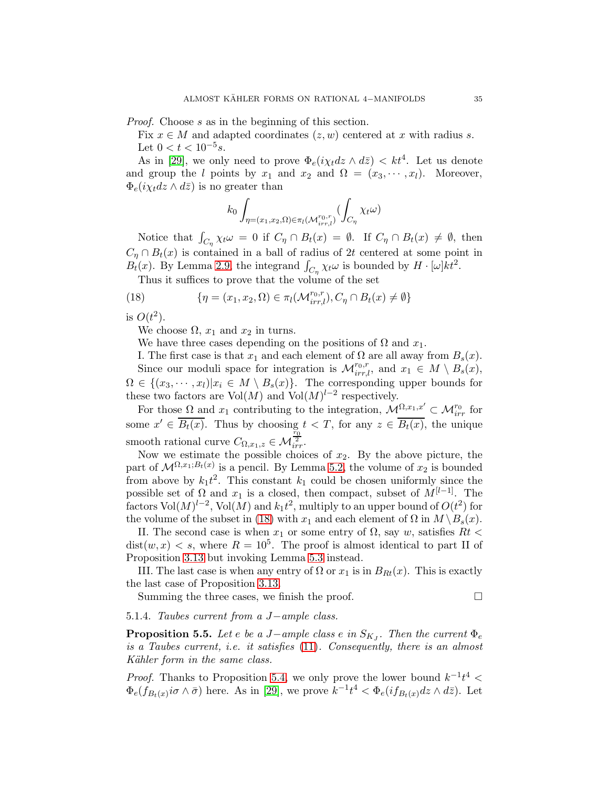Proof. Choose s as in the beginning of this section.

Fix  $x \in M$  and adapted coordinates  $(z, w)$  centered at x with radius s. Let  $0 < t < 10^{-5} s$ .

As in [\[29\]](#page-45-6), we only need to prove  $\Phi_e(i\chi_t dz \wedge d\bar{z}) < kt^4$ . Let us denote and group the l points by  $x_1$  and  $x_2$  and  $\Omega = (x_3, \dots, x_l)$ . Moreover,  $\Phi_e(i\chi_t dz \wedge d\bar{z})$  is no greater than

$$
k_0 \int_{\eta = (x_1, x_2, \Omega) \in \pi_l(\mathcal{M}_{irr,l}^{r_0, r})} (\int_{C_{\eta}} \chi_t \omega)
$$

Notice that  $\int_{C_{\eta}} \chi_t \omega = 0$  if  $C_{\eta} \cap B_t(x) = \emptyset$ . If  $C_{\eta} \cap B_t(x) \neq \emptyset$ , then  $C_n \cap B_t(x)$  is contained in a ball of radius of 2t centered at some point in  $B_t(x)$ . By Lemma [2.9,](#page-8-3) the integrand  $\int_{C_\eta} \chi_t \omega$  is bounded by  $H \cdot [\omega] k t^2$ .

<span id="page-34-0"></span>Thus it suffices to prove that the volume of the set

(18) 
$$
\{\eta = (x_1, x_2, \Omega) \in \pi_l(\mathcal{M}_{irr,l}^{r_0, r}), C_\eta \cap B_t(x) \neq \emptyset\}
$$

is  $O(t^2)$ .

We choose  $\Omega$ ,  $x_1$  and  $x_2$  in turns.

We have three cases depending on the positions of  $\Omega$  and  $x_1$ .

I. The first case is that  $x_1$  and each element of  $\Omega$  are all away from  $B_s(x)$ . Since our moduli space for integration is  $\mathcal{M}_{irr,l}^{r_0,r}$ , and  $x_1 \in M \setminus B_s(x)$ ,  $\Omega \in \{(x_3, \dots, x_l)| x_i \in M \setminus B_s(x)\}.$  The corresponding upper bounds for these two factors are  $Vol(M)$  and  $Vol(M)^{l-2}$  respectively.

For those  $\Omega$  and  $x_1$  contributing to the integration,  $\mathcal{M}_{\lambda}^{\Omega,x_1,x'} \subset \mathcal{M}_{irr}^{r_0}$  for some  $x' \in B_t(x)$ . Thus by choosing  $t < T$ , for any  $z \in B_t(x)$ , the unique smooth rational curve  $C_{\Omega,x_1,z} \in \mathcal{M}_{irr}^{\frac{r_0}{2}}$ .

Now we estimate the possible choices of  $x_2$ . By the above picture, the part of  $\mathcal{M}^{\Omega,x_1;B_t(x)}$  is a pencil. By Lemma [5.2,](#page-33-1) the volume of  $x_2$  is bounded from above by  $k_1 t^2$ . This constant  $k_1$  could be chosen uniformly since the possible set of  $\Omega$  and  $x_1$  is a closed, then compact, subset of  $M^{[l-1]}$ . The factors  $\text{Vol}(M)^{l-2}$ ,  $\text{Vol}(M)$  and  $k_1t^2$ , multiply to an upper bound of  $O(t^2)$  for the volume of the subset in [\(18\)](#page-34-0) with  $x_1$  and each element of  $\Omega$  in  $M \ B_s(x)$ .

II. The second case is when  $x_1$  or some entry of  $\Omega$ , say w, satisfies  $Rt$  <  $dist(w, x) < s$ , where  $R = 10<sup>5</sup>$ . The proof is almost identical to part II of Proposition [3.13](#page-18-1) but invoking Lemma [5.3](#page-33-2) instead.

III. The last case is when any entry of  $\Omega$  or  $x_1$  is in  $B_{Rt}(x)$ . This is exactly the last case of Proposition [3.13.](#page-18-1)

Summing the three cases, we finish the proof.  $\Box$ 

5.1.4. Taubes current from a J−ample class.

<span id="page-34-1"></span>**Proposition 5.5.** Let e be a J−ample class e in  $S_{KJ}$ . Then the current  $\Phi_e$ is a Taubes current, i.e. it satisfies [\(11\)](#page-10-1). Consequently, there is an almost Kähler form in the same class.

*Proof.* Thanks to Proposition [5.4,](#page-33-3) we only prove the lower bound  $k^{-1}t^4$  <  $\Phi_e(f_{B_t(x)}i\sigma \wedge \bar{\sigma})$  here. As in [\[29\]](#page-45-6), we prove  $k^{-1}t^4 < \Phi_e(if_{B_t(x)}dz \wedge d\bar{z})$ . Let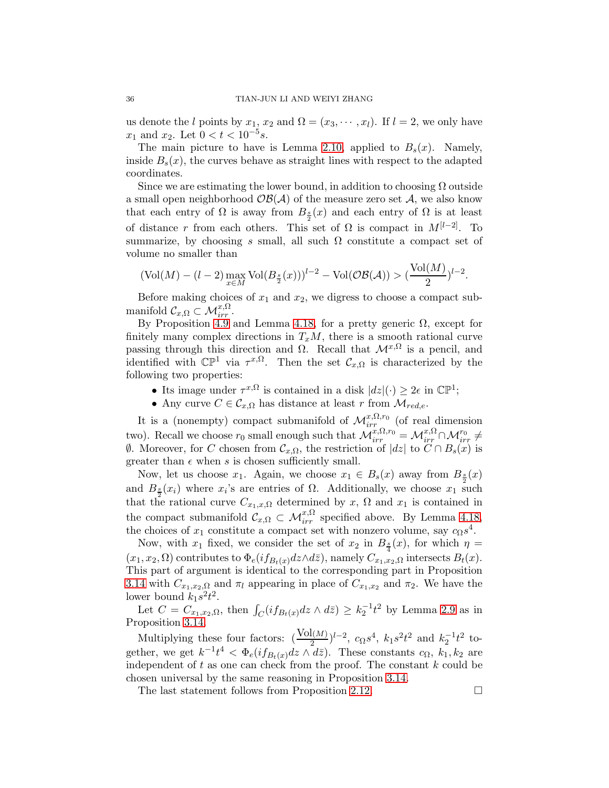us denote the l points by  $x_1, x_2$  and  $\Omega = (x_3, \dots, x_l)$ . If  $l = 2$ , we only have  $x_1$  and  $x_2$ . Let  $0 < t < 10^{-5}$ s.

The main picture to have is Lemma [2.10,](#page-9-2) applied to  $B_s(x)$ . Namely, inside  $B_s(x)$ , the curves behave as straight lines with respect to the adapted coordinates.

Since we are estimating the lower bound, in addition to choosing  $\Omega$  outside a small open neighborhood  $\mathcal{OB}(\mathcal{A})$  of the measure zero set  $\mathcal{A}$ , we also know that each entry of  $\Omega$  is away from  $B_{\frac{s}{2}}(x)$  and each entry of  $\Omega$  is at least of distance r from each others. This set of  $\Omega$  is compact in  $M^{[l-2]}$ . To summarize, by choosing s small, all such  $\Omega$  constitute a compact set of volume no smaller than

$$
(\text{Vol}(M) - (l-2) \max_{x \in M} \text{Vol}(B_{\frac{s}{2}}(x)))^{l-2} - \text{Vol}(\mathcal{OB}(\mathcal{A})) > \left(\frac{\text{Vol}(M)}{2}\right)^{l-2}.
$$

Before making choices of  $x_1$  and  $x_2$ , we digress to choose a compact submanifold  $\mathcal{C}_{x,\Omega} \subset \mathcal{M}_{irr}^{x,\Omega}$ .

By Proposition [4.9](#page-22-2) and Lemma [4.18,](#page-28-0) for a pretty generic  $\Omega$ , except for finitely many complex directions in  $T_xM$ , there is a smooth rational curve passing through this direction and  $\Omega$ . Recall that  $\mathcal{M}^{x,\Omega}$  is a pencil, and identified with  $\mathbb{CP}^1$  via  $\tau^{x,\Omega}$ . Then the set  $\mathcal{C}_{x,\Omega}$  is characterized by the following two properties:

- Its image under  $\tau^{x,\Omega}$  is contained in a disk  $|dz|(\cdot) \geq 2\epsilon$  in  $\mathbb{CP}^1$ ;
- Any curve  $C \in \mathcal{C}_{x,\Omega}$  has distance at least r from  $\mathcal{M}_{red,e}$ .

It is a (nonempty) compact submanifold of  $\mathcal{M}_{irr}^{x,\Omega,r_0}$  (of real dimension two). Recall we choose  $r_0$  small enough such that  $\mathcal{M}_{irr}^{x,\Omega,r_0} = \mathcal{M}_{irr}^{x,\Omega} \cap \mathcal{M}_{irr}^{r_0} \neq$  $\emptyset$ . Moreover, for *C* chosen from  $\mathcal{C}_{x,\Omega}$ , the restriction of  $|dz|$  to *C* ∩  $B_s(x)$  is greater than  $\epsilon$  when s is chosen sufficiently small.

Now, let us choose  $x_1$ . Again, we choose  $x_1 \in B_s(x)$  away from  $B_{\frac{s}{2}}(x)$ and  $B_{\frac{s}{2}}(x_i)$  where  $x_i$ 's are entries of  $\Omega$ . Additionally, we choose  $x_1$  such that the rational curve  $C_{x_1,x,\Omega}$  determined by x,  $\Omega$  and  $x_1$  is contained in the compact submanifold  $\mathcal{C}_{x,\Omega} \subset \mathcal{M}_{irr}^{x,\Omega}$  specified above. By Lemma [4.18,](#page-28-0) the choices of  $x_1$  constitute a compact set with nonzero volume, say  $c_{\Omega} s^4$ .

Now, with  $x_1$  fixed, we consider the set of  $x_2$  in  $B_{\frac{s}{4}}(x)$ , for which  $\eta =$  $(x_1, x_2, \Omega)$  contributes to  $\Phi_e(i f_{B_t(x)} dz \wedge d\bar{z})$ , namely  $C_{x_1, x_2, \Omega}$  intersects  $B_t(x)$ . This part of argument is identical to the corresponding part in Proposition [3.14](#page-19-0) with  $C_{x_1,x_2,\Omega}$  and  $\pi_l$  appearing in place of  $C_{x_1,x_2}$  and  $\pi_2$ . We have the lower bound  $k_1 s^2 t^2$ .

Let  $C = C_{x_1,x_2,\Omega}$ , then  $\int_C (i f_{B_t(x)} dz \wedge d\bar{z}) \geq k_2^{-1} t^2$  by Lemma [2.9](#page-8-3) as in Proposition [3.14.](#page-19-0)

Multiplying these four factors:  $(\frac{\text{Vol}(M)}{2})^{l-2}$ ,  $c_{\Omega}s^4$ ,  $k_1s^2t^2$  and  $k_2^{-1}t^2$  together, we get  $k^{-1}t^4 < \Phi_e(if_{B_t(x)}dz \wedge d\bar{z})$ . These constants  $c_{\Omega}, k_1, k_2$  are independent of  $t$  as one can check from the proof. The constant  $k$  could be chosen universal by the same reasoning in Proposition [3.14.](#page-19-0)

The last statement follows from Proposition [2.12.](#page-10-2)  $\Box$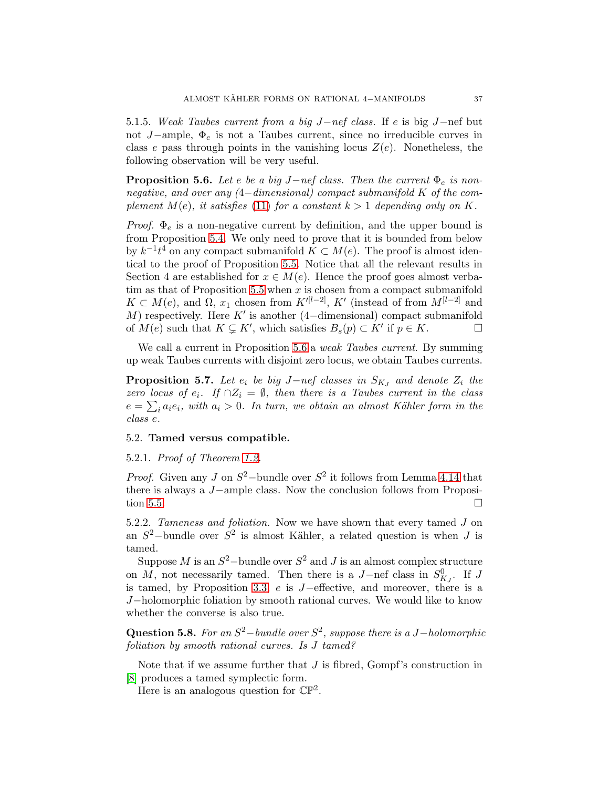5.1.5. Weak Taubes current from a big J−nef class. If e is big J−nef but not J−ample,  $\Phi_e$  is not a Taubes current, since no irreducible curves in class e pass through points in the vanishing locus  $Z(e)$ . Nonetheless, the following observation will be very useful.

<span id="page-36-1"></span>**Proposition 5.6.** Let e be a big J−nef class. Then the current  $\Phi_e$  is nonnegative, and over any (4−dimensional) compact submanifold K of the complement  $M(e)$ , it satisfies [\(11\)](#page-10-1) for a constant  $k > 1$  depending only on K.

*Proof.*  $\Phi_e$  is a non-negative current by definition, and the upper bound is from Proposition [5.4.](#page-33-3) We only need to prove that it is bounded from below by  $k^{-1}t^4$  on any compact submanifold  $K \subset M(e)$ . The proof is almost identical to the proof of Proposition [5.5.](#page-34-1) Notice that all the relevant results in Section 4 are established for  $x \in M(e)$ . Hence the proof goes almost verba-tim as that of Proposition [5.5](#page-34-1) when  $x$  is chosen from a compact submanifold  $K \subset M(e)$ , and  $\Omega$ ,  $x_1$  chosen from  $K'^{[l-2]}$ ,  $K'$  (instead of from  $M^{[l-2]}$  and M) respectively. Here  $K'$  is another (4-dimensional) compact submanifold of  $M(e)$  such that  $K \subsetneq K'$ , which satisfies  $B_s(p) \subset K'$  if  $p \in K$ .

We call a current in Proposition [5.6](#page-36-1) a *weak Taubes current*. By summing up weak Taubes currents with disjoint zero locus, we obtain Taubes currents.

<span id="page-36-2"></span>**Proposition 5.7.** Let  $e_i$  be big J-nef classes in  $S_{K_J}$  and denote  $Z_i$  the zero locus of  $e_i$ . If  $\cap Z_i = \emptyset$ , then there is a Taubes current in the class  $e = \sum_i a_i e_i$ , with  $a_i > 0$ . In turn, we obtain an almost Kähler form in the class e.

### <span id="page-36-0"></span>5.2. Tamed versus compatible.

## 5.2.1. Proof of Theorem [1.2.](#page-1-2)

*Proof.* Given any J on  $S^2$ -bundle over  $S^2$  it follows from Lemma [4.14](#page-25-0) that there is always a J−ample class. Now the conclusion follows from Proposi-tion [5.5.](#page-34-1)  $\Box$ 

5.2.2. Tameness and foliation. Now we have shown that every tamed J on an  $S^2$ -bundle over  $S^2$  is almost Kähler, a related question is when J is tamed.

Suppose M is an  $S^2$ -bundle over  $S^2$  and J is an almost complex structure on M, not necessarily tamed. Then there is a  $J$ -nef class in  $S_{K_J}^0$ . If J is tamed, by Proposition [3.3,](#page-13-3) e is J−effective, and moreover, there is a J−holomorphic foliation by smooth rational curves. We would like to know whether the converse is also true.

Question 5.8. For an  $S^2$ -bundle over  $S^2$ , suppose there is a J-holomorphic foliation by smooth rational curves. Is J tamed?

Note that if we assume further that  $J$  is fibred, Gompf's construction in [\[8\]](#page-44-12) produces a tamed symplectic form.

Here is an analogous question for  $\mathbb{CP}^2$ .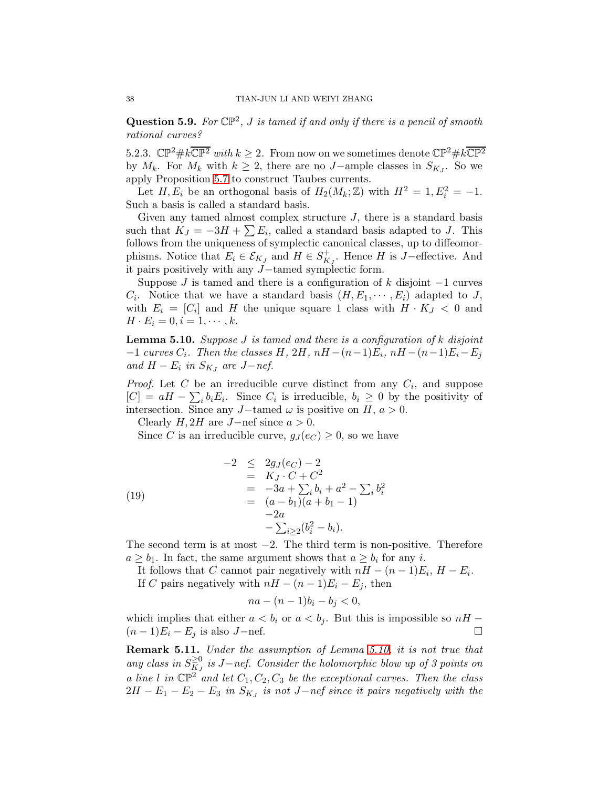**Question 5.9.** For  $\mathbb{CP}^2$ , *J* is tamed if and only if there is a pencil of smooth rational curves?

5.2.3.  $\mathbb{CP}^2 \# k \overline{\mathbb{CP}^2}$  with  $k \geq 2$ . From now on we sometimes denote  $\mathbb{CP}^2 \# k \overline{\mathbb{CP}^2}$ by  $M_k$ . For  $M_k$  with  $k \geq 2$ , there are no J-ample classes in  $S_{K_j}$ . So we apply Proposition [5.7](#page-36-2) to construct Taubes currents.

Let  $H, E_i$  be an orthogonal basis of  $H_2(M_k; \mathbb{Z})$  with  $H^2 = 1, E_i^2 = -1$ . Such a basis is called a standard basis.

Given any tamed almost complex structure  $J$ , there is a standard basis such that  $K_J = -3H + \sum E_i$ , called a standard basis adapted to J. This follows from the uniqueness of symplectic canonical classes, up to diffeomorphisms. Notice that  $E_i \in \mathcal{E}_{K_J}$  and  $H \in S^+_{K_J}$ . Hence H is J-effective. And it pairs positively with any J−tamed symplectic form.

Suppose  $J$  is tamed and there is a configuration of k disjoint  $-1$  curves  $C_i$ . Notice that we have a standard basis  $(H, E_1, \dots, E_i)$  adapted to J, with  $E_i = [C_i]$  and H the unique square 1 class with  $H \cdot K_J < 0$  and  $H \cdot E_i = 0, i = 1, \dots, k.$ 

<span id="page-37-1"></span>**Lemma 5.10.** Suppose  $J$  is tamed and there is a configuration of  $k$  disjoint  $-1$  curves  $C_i$ . Then the classes H, 2H, nH  $-(n-1)E_i$ , nH  $-(n-1)E_i - E_j$ and  $H - E_i$  in  $S_{K_J}$  are J-nef.

*Proof.* Let C be an irreducible curve distinct from any  $C_i$ , and suppose  $[C] = aH - \sum_i b_i E_i$ . Since  $C_i$  is irreducible,  $b_i \geq 0$  by the positivity of intersection. Since any J-tamed  $\omega$  is positive on H,  $a > 0$ .

Clearly  $H$ , 2H are J−nef since  $a > 0$ .

Since C is an irreducible curve,  $g_J(e_C) \geq 0$ , so we have

(19)  
\n
$$
-2 \le 2g_J(e_C) - 2
$$
\n
$$
= K_J \cdot C + C^2
$$
\n
$$
= -3a + \sum_i b_i + a^2 - \sum_i b_i^2
$$
\n
$$
= (a - b_1)(a + b_1 - 1)
$$
\n
$$
-2a
$$
\n
$$
- \sum_{i \ge 2} (b_i^2 - b_i).
$$

The second term is at most  $-2$ . The third term is non-positive. Therefore  $a \geq b_1$ . In fact, the same argument shows that  $a \geq b_i$  for any *i*.

It follows that C cannot pair negatively with  $nH - (n-1)E_i$ ,  $H - E_i$ . If C pairs negatively with  $nH - (n-1)E_i - E_j$ , then

$$
na - (n-1)b_i - b_j < 0,
$$

which implies that either  $a < b_i$  or  $a < b_j$ . But this is impossible so  $nH (n-1)E_i - E_j$  is also J-nef.

<span id="page-37-0"></span>Remark 5.11. Under the assumption of Lemma [5.10,](#page-37-1) it is not true that any class in  $S_{KJ}^{\geq 0}$  is J-nef. Consider the holomorphic blow up of 3 points on a line l in  $\mathbb{CP}^2$  and let  $C_1, C_2, C_3$  be the exceptional curves. Then the class  $2H - E_1 - E_2 - E_3$  in  $S_{K_J}$  is not J-nef since it pairs negatively with the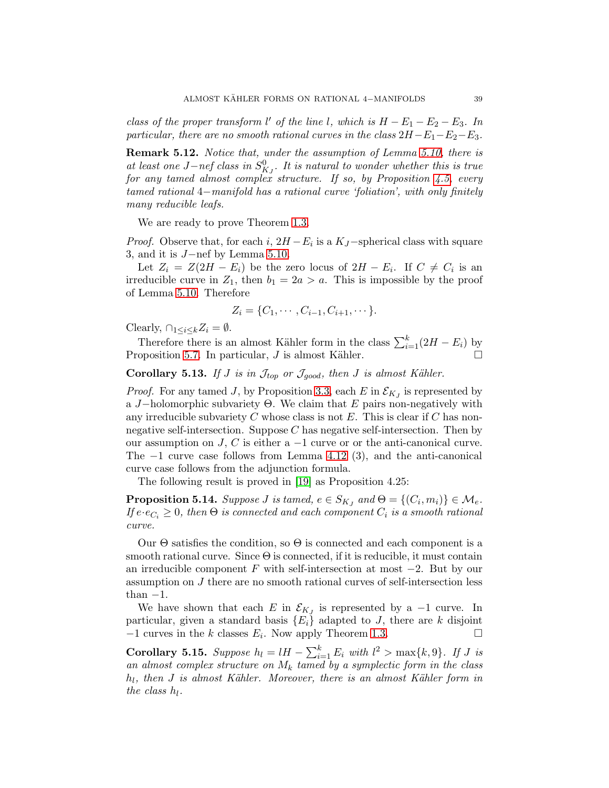class of the proper transform  $l'$  of the line l, which is  $H - E_1 - E_2 - E_3$ . In particular, there are no smooth rational curves in the class  $2H-E_1-E_2-E_3$ .

Remark 5.12. Notice that, under the assumption of Lemma [5.10,](#page-37-1) there is at least one  $J-nef$  class in  $S^0_{K_J}$ . It is natural to wonder whether this is true for any tamed almost complex structure. If so, by Proposition [4.5,](#page-21-1) every tamed rational 4−manifold has a rational curve 'foliation', with only finitely many reducible leafs.

We are ready to prove Theorem [1.3.](#page-1-3)

*Proof.* Observe that, for each i,  $2H - E_i$  is a  $K_J$ -spherical class with square 3, and it is J−nef by Lemma [5.10.](#page-37-1)

Let  $Z_i = Z(2H - E_i)$  be the zero locus of  $2H - E_i$ . If  $C \neq C_i$  is an irreducible curve in  $Z_1$ , then  $b_1 = 2a > a$ . This is impossible by the proof of Lemma [5.10.](#page-37-1) Therefore

$$
Z_i = \{C_1, \cdots, C_{i-1}, C_{i+1}, \cdots\}.
$$

Clearly,  $\bigcap_{1 \leq i \leq k} Z_i = \emptyset$ .

Therefore there is an almost Kähler form in the class  $\sum_{i=1}^{k} (2H - E_i)$  by Proposition [5.7.](#page-36-2) In particular, J is almost Kähler.  $\Box$ 

<span id="page-38-1"></span>Corollary 5.13. If J is in  $\mathcal{J}_{top}$  or  $\mathcal{J}_{good}$ , then J is almost Kähler.

*Proof.* For any tamed J, by Proposition [3.3,](#page-13-3) each E in  $\mathcal{E}_{K_J}$  is represented by a J−holomorphic subvariety  $\Theta$ . We claim that E pairs non-negatively with any irreducible subvariety C whose class is not  $E$ . This is clear if C has nonnegative self-intersection. Suppose C has negative self-intersection. Then by our assumption on  $J, C$  is either a  $-1$  curve or or the anti-canonical curve. The  $-1$  curve case follows from Lemma [4.12](#page-23-3) (3), and the anti-canonical curve case follows from the adjunction formula.

The following result is proved in [\[19\]](#page-45-7) as Proposition 4.25:

**Proposition 5.14.** Suppose *J* is tamed,  $e \in S_{KJ}$  and  $\Theta = \{(C_i, m_i)\} \in \mathcal{M}_e$ . If  $e \cdot e_{C_i} \geq 0$ , then  $\Theta$  is connected and each component  $C_i$  is a smooth rational curve.

Our  $\Theta$  satisfies the condition, so  $\Theta$  is connected and each component is a smooth rational curve. Since  $\Theta$  is connected, if it is reducible, it must contain an irreducible component F with self-intersection at most  $-2$ . But by our assumption on J there are no smooth rational curves of self-intersection less than  $-1$ .

We have shown that each E in  $\mathcal{E}_{KJ}$  is represented by a -1 curve. In particular, given a standard basis  ${E_i}$  adapted to J, there are k disjoint  $-1$  curves in the k classes  $E_i$ . Now apply Theorem [1.3.](#page-1-3)

<span id="page-38-0"></span>**Corollary 5.15.** Suppose  $h_l = lH - \sum_{i=1}^k E_i$  with  $l^2 > \max\{k, 9\}$ . If J is an almost complex structure on  $M_k$  tamed by a symplectic form in the class  $h_l$ , then J is almost Kähler. Moreover, there is an almost Kähler form in the class  $h_l$ .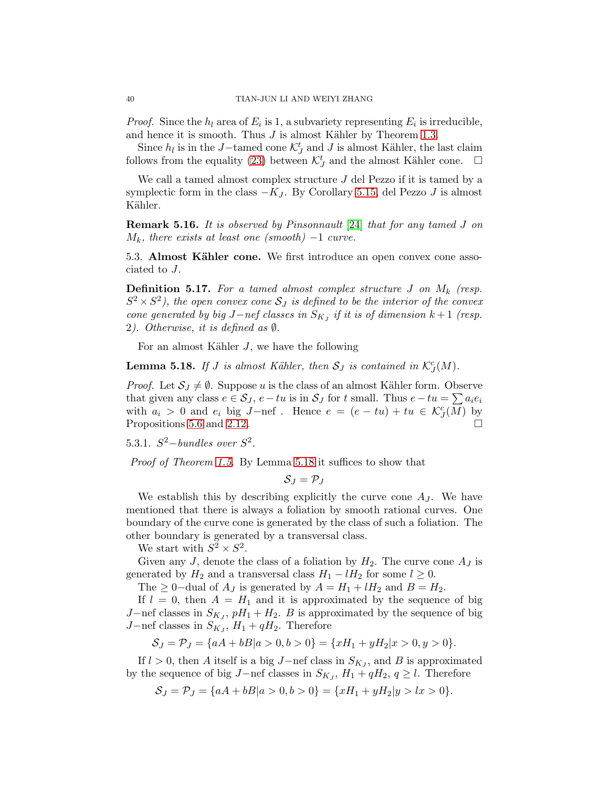*Proof.* Since the  $h_l$  area of  $E_i$  is 1, a subvariety representing  $E_i$  is irreducible, and hence it is smooth. Thus  $J$  is almost Kähler by Theorem [1.3.](#page-1-3)

Since  $h_l$  is in the J−tamed cone  $\mathcal{K}_J^t$  and J is almost Kähler, the last claim follows from the equality [\(23\)](#page-41-1) between  $\mathcal{K}_{J}^{t}$  and the almost Kähler cone.  $\Box$ 

We call a tamed almost complex structure  $J$  del Pezzo if it is tamed by a symplectic form in the class  $-K_J$ . By Corollary [5.15,](#page-38-0) del Pezzo J is almost Kähler.

Remark 5.16. It is observed by Pinsonnault [\[24\]](#page-45-12) that for any tamed J on  $M_k$ , there exists at least one (smooth) –1 curve.

<span id="page-39-0"></span>5.3. Almost Kähler cone. We first introduce an open convex cone associated to J.

**Definition 5.17.** For a tamed almost complex structure  $J$  on  $M_k$  (resp.  $S^2 \times S^2$ ), the open convex cone  $S_J$  is defined to be the interior of the convex cone generated by big J $-$ nef classes in  $S_{KJ}$  if it is of dimension  $k+1$  (resp. 2). Otherwise, it is defined as ∅.

For an almost Kähler  $J$ , we have the following

<span id="page-39-1"></span>**Lemma 5.18.** If J is almost Kähler, then  $S_J$  is contained in  $\mathcal{K}^c_J(M)$ .

*Proof.* Let  $S_J \neq \emptyset$ . Suppose u is the class of an almost Kähler form. Observe that given any class  $e \in S_J$ ,  $e - tu$  is in  $S_J$  for t small. Thus  $e - tu = \sum a_i e_i$ with  $a_i > 0$  and  $e_i$  big J-nef. Hence  $e = (e - tu) + tu \in \mathcal{K}^c_J(M)$  by Propositions [5.6](#page-36-1) and [2.12.](#page-10-2)

5.3.1.  $S^2$ -bundles over  $S^2$ .

Proof of Theorem [1.5.](#page-3-2) By Lemma [5.18](#page-39-1) it suffices to show that

 $S_J = \mathcal{P}_J$ 

We establish this by describing explicitly the curve cone  $A_J$ . We have mentioned that there is always a foliation by smooth rational curves. One boundary of the curve cone is generated by the class of such a foliation. The other boundary is generated by a transversal class.

We start with  $S^2 \times S^2$ .

Given any J, denote the class of a foliation by  $H_2$ . The curve cone  $A_J$  is generated by  $H_2$  and a transversal class  $H_1 - lH_2$  for some  $l \geq 0$ .

The  $\geq$  0–dual of  $A_J$  is generated by  $A = H_1 + lH_2$  and  $B = H_2$ .

If  $l = 0$ , then  $A = H_1$  and it is approximated by the sequence of big J−nef classes in  $S_{K_J}$ ,  $pH_1 + H_2$ . B is approximated by the sequence of big J−nef classes in  $S_{K_J}$ ,  $H_1 + qH_2$ . Therefore

$$
S_J = \mathcal{P}_J = \{aA + bB | a > 0, b > 0\} = \{xH_1 + yH_2 | x > 0, y > 0\}.
$$

If  $l > 0$ , then A itself is a big J-nef class in  $S_{K_J}$ , and B is approximated by the sequence of big  $J$ –nef classes in  $S_{K_J}$ ,  $H_1 + qH_2$ ,  $q \ge l$ . Therefore

$$
S_J = \mathcal{P}_J = \{aA + bB | a > 0, b > 0\} = \{xH_1 + yH_2 | y > lx > 0\}.
$$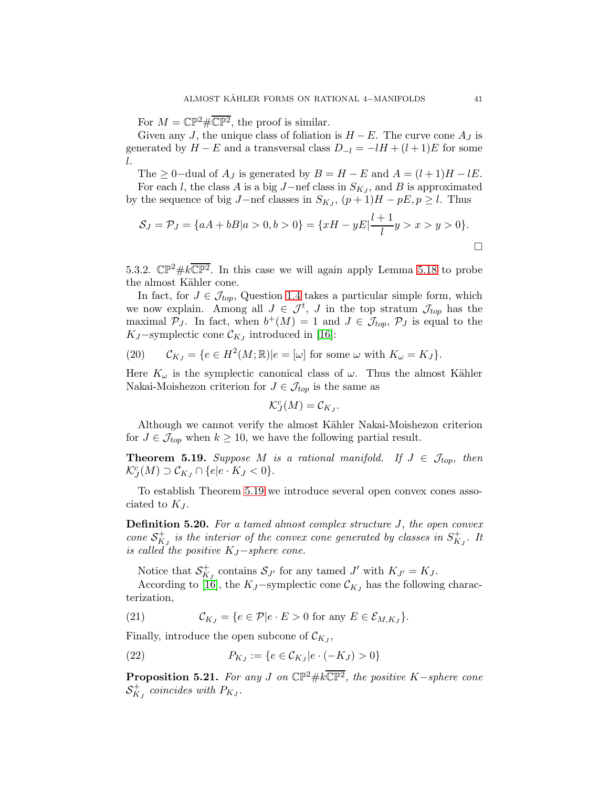For  $M = \mathbb{CP}^2 \# \overline{\mathbb{CP}^2}$ , the proof is similar.

Given any J, the unique class of foliation is  $H - E$ . The curve cone  $A_J$  is generated by  $H - E$  and a transversal class  $D_{-l} = -lH + (l+1)E$  for some l.

The  $\geq 0$ -dual of  $A_J$  is generated by  $B = H - E$  and  $A = (l + 1)H - lE$ .

For each l, the class A is a big J−nef class in  $S_{K_J}$ , and B is approximated by the sequence of big  $J$ –nef classes in  $S_{K_J}$ ,  $(p+1)H - pE$ ,  $p \ge l$ . Thus

$$
S_J = \mathcal{P}_J = \{aA + bB | a > 0, b > 0\} = \{xH - yE | \frac{l+1}{l}y > x > y > 0\}.
$$

5.3.2.  $\mathbb{CP}^2 \# k \overline{\mathbb{CP}^2}$ . In this case we will again apply Lemma [5.18](#page-39-1) to probe the almost Kähler cone.

In fact, for  $J \in \mathcal{J}_{top}$ , Question [1.4](#page-3-3) takes a particular simple form, which we now explain. Among all  $J \in \mathcal{J}^t$ , J in the top stratum  $\mathcal{J}_{top}$  has the maximal  $P_J$ . In fact, when  $b^+(M) = 1$  and  $J \in \mathcal{J}_{top}$ ,  $P_J$  is equal to the K<sub>J</sub>-symplectic cone  $\mathcal{C}_{K_J}$  introduced in [\[16\]](#page-45-13):

(20) 
$$
\mathcal{C}_{K_J} = \{ e \in H^2(M; \mathbb{R}) | e = [\omega] \text{ for some } \omega \text{ with } K_\omega = K_J \}.
$$

Here  $K_{\omega}$  is the symplectic canonical class of  $\omega$ . Thus the almost Kähler Nakai-Moishezon criterion for  $J \in \mathcal{J}_{top}$  is the same as

$$
\mathcal{K}_{J}^c(M)=\mathcal{C}_{K_J}.
$$

Although we cannot verify the almost Kähler Nakai-Moishezon criterion for  $J \in \mathcal{J}_{top}$  when  $k \geq 10$ , we have the following partial result.

<span id="page-40-0"></span>**Theorem 5.19.** Suppose M is a rational manifold. If  $J \in \mathcal{J}_{top}$ , then  $\mathcal{K}_J^c(M) \supset \mathcal{C}_{K_J} \cap \{e|e \cdot K_J < 0\}.$ 

To establish Theorem [5.19](#page-40-0) we introduce several open convex cones associated to  $K_J$ .

Definition 5.20. For a tamed almost complex structure J, the open convex cone  $S^+_{K_J}$  is the interior of the convex cone generated by classes in  $S^+_{K_J}$ . It is called the positive  $K_J$ -sphere cone.

Notice that  $S_{K_J}^+$  contains  $S_{J'}$  for any tamed  $J'$  with  $K_{J'} = K_J$ .

According to [\[16\]](#page-45-13), the KJ-symplectic cone  $\mathcal{C}_{KJ}$  has the following characterization,

<span id="page-40-3"></span>(21) 
$$
\mathcal{C}_{K_J} = \{ e \in \mathcal{P} | e \cdot E > 0 \text{ for any } E \in \mathcal{E}_{M,K_J} \}.
$$

Finally, introduce the open subcone of  $\mathcal{C}_{K_J}$ ,

<span id="page-40-2"></span>(22) 
$$
P_{K_J} := \{ e \in \mathcal{C}_{K_J} | e \cdot (-K_J) > 0 \}
$$

<span id="page-40-1"></span>**Proposition 5.21.** For any J on  $\mathbb{CP}^2 \# k \overline{\mathbb{CP}^2}$ , the positive K-sphere cone  $\mathcal{S}_{K_J}^+$  coincides with  $P_{K_J}.$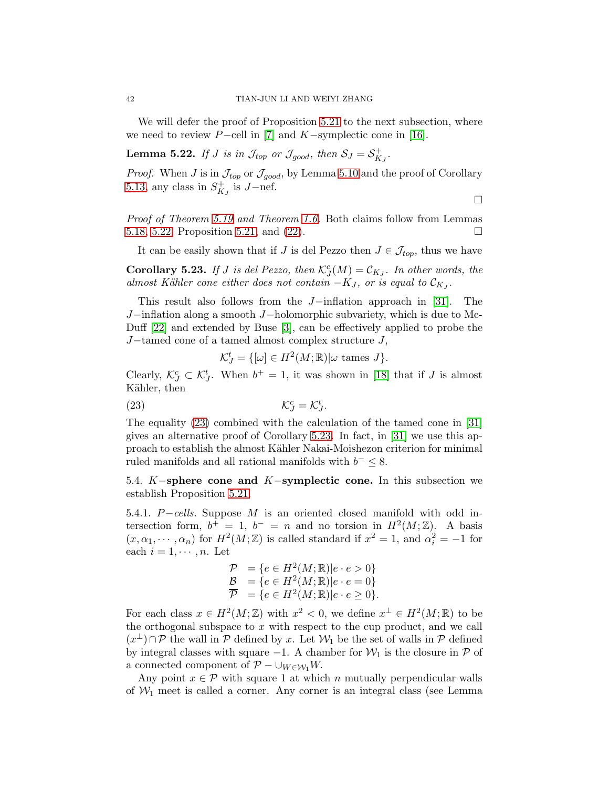We will defer the proof of Proposition [5.21](#page-40-1) to the next subsection, where we need to review  $P$ -cell in [\[7\]](#page-44-13) and  $K$ -symplectic cone in [\[16\]](#page-45-13).

<span id="page-41-2"></span>**Lemma 5.22.** If J is in  $\mathcal{J}_{top}$  or  $\mathcal{J}_{good}$ , then  $\mathcal{S}_J = \mathcal{S}_{K_J}^+$ .

*Proof.* When J is in  $\mathcal{J}_{top}$  or  $\mathcal{J}_{good}$ , by Lemma [5.10](#page-37-1) and the proof of Corollary [5.13,](#page-38-1) any class in  $S^+_{K_J}$  is J-nef.

 $\Box$ 

Proof of Theorem [5.19](#page-40-0) and Theorem [1.6.](#page-3-1) Both claims follow from Lemmas [5.18,](#page-39-1) [5.22,](#page-41-2) Proposition [5.21,](#page-40-1) and [\(22\)](#page-40-2).

It can be easily shown that if J is del Pezzo then  $J \in \mathcal{J}_{top}$ , thus we have

<span id="page-41-3"></span>**Corollary 5.23.** If J is del Pezzo, then  $\mathcal{K}_{J}^{c}(M) = \mathcal{C}_{KJ}$ . In other words, the almost Kähler cone either does not contain  $-K_J$ , or is equal to  $\mathcal{C}_{K_J}$ .

This result also follows from the J−inflation approach in [\[31\]](#page-45-14). The J−inflation along a smooth J−holomorphic subvariety, which is due to Mc-Duff [\[22\]](#page-45-15) and extended by Buse [\[3\]](#page-44-14), can be effectively applied to probe the J−tamed cone of a tamed almost complex structure J,

$$
\mathcal{K}_J^t = \{ [\omega] \in H^2(M; \mathbb{R}) | \omega \text{ tames } J \}.
$$

Clearly,  $\mathcal{K}_{J}^{c} \subset \mathcal{K}_{J}^{t}$ . When  $b^{+} = 1$ , it was shown in [\[18\]](#page-45-4) that if J is almost Kähler, then

<span id="page-41-1"></span>.

$$
(\text{23}) \qquad \qquad \mathcal{K}_J^c = \mathcal{K}_J^t
$$

The equality [\(23\)](#page-41-1) combined with the calculation of the tamed cone in [\[31\]](#page-45-14) gives an alternative proof of Corollary [5.23.](#page-41-3) In fact, in [\[31\]](#page-45-14) we use this approach to establish the almost K¨ahler Nakai-Moishezon criterion for minimal ruled manifolds and all rational manifolds with  $b^- \leq 8$ .

<span id="page-41-0"></span>5.4. K−sphere cone and K−symplectic cone. In this subsection we establish Proposition [5.21.](#page-40-1)

5.4.1. P−cells. Suppose M is an oriented closed manifold with odd intersection form,  $b^+ = 1$ ,  $b^- = n$  and no torsion in  $H^2(M; \mathbb{Z})$ . A basis  $(x, \alpha_1, \dots, \alpha_n)$  for  $H^2(M; \mathbb{Z})$  is called standard if  $x^2 = 1$ , and  $\alpha_i^2 = -1$  for each  $i = 1, \dots, n$ . Let

$$
\begin{array}{ll} \mathcal{P} & = \{e \in H^2(M;\mathbb{R}) | e \cdot e > 0\} \\ \mathcal{B} & = \{e \in H^2(M;\mathbb{R}) | e \cdot e = 0\} \\ \overline{\mathcal{P}} & = \{e \in H^2(M;\mathbb{R}) | e \cdot e \ge 0\} .\end{array}
$$

For each class  $x \in H^2(M; \mathbb{Z})$  with  $x^2 < 0$ , we define  $x^{\perp} \in H^2(M; \mathbb{R})$  to be the orthogonal subspace to  $x$  with respect to the cup product, and we call  $(x^{\perp}) \cap \mathcal{P}$  the wall in  $\mathcal{P}$  defined by x. Let  $\mathcal{W}_1$  be the set of walls in  $\mathcal{P}$  defined by integral classes with square  $-1$ . A chamber for  $\mathcal{W}_1$  is the closure in  $\mathcal P$  of a connected component of  $\mathcal{P} - \cup_{W \in \mathcal{W}_1} W$ .

Any point  $x \in \mathcal{P}$  with square 1 at which n mutually perpendicular walls of  $W_1$  meet is called a corner. Any corner is an integral class (see Lemma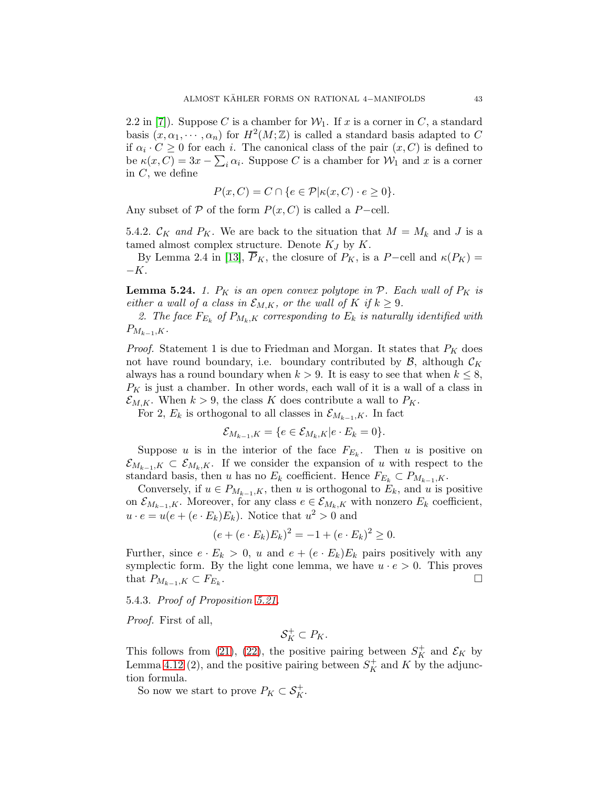2.2 in [\[7\]](#page-44-13)). Suppose C is a chamber for  $W_1$ . If x is a corner in C, a standard basis  $(x, \alpha_1, \dots, \alpha_n)$  for  $H^2(M; \mathbb{Z})$  is called a standard basis adapted to C if  $\alpha_i \cdot C \geq 0$  for each *i*. The canonical class of the pair  $(x, C)$  is defined to be  $\kappa(x, C) = 3x - \sum_i \alpha_i$ . Suppose C is a chamber for  $\mathcal{W}_1$  and x is a corner in  $C$ , we define

$$
P(x, C) = C \cap \{e \in \mathcal{P} | \kappa(x, C) \cdot e \ge 0\}.
$$

Any subset of P of the form  $P(x, C)$  is called a P−cell.

5.4.2.  $\mathcal{C}_K$  and  $P_K$ . We are back to the situation that  $M = M_k$  and J is a tamed almost complex structure. Denote  $K_J$  by  $K$ .

By Lemma 2.4 in [\[13\]](#page-44-11),  $\overline{P}_K$ , the closure of  $P_K$ , is a P−cell and  $\kappa(P_K)$  =  $-K$ .

<span id="page-42-0"></span>**Lemma 5.24.** 1.  $P_K$  is an open convex polytope in  $P$ . Each wall of  $P_K$  is either a wall of a class in  $\mathcal{E}_{M,K}$ , or the wall of K if  $k \geq 9$ .

2. The face  $F_{E_k}$  of  $P_{M_k,K}$  corresponding to  $E_k$  is naturally identified with  $P_{M_{k-1},K}$ .

*Proof.* Statement 1 is due to Friedman and Morgan. It states that  $P_K$  does not have round boundary, i.e. boundary contributed by  $\mathcal{B}$ , although  $\mathcal{C}_K$ always has a round boundary when  $k > 9$ . It is easy to see that when  $k \leq 8$ ,  $P_K$  is just a chamber. In other words, each wall of it is a wall of a class in  $\mathcal{E}_{M,K}$ . When  $k > 9$ , the class K does contribute a wall to  $P_K$ .

For 2,  $E_k$  is orthogonal to all classes in  $\mathcal{E}_{M_{k-1},K}$ . In fact

$$
\mathcal{E}_{M_{k-1},K} = \{e \in \mathcal{E}_{M_k,K}|e \cdot E_k = 0\}.
$$

Suppose u is in the interior of the face  $F_{E_k}$ . Then u is positive on  $\mathcal{E}_{M_{k-1},K} \subset \mathcal{E}_{M_k,K}$ . If we consider the expansion of u with respect to the standard basis, then u has no  $E_k$  coefficient. Hence  $F_{E_k} \subset P_{M_{k-1},K}$ .

Conversely, if  $u \in P_{M_{k-1}, K}$ , then u is orthogonal to  $E_k$ , and u is positive on  $\mathcal{E}_{M_{k-1},K}$ . Moreover, for any class  $e \in \mathcal{E}_{M_k,K}$  with nonzero  $E_k$  coefficient,  $u \cdot e = u(e + (e \cdot E_k)E_k)$ . Notice that  $u^2 > 0$  and

$$
(e + (e \cdot E_k)E_k)^2 = -1 + (e \cdot E_k)^2 \ge 0.
$$

Further, since  $e \cdot E_k > 0$ , u and  $e + (e \cdot E_k)E_k$  pairs positively with any symplectic form. By the light cone lemma, we have  $u \cdot e > 0$ . This proves that  $P_{M_{k-1},K} \subset F_{E_k}$ . . В последните последните последните последните последните последните последните последните последните последн<br>В последните последните последните последните последните последните последните последните последните последнит

5.4.3. Proof of Proposition [5.21.](#page-40-1)

Proof. First of all,

$$
\mathcal{S}_K^+ \subset P_K.
$$

This follows from [\(21\)](#page-40-3), [\(22\)](#page-40-2), the positive pairing between  $S_K^+$  and  $\mathcal{E}_K$  by Lemma [4.12](#page-23-3) (2), and the positive pairing between  $S_K^+$  and K by the adjunction formula.

So now we start to prove  $P_K \subset \mathcal{S}_K^+$ .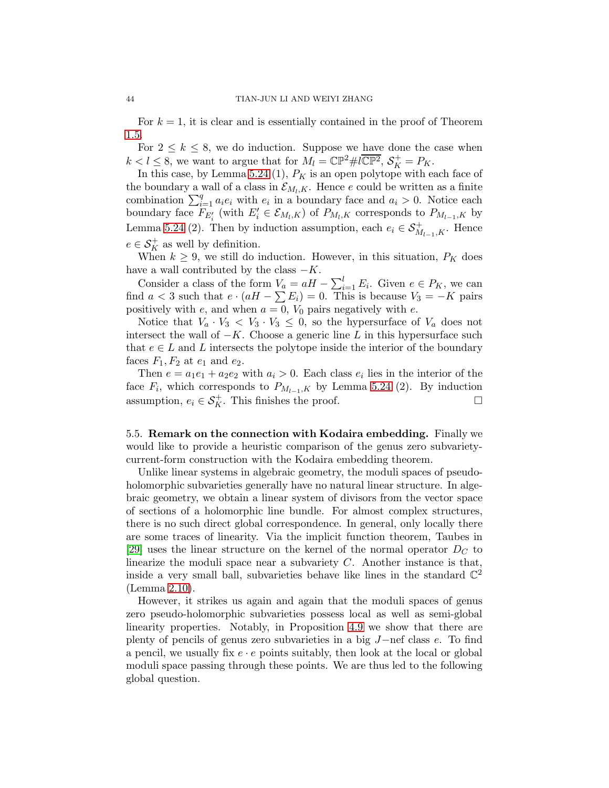For  $k = 1$ , it is clear and is essentially contained in the proof of Theorem [1.5.](#page-3-2)

For  $2 \leq k \leq 8$ , we do induction. Suppose we have done the case when  $k < l \leq 8$ , we want to argue that for  $M_l = \mathbb{CP}^2 \# l\overline{\mathbb{CP}^2}, \, \mathcal{S}_K^+ = P_K.$ 

In this case, by Lemma [5.24](#page-42-0) (1),  $P_K$  is an open polytope with each face of the boundary a wall of a class in  $\mathcal{E}_{M_l,K}$ . Hence e could be written as a finite combination  $\sum_{i=1}^{q} a_i e_i$  with  $e_i$  in a boundary face and  $a_i > 0$ . Notice each boundary face  $F_{E'_i}$  (with  $E'_i \in \mathcal{E}_{M_l,K}$ ) of  $P_{M_l,K}$  corresponds to  $P_{M_{l-1},K}$  by Lemma [5.24](#page-42-0) (2). Then by induction assumption, each  $e_i \in \mathcal{S}_{M_{l-1},K}^+$ . Hence  $e \in \mathcal{S}_K^+$  as well by definition.

When  $k \geq 9$ , we still do induction. However, in this situation,  $P_K$  does have a wall contributed by the class  $-K$ .

Consider a class of the form  $V_a = aH - \sum_{i=1}^{l} E_i$ . Given  $e \in P_K$ , we can find  $a < 3$  such that  $e \cdot (aH - \sum E_i) = 0$ . This is because  $V_3 = -K$  pairs positively with e, and when  $a = 0$ ,  $V_0$  pairs negatively with e.

Notice that  $V_a \cdot V_3 < V_3 \cdot V_3 \leq 0$ , so the hypersurface of  $V_a$  does not intersect the wall of  $-K$ . Choose a generic line L in this hypersurface such that  $e \in L$  and L intersects the polytope inside the interior of the boundary faces  $F_1, F_2$  at  $e_1$  and  $e_2$ .

Then  $e = a_1 e_1 + a_2 e_2$  with  $a_i > 0$ . Each class  $e_i$  lies in the interior of the face  $F_i$ , which corresponds to  $P_{M_{l-1},K}$  by Lemma [5.24](#page-42-0) (2). By induction assumption,  $e_i \in \mathcal{S}_K^+$ . This finishes the proof.  $\Box$ 

<span id="page-43-0"></span>5.5. Remark on the connection with Kodaira embedding. Finally we would like to provide a heuristic comparison of the genus zero subvarietycurrent-form construction with the Kodaira embedding theorem.

Unlike linear systems in algebraic geometry, the moduli spaces of pseudoholomorphic subvarieties generally have no natural linear structure. In algebraic geometry, we obtain a linear system of divisors from the vector space of sections of a holomorphic line bundle. For almost complex structures, there is no such direct global correspondence. In general, only locally there are some traces of linearity. Via the implicit function theorem, Taubes in [\[29\]](#page-45-6) uses the linear structure on the kernel of the normal operator  $D<sub>C</sub>$  to linearize the moduli space near a subvariety  $C$ . Another instance is that, inside a very small ball, subvarieties behave like lines in the standard  $\mathbb{C}^2$ (Lemma [2.10\)](#page-9-2).

However, it strikes us again and again that the moduli spaces of genus zero pseudo-holomorphic subvarieties possess local as well as semi-global linearity properties. Notably, in Proposition [4.9](#page-22-2) we show that there are plenty of pencils of genus zero subvarieties in a big J−nef class e. To find a pencil, we usually fix  $e \cdot e$  points suitably, then look at the local or global moduli space passing through these points. We are thus led to the following global question.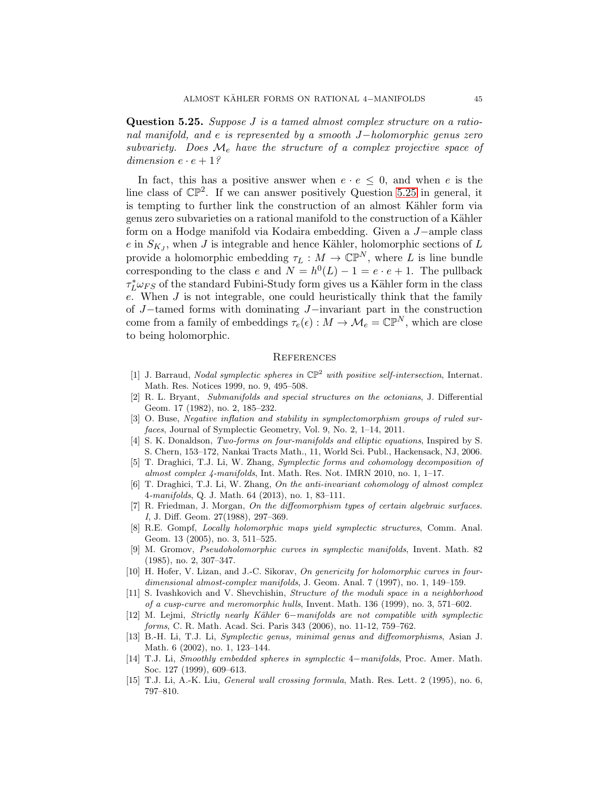<span id="page-44-15"></span>Question 5.25. Suppose J is a tamed almost complex structure on a rational manifold, and e is represented by a smooth J−holomorphic genus zero subvariety. Does  $\mathcal{M}_e$  have the structure of a complex projective space of dimension  $e \cdot e + 1$ ?

In fact, this has a positive answer when  $e \cdot e \leq 0$ , and when e is the line class of  $\mathbb{CP}^2$ . If we can answer positively Question [5.25](#page-44-15) in general, it is tempting to further link the construction of an almost Kähler form via genus zero subvarieties on a rational manifold to the construction of a Kähler form on a Hodge manifold via Kodaira embedding. Given a J−ample class  $e$  in  $S_{K_J}$ , when J is integrable and hence Kähler, holomorphic sections of L provide a holomorphic embedding  $\tau_L : M \to \mathbb{CP}^N$ , where L is line bundle corresponding to the class e and  $N = h^0(L) - 1 = e \cdot e + 1$ . The pullback  $\tau_L^* \omega_{FS}$  of the standard Fubini-Study form gives us a Kähler form in the class e. When J is not integrable, one could heuristically think that the family of J−tamed forms with dominating J−invariant part in the construction come from a family of embeddings  $\tau_e(\epsilon) : M \to \mathcal{M}_e = \mathbb{CP}^N$ , which are close to being holomorphic.

#### <span id="page-44-0"></span>**REFERENCES**

- <span id="page-44-8"></span>[1] J. Barraud, Nodal symplectic spheres in  $\mathbb{CP}^2$  with positive self-intersection, Internat. Math. Res. Notices 1999, no. 9, 495–508.
- <span id="page-44-3"></span>[2] R. L. Bryant, Submanifolds and special structures on the octonians, J. Differential Geom. 17 (1982), no. 2, 185–232.
- <span id="page-44-14"></span>[3] O. Buse, Negative inflation and stability in symplectomorphism groups of ruled surfaces, Journal of Symplectic Geometry, Vol. 9, No. 2, 1–14, 2011.
- <span id="page-44-1"></span>[4] S. K. Donaldson, Two-forms on four-manifolds and elliptic equations, Inspired by S. S. Chern, 153–172, Nankai Tracts Math., 11, World Sci. Publ., Hackensack, NJ, 2006.
- [5] T. Draghici, T.J. Li, W. Zhang, Symplectic forms and cohomology decomposition of almost complex 4-manifolds, Int. Math. Res. Not. IMRN 2010, no. 1, 1–17.
- <span id="page-44-5"></span>[6] T. Draghici, T.J. Li, W. Zhang, On the anti-invariant cohomology of almost complex 4-manifolds, Q. J. Math. 64 (2013), no. 1, 83–111.
- <span id="page-44-13"></span>[7] R. Friedman, J. Morgan, On the diffeomorphism types of certain algebraic surfaces. I, J. Diff. Geom. 27(1988), 297–369.
- <span id="page-44-12"></span>[8] R.E. Gompf, Locally holomorphic maps yield symplectic structures, Comm. Anal. Geom. 13 (2005), no. 3, 511–525.
- <span id="page-44-4"></span>[9] M. Gromov, Pseudoholomorphic curves in symplectic manifolds, Invent. Math. 82 (1985), no. 2, 307–347.
- <span id="page-44-6"></span>[10] H. Hofer, V. Lizan, and J.-C. Sikorav, On genericity for holomorphic curves in fourdimensional almost-complex manifolds, J. Geom. Anal. 7 (1997), no. 1, 149–159.
- <span id="page-44-7"></span>[11] S. Ivashkovich and V. Shevchishin, Structure of the moduli space in a neighborhood of a cusp-curve and meromorphic hulls, Invent. Math. 136 (1999), no. 3, 571–602.
- <span id="page-44-2"></span>[12] M. Lejmi, Strictly nearly Kähler 6−manifolds are not compatible with symplectic forms, C. R. Math. Acad. Sci. Paris 343 (2006), no. 11-12, 759–762.
- <span id="page-44-11"></span>[13] B.-H. Li, T.J. Li, Symplectic genus, minimal genus and diffeomorphisms, Asian J. Math. 6 (2002), no. 1, 123–144.
- <span id="page-44-10"></span>[14] T.J. Li, Smoothly embedded spheres in symplectic 4−manifolds, Proc. Amer. Math. Soc. 127 (1999), 609–613.
- <span id="page-44-9"></span>[15] T.J. Li, A.-K. Liu, General wall crossing formula, Math. Res. Lett. 2 (1995), no. 6, 797–810.